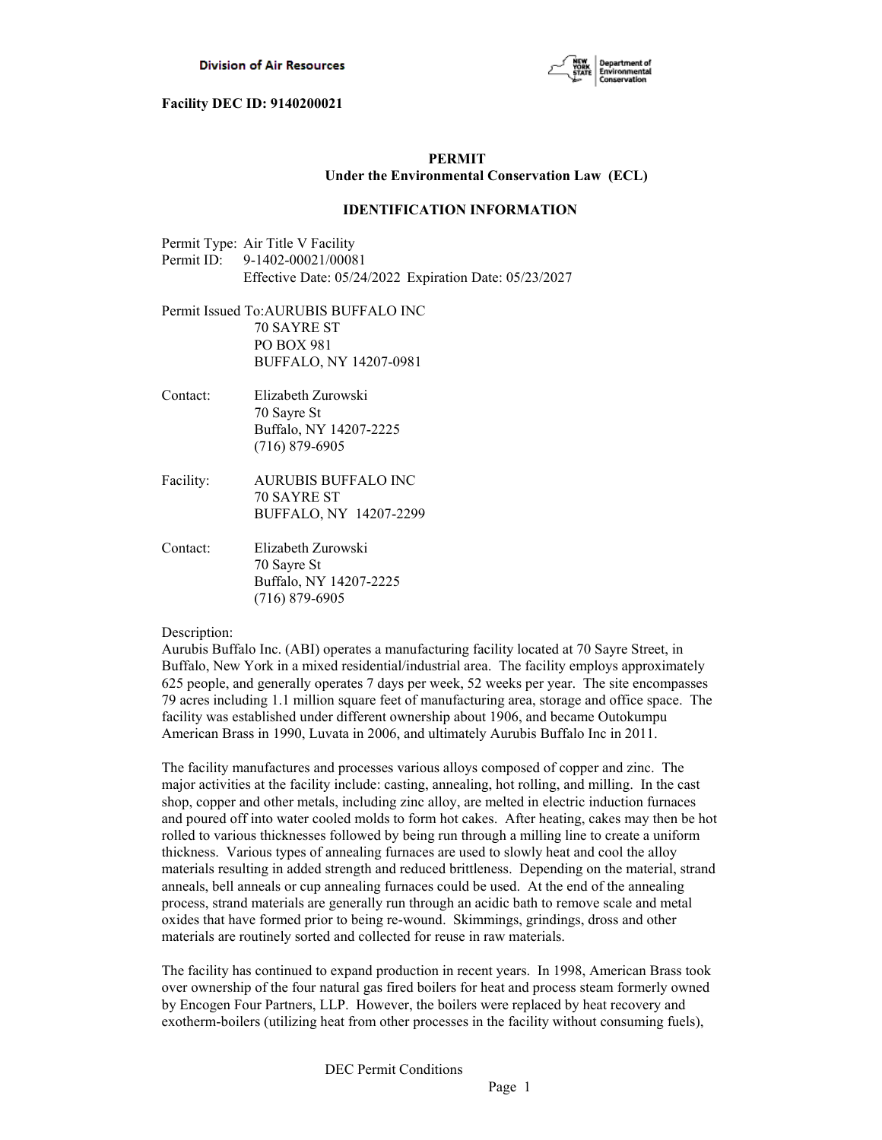

# **PERMIT Under the Environmental Conservation Law (ECL)**

## **IDENTIFICATION INFORMATION**

| Permit Type: Air Title V Facility                      |
|--------------------------------------------------------|
| Permit ID: 9-1402-00021/00081                          |
| Effective Date: 05/24/2022 Expiration Date: 05/23/2027 |

Permit Issued To:AURUBIS BUFFALO INC 70 SAYRE ST PO BOX 981 BUFFALO, NY 14207-0981

- Contact: Elizabeth Zurowski 70 Sayre St Buffalo, NY 14207-2225 (716) 879-6905
- Facility: AURUBIS BUFFALO INC 70 SAYRE ST BUFFALO, NY 14207-2299
- Contact: Elizabeth Zurowski 70 Sayre St Buffalo, NY 14207-2225 (716) 879-6905

Description:

Aurubis Buffalo Inc. (ABI) operates a manufacturing facility located at 70 Sayre Street, in Buffalo, New York in a mixed residential/industrial area. The facility employs approximately 625 people, and generally operates 7 days per week, 52 weeks per year. The site encompasses 79 acres including 1.1 million square feet of manufacturing area, storage and office space. The facility was established under different ownership about 1906, and became Outokumpu American Brass in 1990, Luvata in 2006, and ultimately Aurubis Buffalo Inc in 2011.

The facility manufactures and processes various alloys composed of copper and zinc. The major activities at the facility include: casting, annealing, hot rolling, and milling. In the cast shop, copper and other metals, including zinc alloy, are melted in electric induction furnaces and poured off into water cooled molds to form hot cakes. After heating, cakes may then be hot rolled to various thicknesses followed by being run through a milling line to create a uniform thickness. Various types of annealing furnaces are used to slowly heat and cool the alloy materials resulting in added strength and reduced brittleness. Depending on the material, strand anneals, bell anneals or cup annealing furnaces could be used. At the end of the annealing process, strand materials are generally run through an acidic bath to remove scale and metal oxides that have formed prior to being re-wound. Skimmings, grindings, dross and other materials are routinely sorted and collected for reuse in raw materials.

The facility has continued to expand production in recent years. In 1998, American Brass took over ownership of the four natural gas fired boilers for heat and process steam formerly owned by Encogen Four Partners, LLP. However, the boilers were replaced by heat recovery and exotherm-boilers (utilizing heat from other processes in the facility without consuming fuels),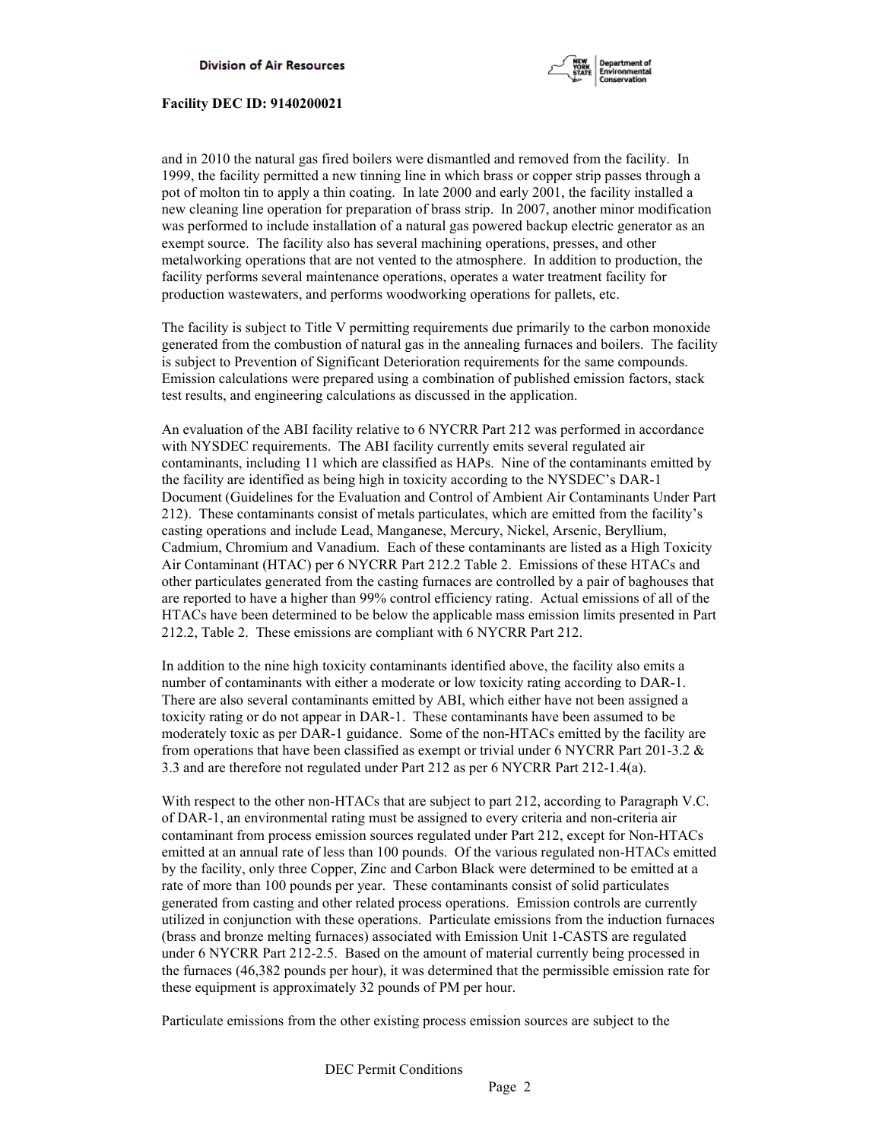

and in 2010 the natural gas fired boilers were dismantled and removed from the facility. In 1999, the facility permitted a new tinning line in which brass or copper strip passes through a pot of molton tin to apply a thin coating. In late 2000 and early 2001, the facility installed a new cleaning line operation for preparation of brass strip. In 2007, another minor modification was performed to include installation of a natural gas powered backup electric generator as an exempt source. The facility also has several machining operations, presses, and other metalworking operations that are not vented to the atmosphere. In addition to production, the facility performs several maintenance operations, operates a water treatment facility for production wastewaters, and performs woodworking operations for pallets, etc.

The facility is subject to Title V permitting requirements due primarily to the carbon monoxide generated from the combustion of natural gas in the annealing furnaces and boilers. The facility is subject to Prevention of Significant Deterioration requirements for the same compounds. Emission calculations were prepared using a combination of published emission factors, stack test results, and engineering calculations as discussed in the application.

An evaluation of the ABI facility relative to 6 NYCRR Part 212 was performed in accordance with NYSDEC requirements. The ABI facility currently emits several regulated air contaminants, including 11 which are classified as HAPs. Nine of the contaminants emitted by the facility are identified as being high in toxicity according to the NYSDEC's DAR-1 Document (Guidelines for the Evaluation and Control of Ambient Air Contaminants Under Part 212). These contaminants consist of metals particulates, which are emitted from the facility's casting operations and include Lead, Manganese, Mercury, Nickel, Arsenic, Beryllium, Cadmium, Chromium and Vanadium. Each of these contaminants are listed as a High Toxicity Air Contaminant (HTAC) per 6 NYCRR Part 212.2 Table 2. Emissions of these HTACs and other particulates generated from the casting furnaces are controlled by a pair of baghouses that are reported to have a higher than 99% control efficiency rating. Actual emissions of all of the HTACs have been determined to be below the applicable mass emission limits presented in Part 212.2, Table 2. These emissions are compliant with 6 NYCRR Part 212.

In addition to the nine high toxicity contaminants identified above, the facility also emits a number of contaminants with either a moderate or low toxicity rating according to DAR-1. There are also several contaminants emitted by ABI, which either have not been assigned a toxicity rating or do not appear in DAR-1. These contaminants have been assumed to be moderately toxic as per DAR-1 guidance. Some of the non-HTACs emitted by the facility are from operations that have been classified as exempt or trivial under 6 NYCRR Part 201-3.2 & 3.3 and are therefore not regulated under Part 212 as per 6 NYCRR Part 212-1.4(a).

With respect to the other non-HTACs that are subject to part 212, according to Paragraph V.C. of DAR-1, an environmental rating must be assigned to every criteria and non-criteria air contaminant from process emission sources regulated under Part 212, except for Non-HTACs emitted at an annual rate of less than 100 pounds. Of the various regulated non-HTACs emitted by the facility, only three Copper, Zinc and Carbon Black were determined to be emitted at a rate of more than 100 pounds per year. These contaminants consist of solid particulates generated from casting and other related process operations. Emission controls are currently utilized in conjunction with these operations. Particulate emissions from the induction furnaces (brass and bronze melting furnaces) associated with Emission Unit 1-CASTS are regulated under 6 NYCRR Part 212-2.5. Based on the amount of material currently being processed in the furnaces (46,382 pounds per hour), it was determined that the permissible emission rate for these equipment is approximately 32 pounds of PM per hour.

Particulate emissions from the other existing process emission sources are subject to the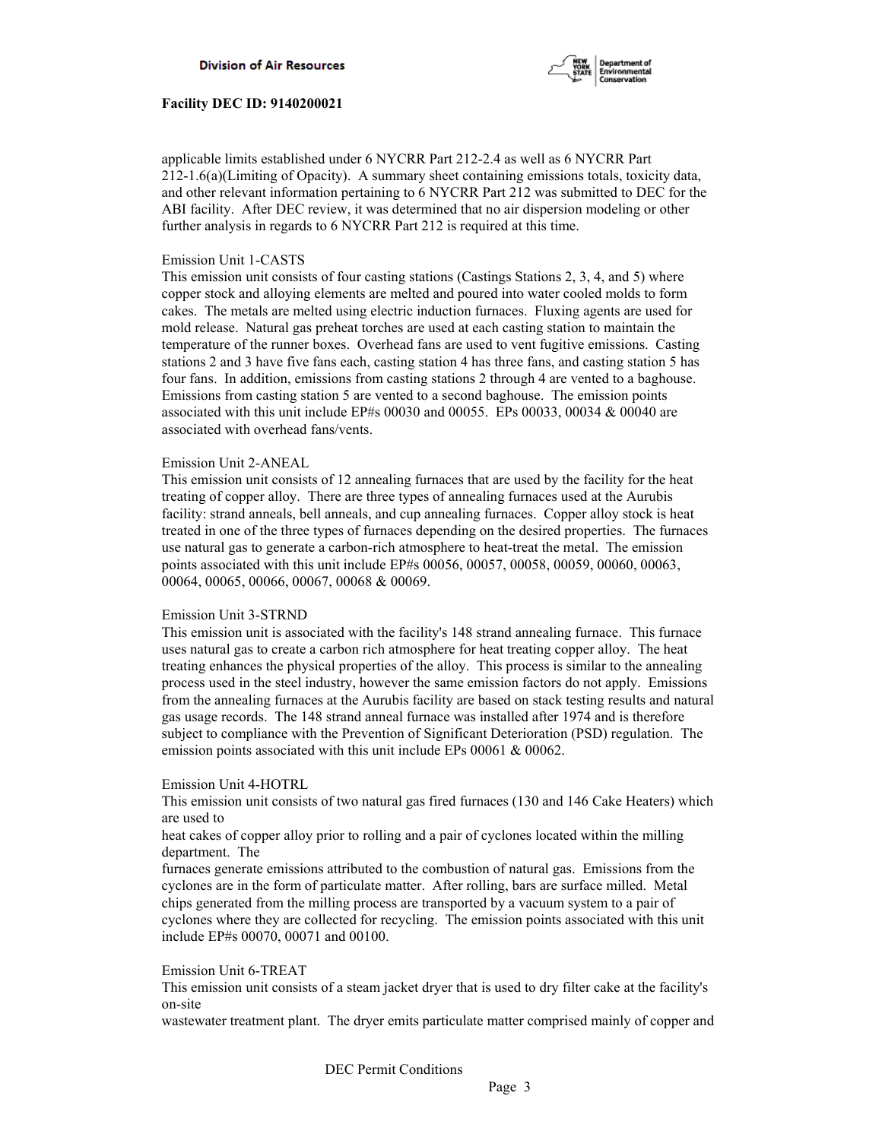

applicable limits established under 6 NYCRR Part 212-2.4 as well as 6 NYCRR Part 212-1.6(a)(Limiting of Opacity). A summary sheet containing emissions totals, toxicity data, and other relevant information pertaining to 6 NYCRR Part 212 was submitted to DEC for the ABI facility. After DEC review, it was determined that no air dispersion modeling or other further analysis in regards to 6 NYCRR Part 212 is required at this time.

## Emission Unit 1-CASTS

This emission unit consists of four casting stations (Castings Stations 2, 3, 4, and 5) where copper stock and alloying elements are melted and poured into water cooled molds to form cakes. The metals are melted using electric induction furnaces. Fluxing agents are used for mold release. Natural gas preheat torches are used at each casting station to maintain the temperature of the runner boxes. Overhead fans are used to vent fugitive emissions. Casting stations 2 and 3 have five fans each, casting station 4 has three fans, and casting station 5 has four fans. In addition, emissions from casting stations 2 through 4 are vented to a baghouse. Emissions from casting station 5 are vented to a second baghouse. The emission points associated with this unit include EP#s 00030 and 00055. EPs 00033, 00034 & 00040 are associated with overhead fans/vents.

#### Emission Unit 2-ANEAL

This emission unit consists of 12 annealing furnaces that are used by the facility for the heat treating of copper alloy. There are three types of annealing furnaces used at the Aurubis facility: strand anneals, bell anneals, and cup annealing furnaces. Copper alloy stock is heat treated in one of the three types of furnaces depending on the desired properties. The furnaces use natural gas to generate a carbon-rich atmosphere to heat-treat the metal. The emission points associated with this unit include EP#s 00056, 00057, 00058, 00059, 00060, 00063, 00064, 00065, 00066, 00067, 00068 & 00069.

#### Emission Unit 3-STRND

This emission unit is associated with the facility's 148 strand annealing furnace. This furnace uses natural gas to create a carbon rich atmosphere for heat treating copper alloy. The heat treating enhances the physical properties of the alloy. This process is similar to the annealing process used in the steel industry, however the same emission factors do not apply. Emissions from the annealing furnaces at the Aurubis facility are based on stack testing results and natural gas usage records. The 148 strand anneal furnace was installed after 1974 and is therefore subject to compliance with the Prevention of Significant Deterioration (PSD) regulation. The emission points associated with this unit include EPs 00061 & 00062.

#### Emission Unit 4-HOTRL

This emission unit consists of two natural gas fired furnaces (130 and 146 Cake Heaters) which are used to

heat cakes of copper alloy prior to rolling and a pair of cyclones located within the milling department. The

furnaces generate emissions attributed to the combustion of natural gas. Emissions from the cyclones are in the form of particulate matter. After rolling, bars are surface milled. Metal chips generated from the milling process are transported by a vacuum system to a pair of cyclones where they are collected for recycling. The emission points associated with this unit include EP#s 00070, 00071 and 00100.

## Emission Unit 6-TREAT

This emission unit consists of a steam jacket dryer that is used to dry filter cake at the facility's on-site

wastewater treatment plant. The dryer emits particulate matter comprised mainly of copper and

DEC Permit Conditions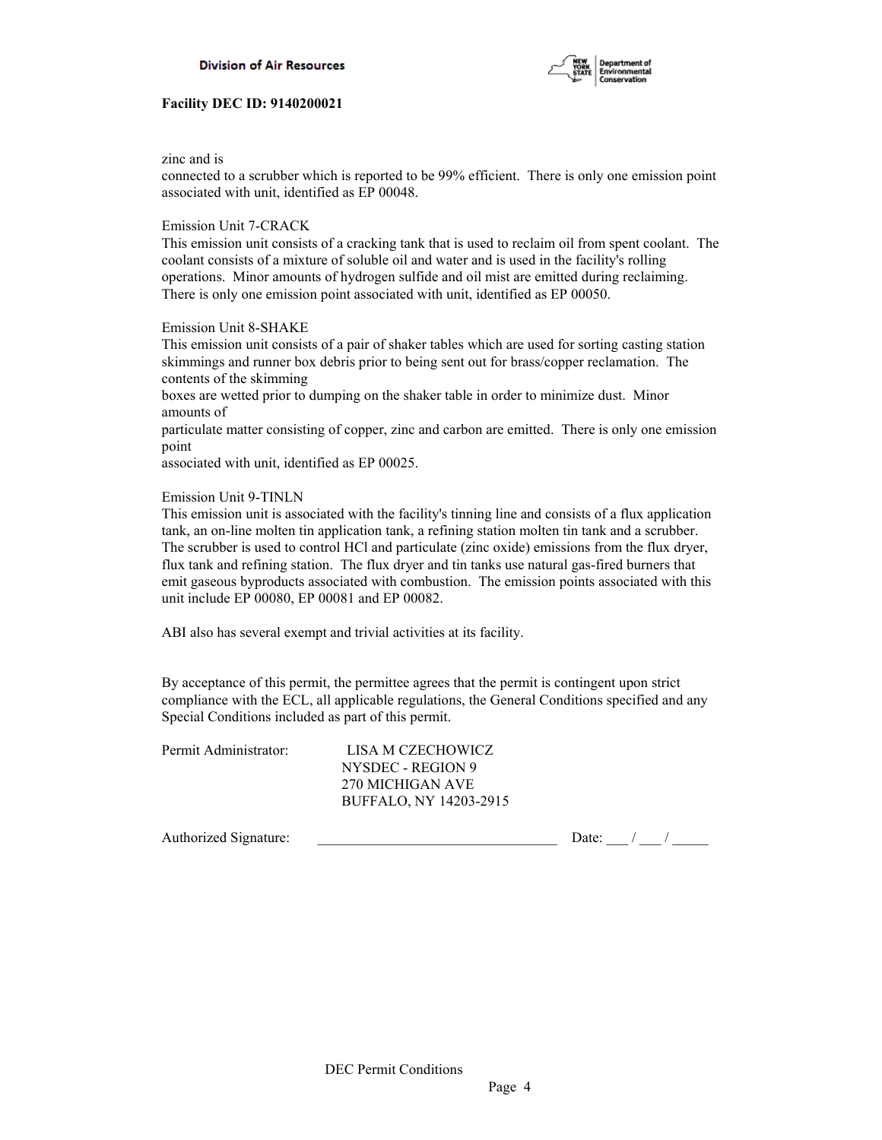

zinc and is

connected to a scrubber which is reported to be 99% efficient. There is only one emission point associated with unit, identified as EP 00048.

## Emission Unit 7-CRACK

This emission unit consists of a cracking tank that is used to reclaim oil from spent coolant. The coolant consists of a mixture of soluble oil and water and is used in the facility's rolling operations. Minor amounts of hydrogen sulfide and oil mist are emitted during reclaiming. There is only one emission point associated with unit, identified as EP 00050.

## Emission Unit 8-SHAKE

This emission unit consists of a pair of shaker tables which are used for sorting casting station skimmings and runner box debris prior to being sent out for brass/copper reclamation. The contents of the skimming

boxes are wetted prior to dumping on the shaker table in order to minimize dust. Minor amounts of

particulate matter consisting of copper, zinc and carbon are emitted. There is only one emission point

associated with unit, identified as EP 00025.

#### Emission Unit 9-TINLN

This emission unit is associated with the facility's tinning line and consists of a flux application tank, an on-line molten tin application tank, a refining station molten tin tank and a scrubber. The scrubber is used to control HCl and particulate (zinc oxide) emissions from the flux dryer, flux tank and refining station. The flux dryer and tin tanks use natural gas-fired burners that emit gaseous byproducts associated with combustion. The emission points associated with this unit include EP 00080, EP 00081 and EP 00082.

ABI also has several exempt and trivial activities at its facility.

By acceptance of this permit, the permittee agrees that the permit is contingent upon strict compliance with the ECL, all applicable regulations, the General Conditions specified and any Special Conditions included as part of this permit.

| Permit Administrator: | LISA M CZECHOWICZ      |
|-----------------------|------------------------|
|                       | NYSDEC - REGION 9      |
|                       | 270 MICHIGAN AVE       |
|                       | BUFFALO, NY 14203-2915 |
|                       |                        |

Authorized Signature: \_\_\_\_\_\_\_\_\_\_\_\_\_\_\_\_\_\_\_\_\_\_\_\_\_\_\_\_\_\_\_\_\_ Date: \_\_\_ / \_\_\_ / \_\_\_\_\_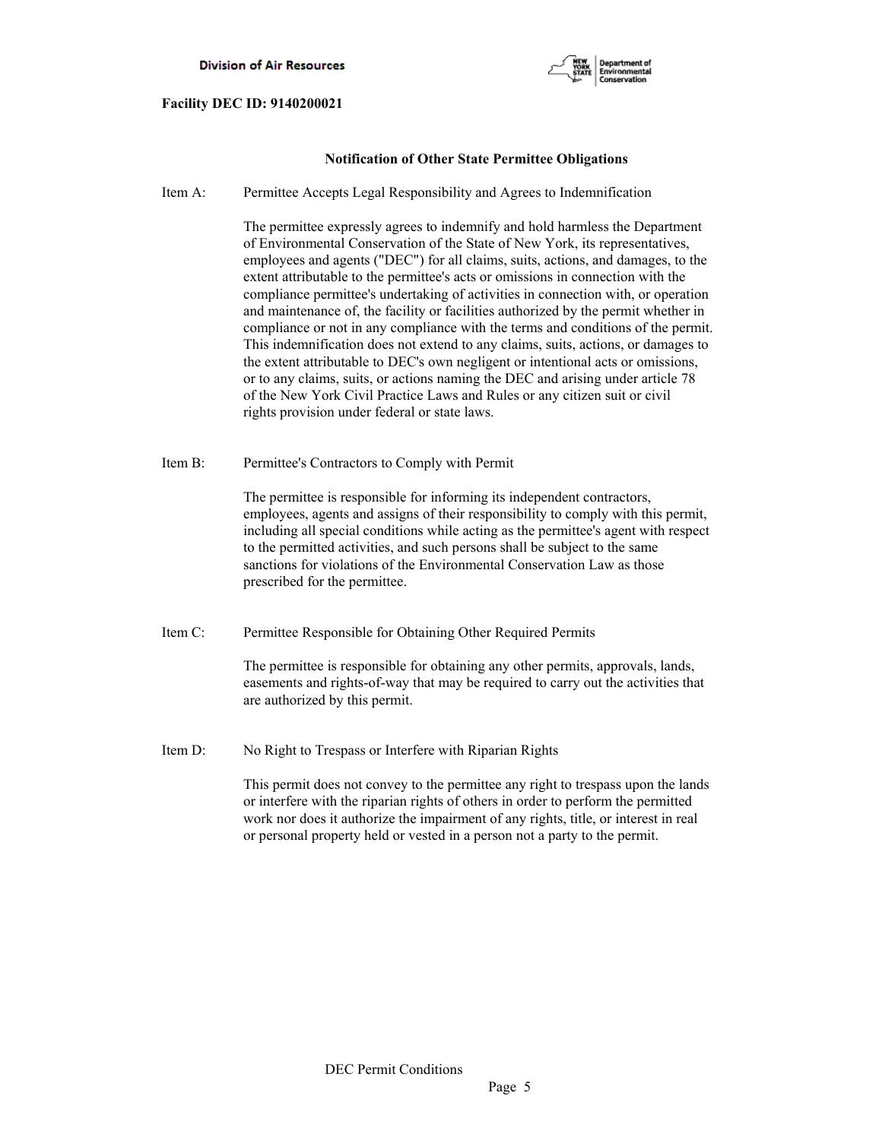

## **Notification of Other State Permittee Obligations**

Item A: Permittee Accepts Legal Responsibility and Agrees to Indemnification

 The permittee expressly agrees to indemnify and hold harmless the Department of Environmental Conservation of the State of New York, its representatives, employees and agents ("DEC") for all claims, suits, actions, and damages, to the extent attributable to the permittee's acts or omissions in connection with the compliance permittee's undertaking of activities in connection with, or operation and maintenance of, the facility or facilities authorized by the permit whether in compliance or not in any compliance with the terms and conditions of the permit. This indemnification does not extend to any claims, suits, actions, or damages to the extent attributable to DEC's own negligent or intentional acts or omissions, or to any claims, suits, or actions naming the DEC and arising under article 78 of the New York Civil Practice Laws and Rules or any citizen suit or civil rights provision under federal or state laws.

Item B: Permittee's Contractors to Comply with Permit

 The permittee is responsible for informing its independent contractors, employees, agents and assigns of their responsibility to comply with this permit, including all special conditions while acting as the permittee's agent with respect to the permitted activities, and such persons shall be subject to the same sanctions for violations of the Environmental Conservation Law as those prescribed for the permittee.

Item C: Permittee Responsible for Obtaining Other Required Permits

 The permittee is responsible for obtaining any other permits, approvals, lands, easements and rights-of-way that may be required to carry out the activities that are authorized by this permit.

Item D: No Right to Trespass or Interfere with Riparian Rights

 This permit does not convey to the permittee any right to trespass upon the lands or interfere with the riparian rights of others in order to perform the permitted work nor does it authorize the impairment of any rights, title, or interest in real or personal property held or vested in a person not a party to the permit.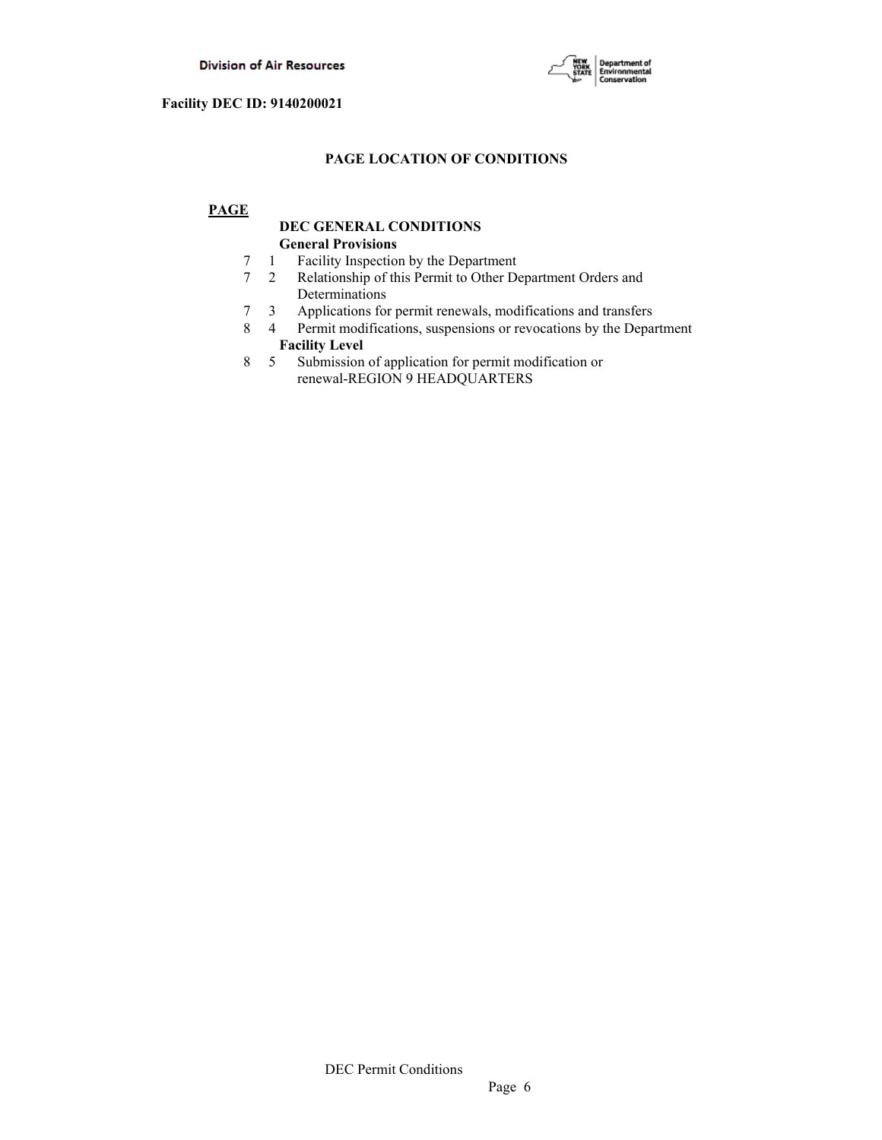

# **PAGE LOCATION OF CONDITIONS**

# **PAGE**

# **DEC GENERAL CONDITIONS General Provisions**

- 7 1 Facility Inspection by the Department
- 7 2 Relationship of this Permit to Other Department Orders and Determinations
- 7 3 Applications for permit renewals, modifications and transfers
- 8 4 Permit modifications, suspensions or revocations by the Department  **Facility Level**
- 8 5 Submission of application for permit modification or renewal-REGION 9 HEADQUARTERS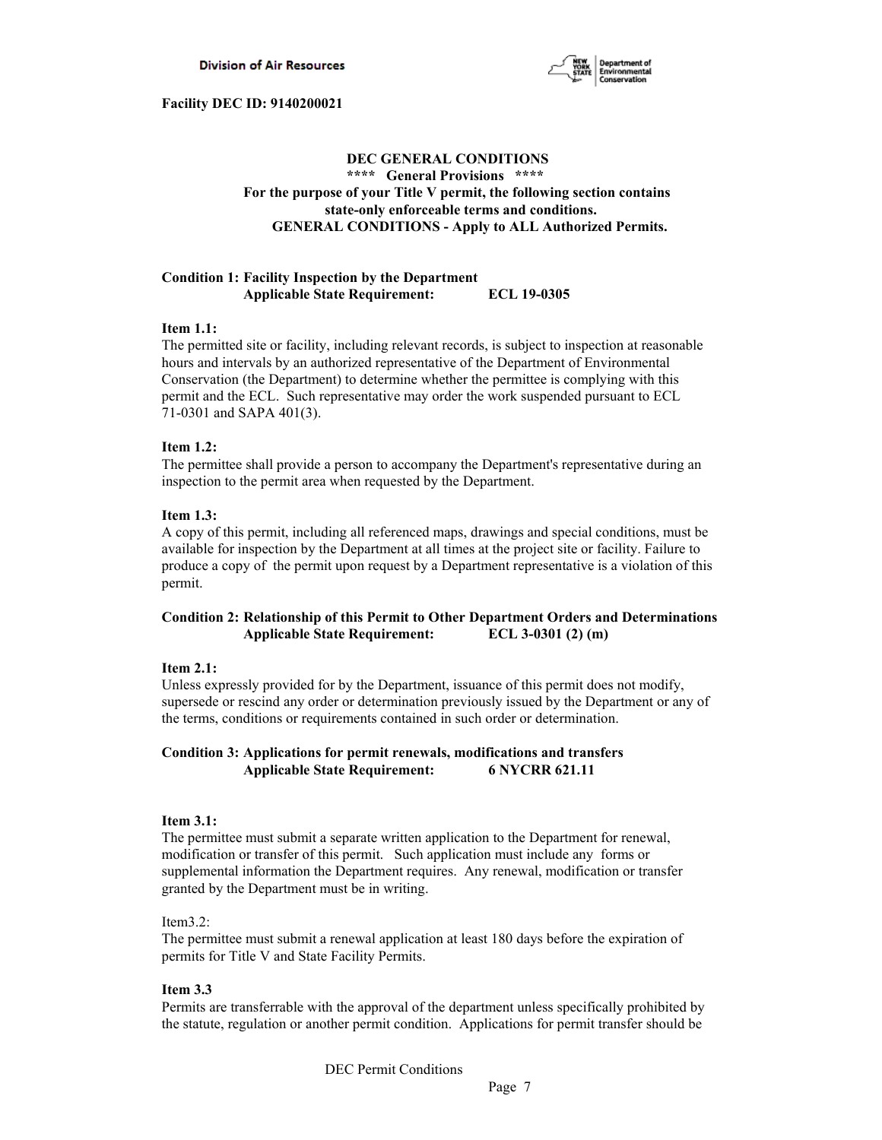

# **DEC GENERAL CONDITIONS \*\*\*\* General Provisions \*\*\*\* For the purpose of your Title V permit, the following section contains state-only enforceable terms and conditions. GENERAL CONDITIONS - Apply to ALL Authorized Permits.**

## **Condition 1: Facility Inspection by the Department Applicable State Requirement: ECL 19-0305**

## **Item 1.1:**

The permitted site or facility, including relevant records, is subject to inspection at reasonable hours and intervals by an authorized representative of the Department of Environmental Conservation (the Department) to determine whether the permittee is complying with this permit and the ECL. Such representative may order the work suspended pursuant to ECL 71-0301 and SAPA 401(3).

## **Item 1.2:**

The permittee shall provide a person to accompany the Department's representative during an inspection to the permit area when requested by the Department.

## **Item 1.3:**

A copy of this permit, including all referenced maps, drawings and special conditions, must be available for inspection by the Department at all times at the project site or facility. Failure to produce a copy of the permit upon request by a Department representative is a violation of this permit.

# **Condition 2: Relationship of this Permit to Other Department Orders and Determinations Applicable State Requirement: ECL 3-0301 (2) (m)**

## **Item 2.1:**

Unless expressly provided for by the Department, issuance of this permit does not modify, supersede or rescind any order or determination previously issued by the Department or any of the terms, conditions or requirements contained in such order or determination.

## **Condition 3: Applications for permit renewals, modifications and transfers Applicable State Requirement: 6 NYCRR 621.11**

## **Item 3.1:**

The permittee must submit a separate written application to the Department for renewal, modification or transfer of this permit. Such application must include any forms or supplemental information the Department requires. Any renewal, modification or transfer granted by the Department must be in writing.

## Item3.2:

The permittee must submit a renewal application at least 180 days before the expiration of permits for Title V and State Facility Permits.

## **Item 3.3**

Permits are transferrable with the approval of the department unless specifically prohibited by the statute, regulation or another permit condition. Applications for permit transfer should be

DEC Permit Conditions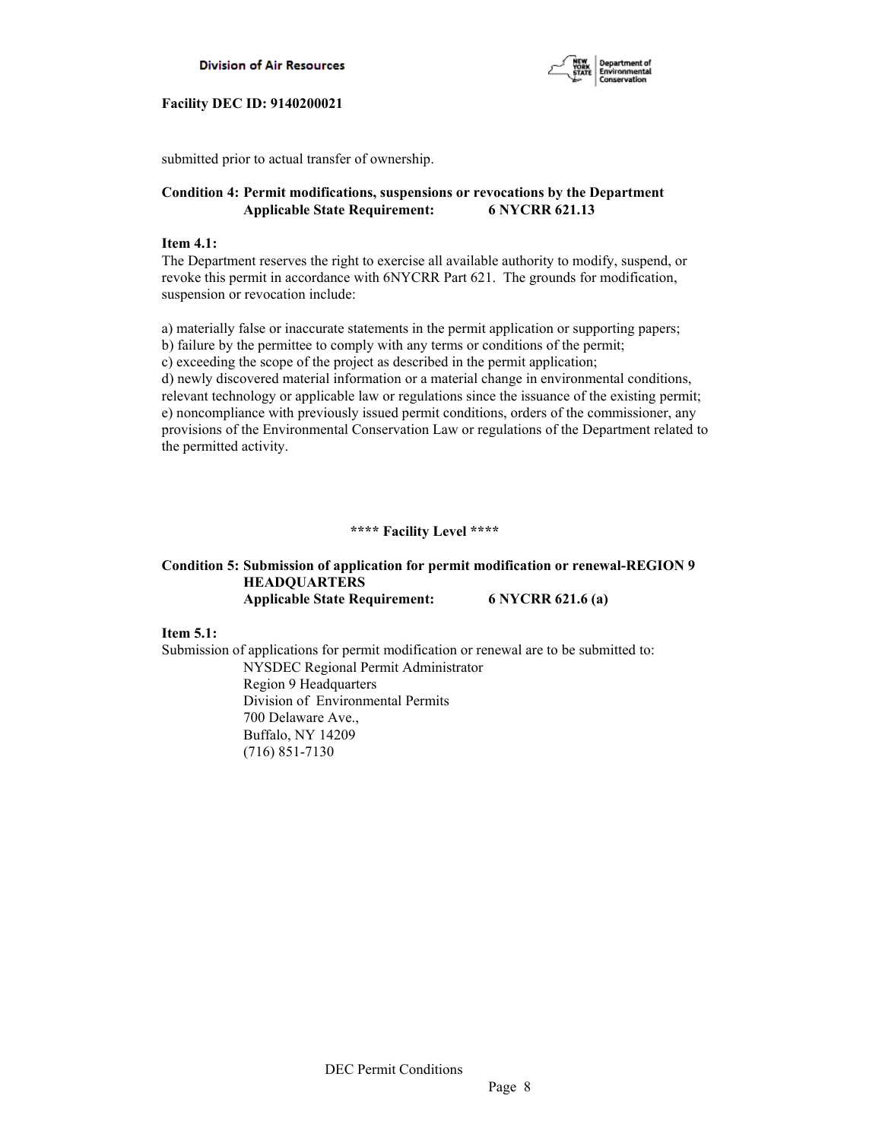



submitted prior to actual transfer of ownership.

# **Condition 4: Permit modifications, suspensions or revocations by the Department Applicable State Requirement: 6 NYCRR 621.13**

## **Item 4.1:**

The Department reserves the right to exercise all available authority to modify, suspend, or revoke this permit in accordance with 6NYCRR Part 621. The grounds for modification, suspension or revocation include:

a) materially false or inaccurate statements in the permit application or supporting papers; b) failure by the permittee to comply with any terms or conditions of the permit; c) exceeding the scope of the project as described in the permit application; d) newly discovered material information or a material change in environmental conditions, relevant technology or applicable law or regulations since the issuance of the existing permit; e) noncompliance with previously issued permit conditions, orders of the commissioner, any provisions of the Environmental Conservation Law or regulations of the Department related to the permitted activity.

## **\*\*\*\* Facility Level \*\*\*\***

# **Condition 5: Submission of application for permit modification or renewal-REGION 9 HEADQUARTERS Applicable State Requirement: 6 NYCRR 621.6 (a)**

## **Item 5.1:**

Submission of applications for permit modification or renewal are to be submitted to: NYSDEC Regional Permit Administrator Region 9 Headquarters Division of Environmental Permits 700 Delaware Ave., Buffalo, NY 14209 (716) 851-7130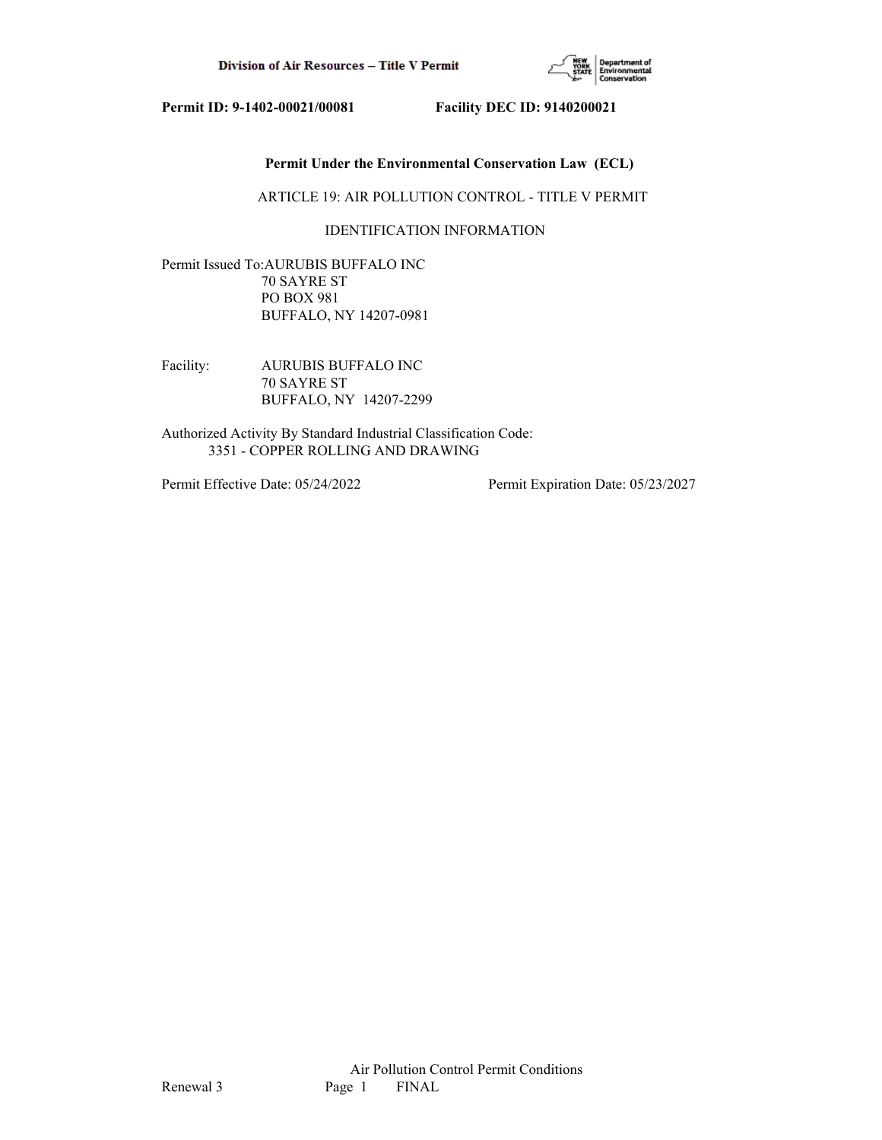

# **Permit Under the Environmental Conservation Law (ECL)**

ARTICLE 19: AIR POLLUTION CONTROL - TITLE V PERMIT

# IDENTIFICATION INFORMATION

Permit Issued To:AURUBIS BUFFALO INC 70 SAYRE ST PO BOX 981 BUFFALO, NY 14207-0981

Facility: AURUBIS BUFFALO INC 70 SAYRE ST BUFFALO, NY 14207-2299

Authorized Activity By Standard Industrial Classification Code: 3351 - COPPER ROLLING AND DRAWING

Permit Effective Date: 05/24/2022 Permit Expiration Date: 05/23/2027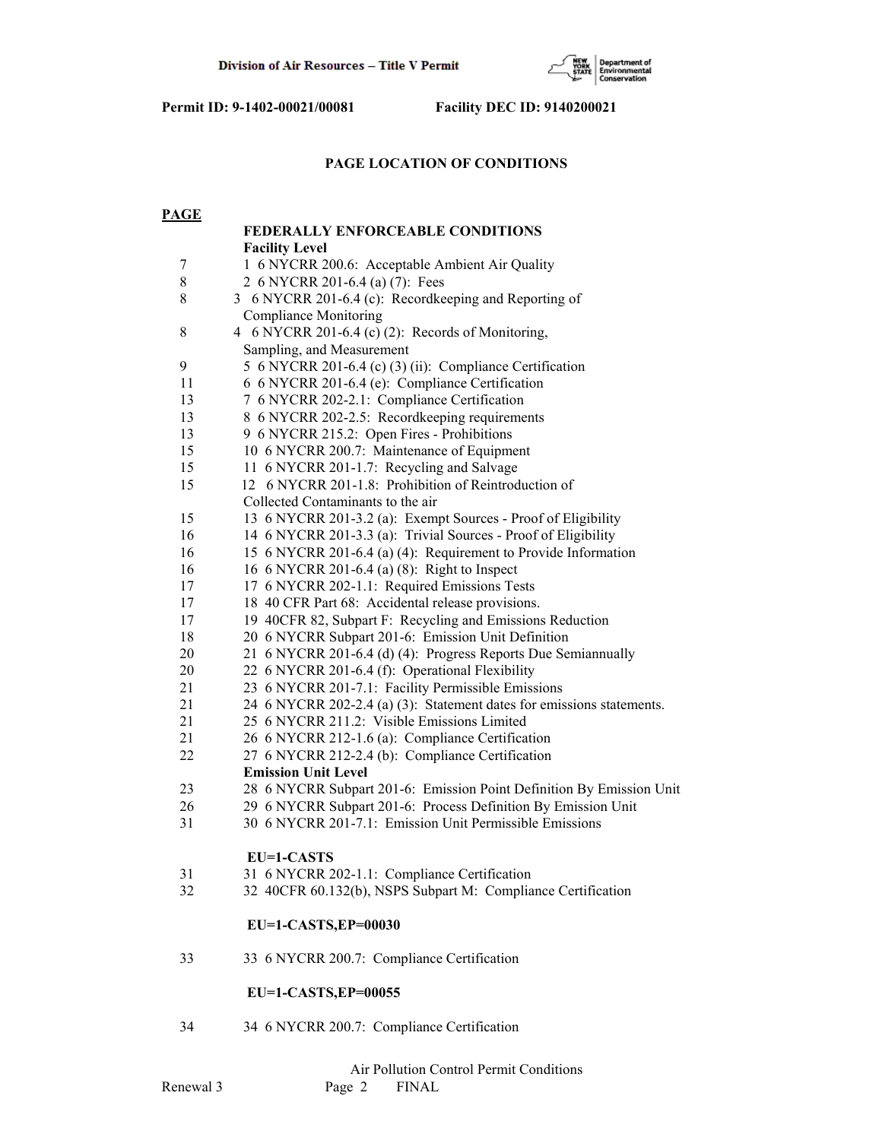

# **PAGE LOCATION OF CONDITIONS**

| <b>PAGE</b>      |                                                                       |  |  |  |
|------------------|-----------------------------------------------------------------------|--|--|--|
|                  | FEDERALLY ENFORCEABLE CONDITIONS                                      |  |  |  |
|                  | <b>Facility Level</b>                                                 |  |  |  |
| $\boldsymbol{7}$ | 1 6 NYCRR 200.6: Acceptable Ambient Air Quality                       |  |  |  |
| $8\,$            | 2 6 NYCRR 201-6.4 (a) (7): Fees                                       |  |  |  |
| 8                | 3 6 NYCRR 201-6.4 (c): Recordkeeping and Reporting of                 |  |  |  |
|                  | <b>Compliance Monitoring</b>                                          |  |  |  |
| 8                | 4 6 NYCRR 201-6.4 (c) (2): Records of Monitoring,                     |  |  |  |
|                  | Sampling, and Measurement                                             |  |  |  |
| 9                | 5 6 NYCRR 201-6.4 (c) (3) (ii): Compliance Certification              |  |  |  |
| 11               | 6 6 NYCRR 201-6.4 (e): Compliance Certification                       |  |  |  |
| 13               | 7 6 NYCRR 202-2.1: Compliance Certification                           |  |  |  |
| 13               | 8 6 NYCRR 202-2.5: Recordkeeping requirements                         |  |  |  |
| 13               | 9 6 NYCRR 215.2: Open Fires - Prohibitions                            |  |  |  |
| 15               | 10 6 NYCRR 200.7: Maintenance of Equipment                            |  |  |  |
| 15               | 11 6 NYCRR 201-1.7: Recycling and Salvage                             |  |  |  |
| 15               | 12 6 NYCRR 201-1.8: Prohibition of Reintroduction of                  |  |  |  |
|                  | Collected Contaminants to the air                                     |  |  |  |
| 15               | 13 6 NYCRR 201-3.2 (a): Exempt Sources - Proof of Eligibility         |  |  |  |
| 16               | 14 6 NYCRR 201-3.3 (a): Trivial Sources - Proof of Eligibility        |  |  |  |
| 16               | 15 6 NYCRR 201-6.4 (a) (4): Requirement to Provide Information        |  |  |  |
| 16               | 16 6 NYCRR 201-6.4 (a) (8): Right to Inspect                          |  |  |  |
| 17               | 17 6 NYCRR 202-1.1: Required Emissions Tests                          |  |  |  |
| 17               | 18 40 CFR Part 68: Accidental release provisions.                     |  |  |  |
| 17               | 19 40CFR 82, Subpart F: Recycling and Emissions Reduction             |  |  |  |
| 18               | 20 6 NYCRR Subpart 201-6: Emission Unit Definition                    |  |  |  |
| 20               | 21 6 NYCRR 201-6.4 (d) (4): Progress Reports Due Semiannually         |  |  |  |
| 20               | 22 6 NYCRR 201-6.4 (f): Operational Flexibility                       |  |  |  |
| 21               | 23 6 NYCRR 201-7.1: Facility Permissible Emissions                    |  |  |  |
| 21               | 24 6 NYCRR 202-2.4 (a) (3): Statement dates for emissions statements. |  |  |  |
| 21               | 25 6 NYCRR 211.2: Visible Emissions Limited                           |  |  |  |
| 21               | 26 6 NYCRR 212-1.6 (a): Compliance Certification                      |  |  |  |
| 22               | 27 6 NYCRR 212-2.4 (b): Compliance Certification                      |  |  |  |
|                  | <b>Emission Unit Level</b>                                            |  |  |  |
| 23               | 28 6 NYCRR Subpart 201-6: Emission Point Definition By Emission Unit  |  |  |  |
| 26               | 29 6 NYCRR Subpart 201-6: Process Definition By Emission Unit         |  |  |  |
| 31               | 30 6 NYCRR 201-7.1: Emission Unit Permissible Emissions               |  |  |  |
|                  | EU=1-CASTS                                                            |  |  |  |
| 31               | 31 6 NYCRR 202-1.1: Compliance Certification                          |  |  |  |
| 32               | 32 40CFR 60.132(b), NSPS Subpart M: Compliance Certification          |  |  |  |
|                  | EU=1-CASTS, EP=00030                                                  |  |  |  |
| 33               | 33 6 NYCRR 200.7: Compliance Certification                            |  |  |  |
|                  | EU=1-CASTS, EP=00055                                                  |  |  |  |
| 34               | 34 6 NYCRR 200.7: Compliance Certification                            |  |  |  |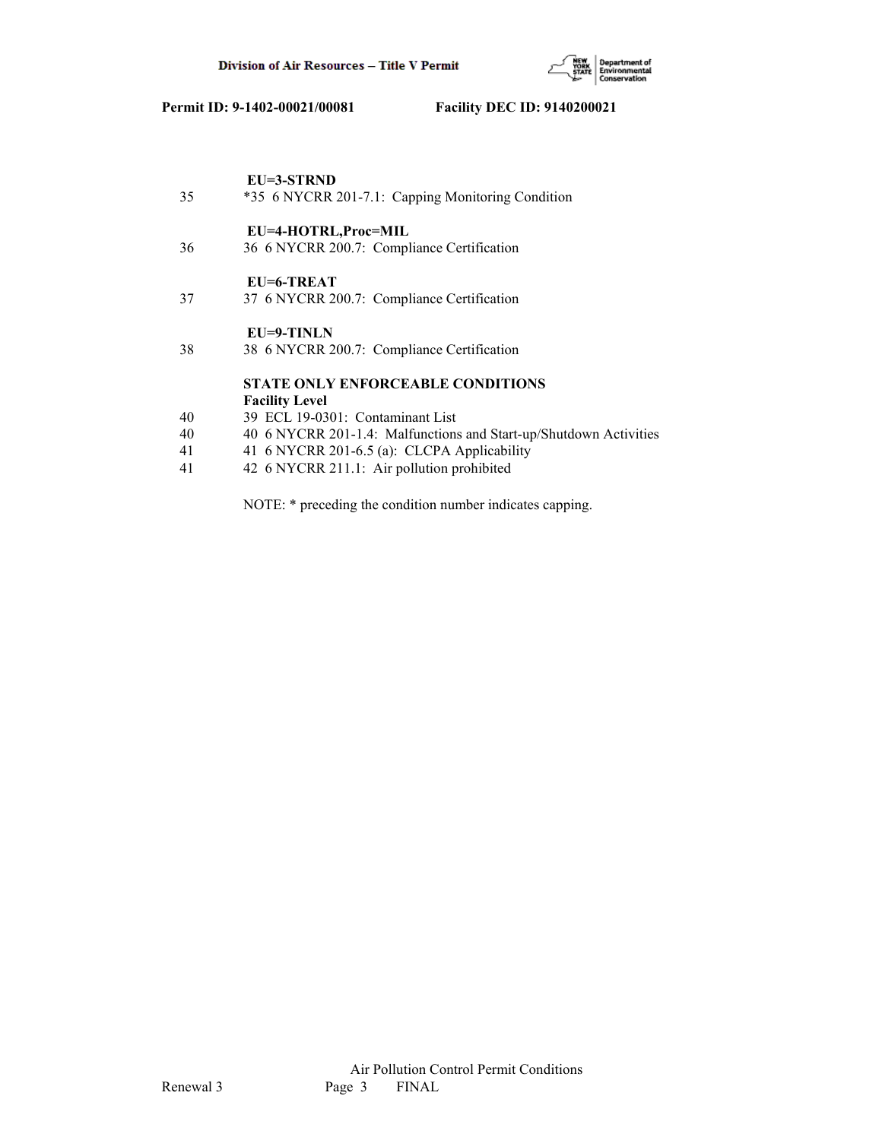

|    | EU=3-STRND                                                        |
|----|-------------------------------------------------------------------|
| 35 | *35 6 NYCRR 201-7.1: Capping Monitoring Condition                 |
|    | EU=4-HOTRL,Proc=MIL                                               |
| 36 | 36 6 NYCRR 200.7: Compliance Certification                        |
|    | EU=6-TREAT                                                        |
| 37 | 37 6 NYCRR 200.7: Compliance Certification                        |
|    | $EU=9-TINLN$                                                      |
| 38 | 38 6 NYCRR 200.7: Compliance Certification                        |
|    | <b>STATE ONLY ENFORCEABLE CONDITIONS</b>                          |
|    | <b>Facility Level</b>                                             |
| 40 | 39 ECL 19-0301: Contaminant List                                  |
| 40 | 40 6 NYCRR 201-1.4: Malfunctions and Start-up/Shutdown Activities |
| 41 | 41 6 NYCRR 201-6.5 (a): CLCPA Applicability                       |

41 42 6 NYCRR 211.1: Air pollution prohibited

NOTE: \* preceding the condition number indicates capping.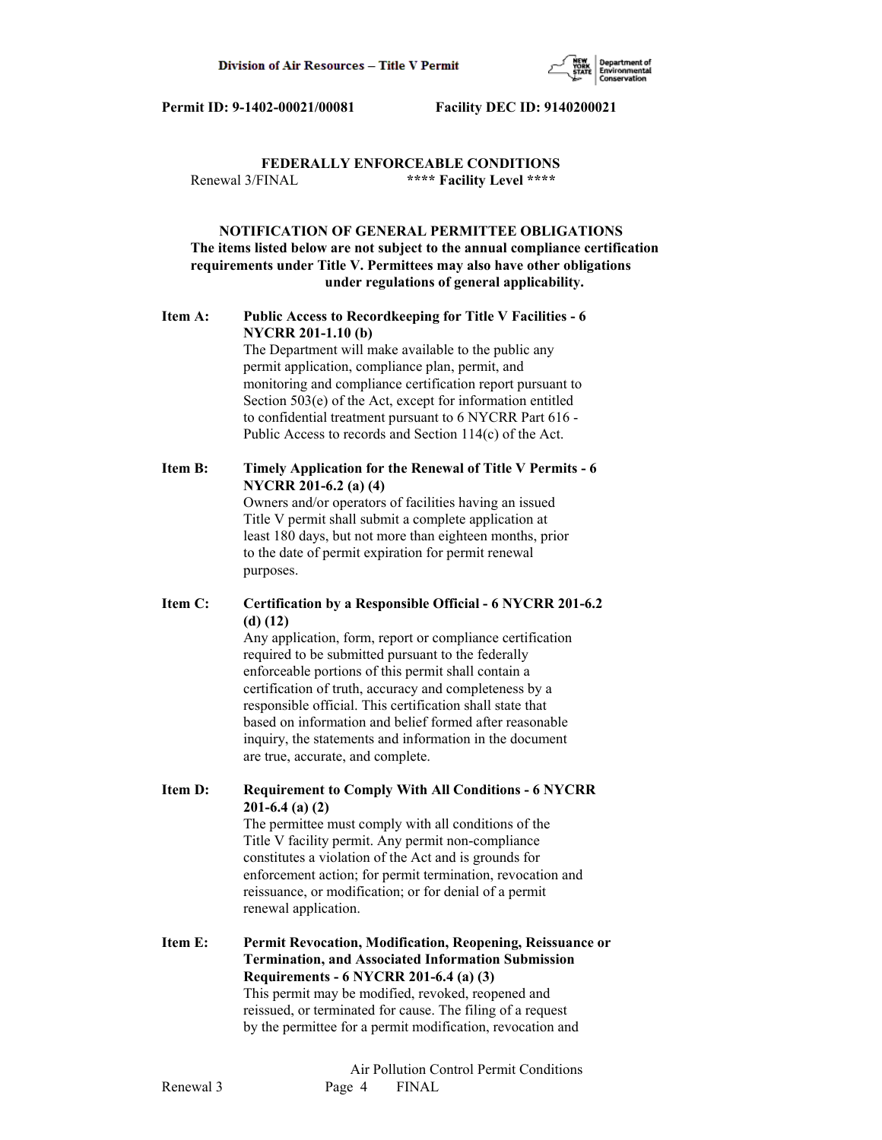

# **FEDERALLY ENFORCEABLE CONDITIONS** Renewal 3/FINAL **\*\*\*\* Facility Level \*\*\*\***

# **NOTIFICATION OF GENERAL PERMITTEE OBLIGATIONS The items listed below are not subject to the annual compliance certification requirements under Title V. Permittees may also have other obligations under regulations of general applicability.**

# **Item A: Public Access to Recordkeeping for Title V Facilities - 6 NYCRR 201-1.10 (b)**

 The Department will make available to the public any permit application, compliance plan, permit, and monitoring and compliance certification report pursuant to Section 503(e) of the Act, except for information entitled to confidential treatment pursuant to 6 NYCRR Part 616 - Public Access to records and Section 114(c) of the Act.

# **Item B: Timely Application for the Renewal of Title V Permits - 6 NYCRR 201-6.2 (a) (4)**

 Owners and/or operators of facilities having an issued Title V permit shall submit a complete application at least 180 days, but not more than eighteen months, prior to the date of permit expiration for permit renewal purposes.

# **Item C: Certification by a Responsible Official - 6 NYCRR 201-6.2 (d) (12)**

 Any application, form, report or compliance certification required to be submitted pursuant to the federally enforceable portions of this permit shall contain a certification of truth, accuracy and completeness by a responsible official. This certification shall state that based on information and belief formed after reasonable inquiry, the statements and information in the document are true, accurate, and complete.

**Item D: Requirement to Comply With All Conditions - 6 NYCRR 201-6.4 (a) (2)**

 The permittee must comply with all conditions of the Title V facility permit. Any permit non-compliance constitutes a violation of the Act and is grounds for enforcement action; for permit termination, revocation and reissuance, or modification; or for denial of a permit renewal application.

**Item E: Permit Revocation, Modification, Reopening, Reissuance or Termination, and Associated Information Submission Requirements - 6 NYCRR 201-6.4 (a) (3)** This permit may be modified, revoked, reopened and reissued, or terminated for cause. The filing of a request by the permittee for a permit modification, revocation and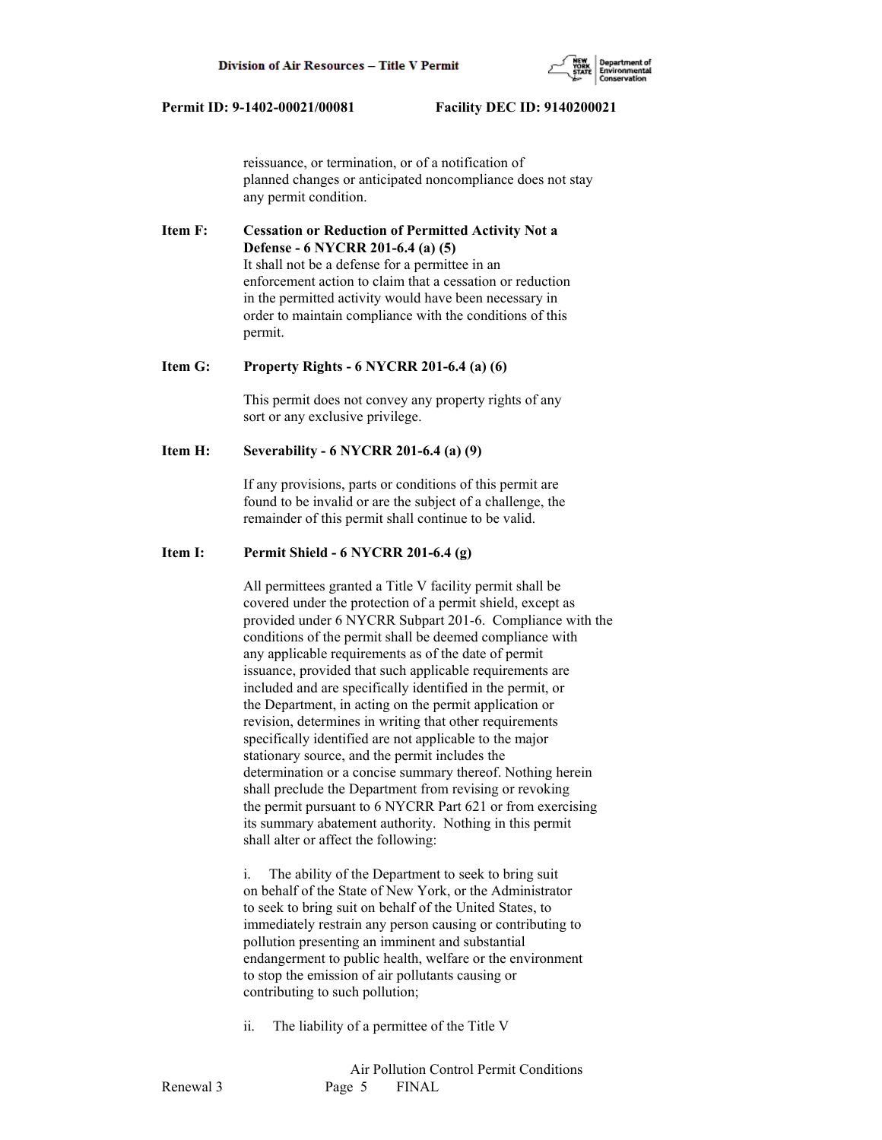

 reissuance, or termination, or of a notification of planned changes or anticipated noncompliance does not stay any permit condition.

**Item F: Cessation or Reduction of Permitted Activity Not a Defense - 6 NYCRR 201-6.4 (a) (5)** It shall not be a defense for a permittee in an enforcement action to claim that a cessation or reduction in the permitted activity would have been necessary in order to maintain compliance with the conditions of this permit.

#### **Item G: Property Rights - 6 NYCRR 201-6.4 (a) (6)**

 This permit does not convey any property rights of any sort or any exclusive privilege.

#### **Item H: Severability - 6 NYCRR 201-6.4 (a) (9)**

 If any provisions, parts or conditions of this permit are found to be invalid or are the subject of a challenge, the remainder of this permit shall continue to be valid.

## **Item I: Permit Shield - 6 NYCRR 201-6.4 (g)**

 All permittees granted a Title V facility permit shall be covered under the protection of a permit shield, except as provided under 6 NYCRR Subpart 201-6. Compliance with the conditions of the permit shall be deemed compliance with any applicable requirements as of the date of permit issuance, provided that such applicable requirements are included and are specifically identified in the permit, or the Department, in acting on the permit application or revision, determines in writing that other requirements specifically identified are not applicable to the major stationary source, and the permit includes the determination or a concise summary thereof. Nothing herein shall preclude the Department from revising or revoking the permit pursuant to 6 NYCRR Part 621 or from exercising its summary abatement authority. Nothing in this permit shall alter or affect the following:

 i. The ability of the Department to seek to bring suit on behalf of the State of New York, or the Administrator to seek to bring suit on behalf of the United States, to immediately restrain any person causing or contributing to pollution presenting an imminent and substantial endangerment to public health, welfare or the environment to stop the emission of air pollutants causing or contributing to such pollution;

ii. The liability of a permittee of the Title V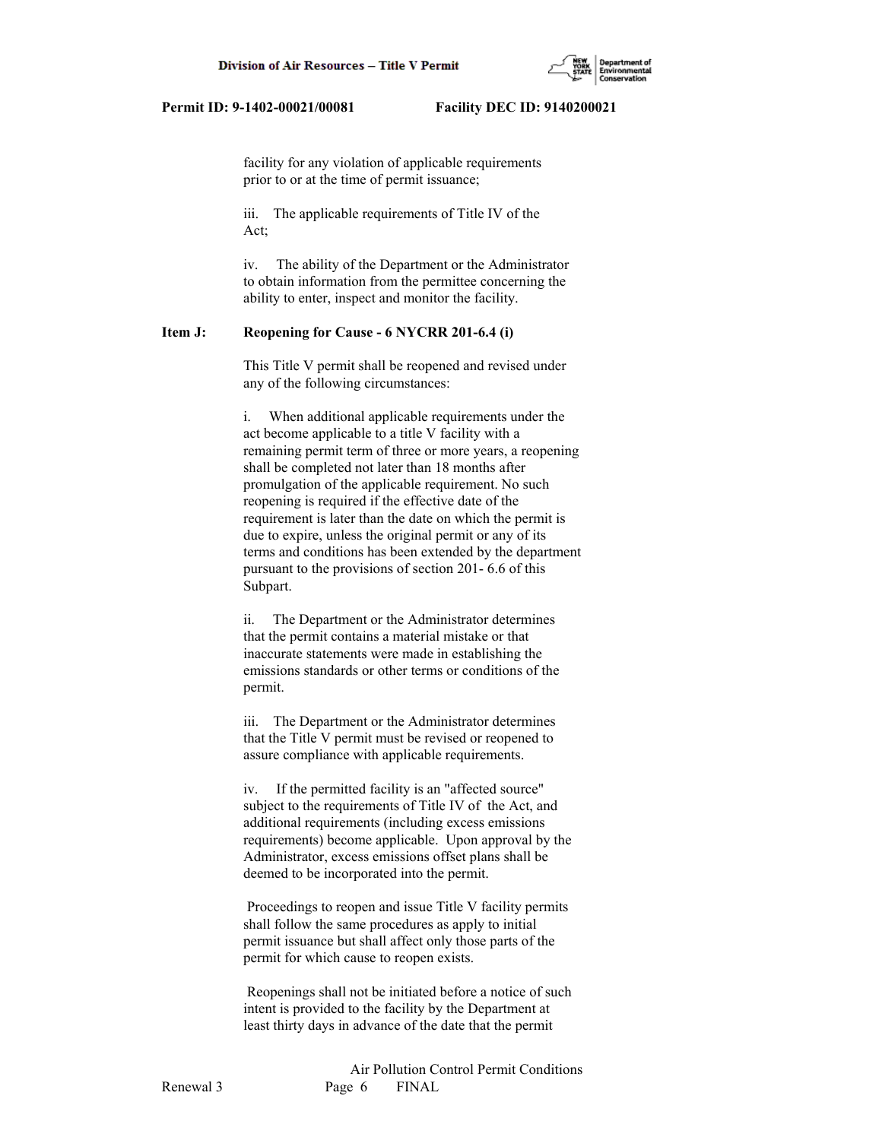

 facility for any violation of applicable requirements prior to or at the time of permit issuance;

 iii. The applicable requirements of Title IV of the Act;

 iv. The ability of the Department or the Administrator to obtain information from the permittee concerning the ability to enter, inspect and monitor the facility.

# **Item J: Reopening for Cause - 6 NYCRR 201-6.4 (i)**

 This Title V permit shall be reopened and revised under any of the following circumstances:

 i. When additional applicable requirements under the act become applicable to a title V facility with a remaining permit term of three or more years, a reopening shall be completed not later than 18 months after promulgation of the applicable requirement. No such reopening is required if the effective date of the requirement is later than the date on which the permit is due to expire, unless the original permit or any of its terms and conditions has been extended by the department pursuant to the provisions of section 201- 6.6 of this Subpart.

 ii. The Department or the Administrator determines that the permit contains a material mistake or that inaccurate statements were made in establishing the emissions standards or other terms or conditions of the permit.

 iii. The Department or the Administrator determines that the Title V permit must be revised or reopened to assure compliance with applicable requirements.

 iv. If the permitted facility is an "affected source" subject to the requirements of Title IV of the Act, and additional requirements (including excess emissions requirements) become applicable. Upon approval by the Administrator, excess emissions offset plans shall be deemed to be incorporated into the permit.

 Proceedings to reopen and issue Title V facility permits shall follow the same procedures as apply to initial permit issuance but shall affect only those parts of the permit for which cause to reopen exists.

 Reopenings shall not be initiated before a notice of such intent is provided to the facility by the Department at least thirty days in advance of the date that the permit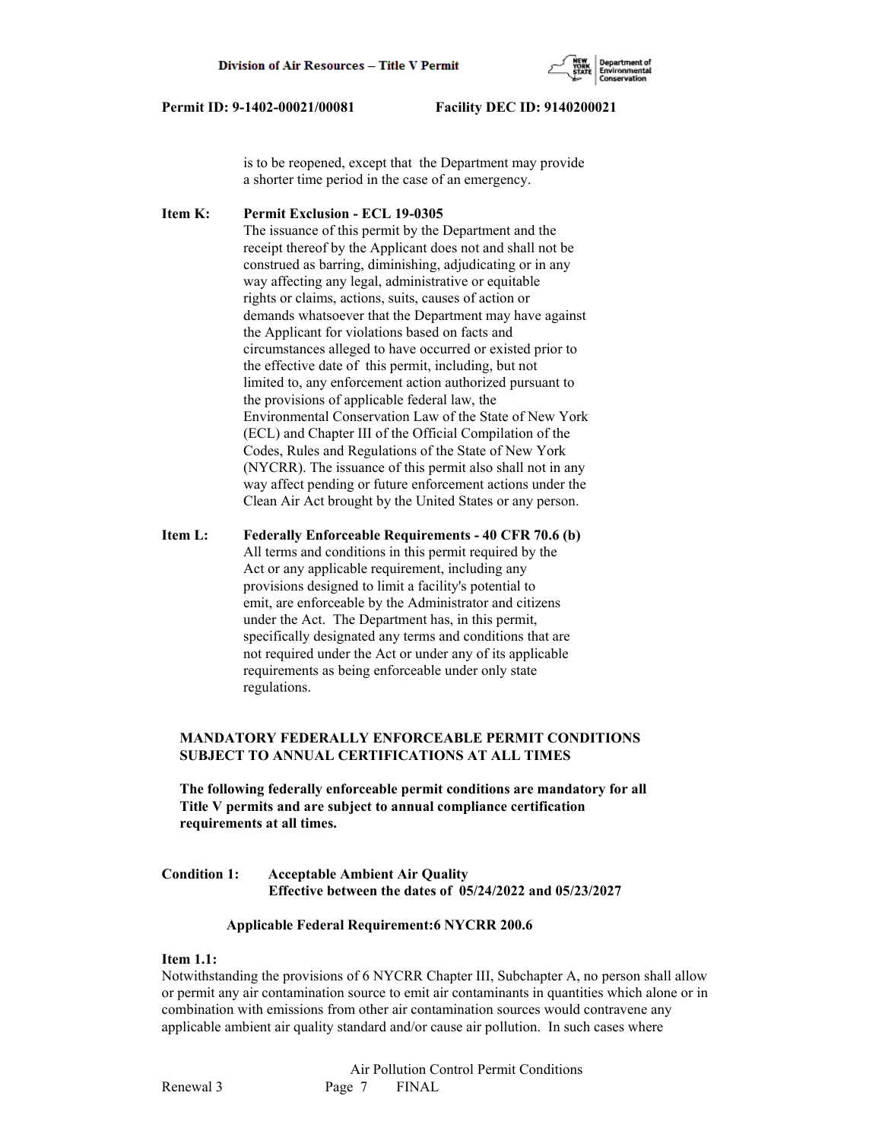

 is to be reopened, except that the Department may provide a shorter time period in the case of an emergency.

**Item K: Permit Exclusion - ECL 19-0305** The issuance of this permit by the Department and the receipt thereof by the Applicant does not and shall not be construed as barring, diminishing, adjudicating or in any way affecting any legal, administrative or equitable rights or claims, actions, suits, causes of action or demands whatsoever that the Department may have against the Applicant for violations based on facts and circumstances alleged to have occurred or existed prior to the effective date of this permit, including, but not limited to, any enforcement action authorized pursuant to the provisions of applicable federal law, the Environmental Conservation Law of the State of New York (ECL) and Chapter III of the Official Compilation of the Codes, Rules and Regulations of the State of New York (NYCRR). The issuance of this permit also shall not in any way affect pending or future enforcement actions under the Clean Air Act brought by the United States or any person.

**Item L: Federally Enforceable Requirements - 40 CFR 70.6 (b)** All terms and conditions in this permit required by the Act or any applicable requirement, including any provisions designed to limit a facility's potential to emit, are enforceable by the Administrator and citizens under the Act. The Department has, in this permit, specifically designated any terms and conditions that are not required under the Act or under any of its applicable requirements as being enforceable under only state regulations.

# **MANDATORY FEDERALLY ENFORCEABLE PERMIT CONDITIONS SUBJECT TO ANNUAL CERTIFICATIONS AT ALL TIMES**

 **The following federally enforceable permit conditions are mandatory for all Title V permits and are subject to annual compliance certification requirements at all times.**

**Condition 1: Acceptable Ambient Air Quality Effective between the dates of 05/24/2022 and 05/23/2027**

#### **Applicable Federal Requirement:6 NYCRR 200.6**

## **Item 1.1:**

Notwithstanding the provisions of 6 NYCRR Chapter III, Subchapter A, no person shall allow or permit any air contamination source to emit air contaminants in quantities which alone or in combination with emissions from other air contamination sources would contravene any applicable ambient air quality standard and/or cause air pollution. In such cases where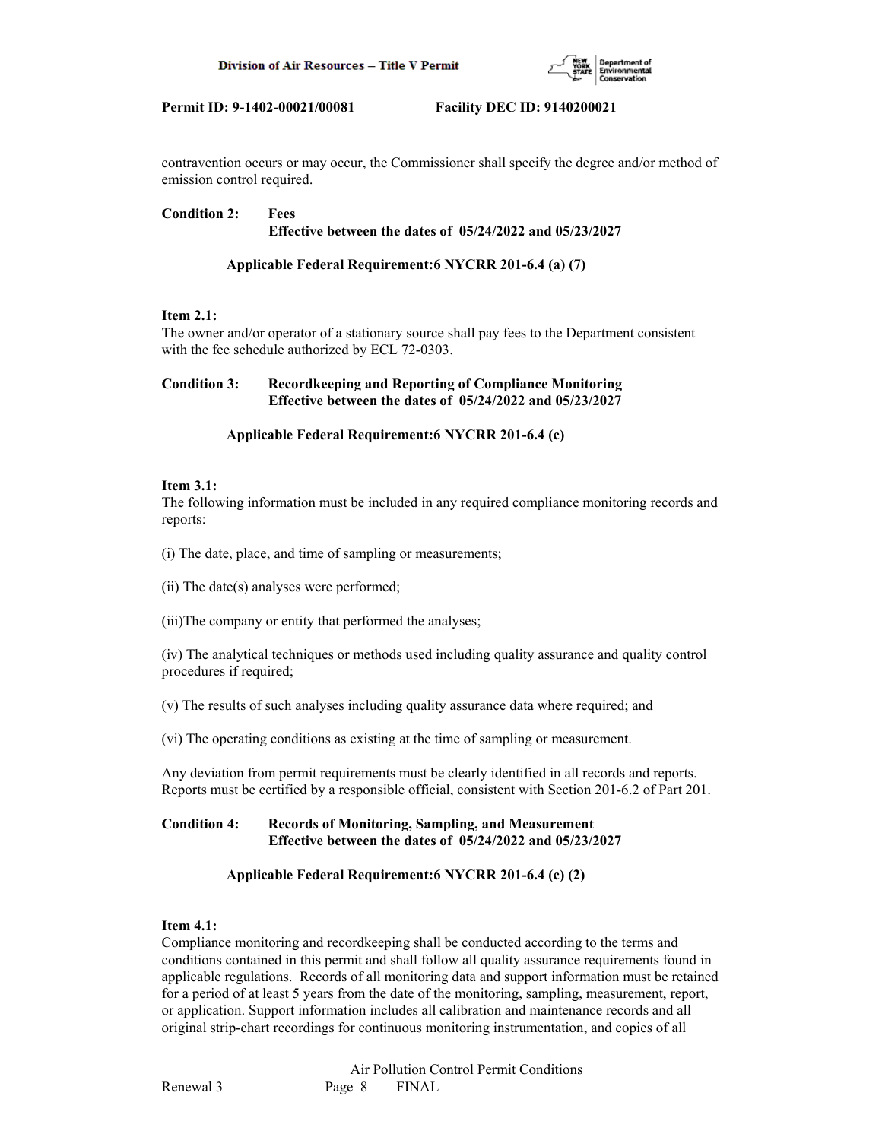

contravention occurs or may occur, the Commissioner shall specify the degree and/or method of emission control required.

## **Condition 2: Fees Effective between the dates of 05/24/2022 and 05/23/2027**

# **Applicable Federal Requirement:6 NYCRR 201-6.4 (a) (7)**

# **Item 2.1:**

The owner and/or operator of a stationary source shall pay fees to the Department consistent with the fee schedule authorized by ECL 72-0303.

# **Condition 3: Recordkeeping and Reporting of Compliance Monitoring Effective between the dates of 05/24/2022 and 05/23/2027**

# **Applicable Federal Requirement:6 NYCRR 201-6.4 (c)**

## **Item 3.1:**

The following information must be included in any required compliance monitoring records and reports:

(i) The date, place, and time of sampling or measurements;

(ii) The date(s) analyses were performed;

(iii)The company or entity that performed the analyses;

(iv) The analytical techniques or methods used including quality assurance and quality control procedures if required;

(v) The results of such analyses including quality assurance data where required; and

(vi) The operating conditions as existing at the time of sampling or measurement.

Any deviation from permit requirements must be clearly identified in all records and reports. Reports must be certified by a responsible official, consistent with Section 201-6.2 of Part 201.

# **Condition 4: Records of Monitoring, Sampling, and Measurement Effective between the dates of 05/24/2022 and 05/23/2027**

# **Applicable Federal Requirement:6 NYCRR 201-6.4 (c) (2)**

# **Item 4.1:**

Compliance monitoring and recordkeeping shall be conducted according to the terms and conditions contained in this permit and shall follow all quality assurance requirements found in applicable regulations. Records of all monitoring data and support information must be retained for a period of at least 5 years from the date of the monitoring, sampling, measurement, report, or application. Support information includes all calibration and maintenance records and all original strip-chart recordings for continuous monitoring instrumentation, and copies of all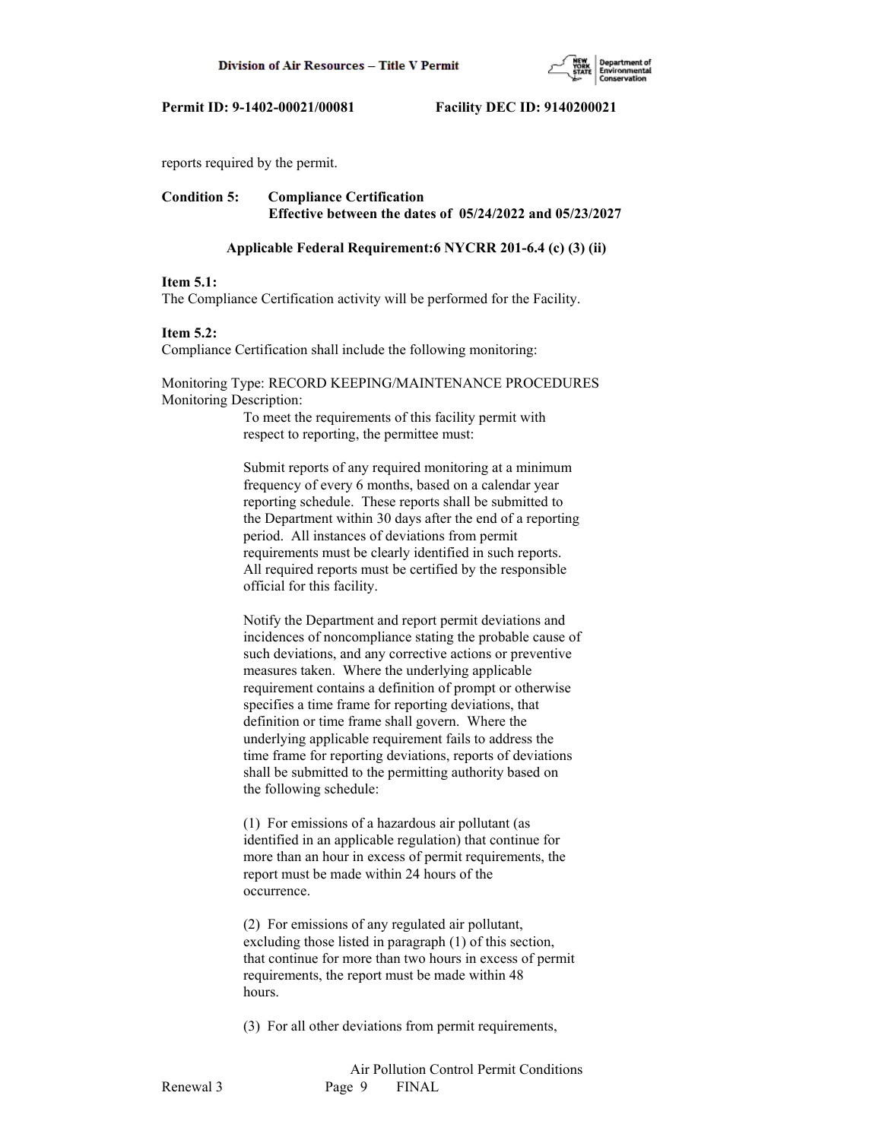

reports required by the permit.

# **Condition 5: Compliance Certification Effective between the dates of 05/24/2022 and 05/23/2027**

#### **Applicable Federal Requirement:6 NYCRR 201-6.4 (c) (3) (ii)**

#### **Item 5.1:**

The Compliance Certification activity will be performed for the Facility.

#### **Item 5.2:**

Compliance Certification shall include the following monitoring:

## Monitoring Type: RECORD KEEPING/MAINTENANCE PROCEDURES Monitoring Description:

 To meet the requirements of this facility permit with respect to reporting, the permittee must:

 Submit reports of any required monitoring at a minimum frequency of every 6 months, based on a calendar year reporting schedule. These reports shall be submitted to the Department within 30 days after the end of a reporting period. All instances of deviations from permit requirements must be clearly identified in such reports. All required reports must be certified by the responsible official for this facility.

 Notify the Department and report permit deviations and incidences of noncompliance stating the probable cause of such deviations, and any corrective actions or preventive measures taken. Where the underlying applicable requirement contains a definition of prompt or otherwise specifies a time frame for reporting deviations, that definition or time frame shall govern. Where the underlying applicable requirement fails to address the time frame for reporting deviations, reports of deviations shall be submitted to the permitting authority based on the following schedule:

 (1) For emissions of a hazardous air pollutant (as identified in an applicable regulation) that continue for more than an hour in excess of permit requirements, the report must be made within 24 hours of the occurrence.

 (2) For emissions of any regulated air pollutant, excluding those listed in paragraph (1) of this section, that continue for more than two hours in excess of permit requirements, the report must be made within 48 hours.

(3) For all other deviations from permit requirements,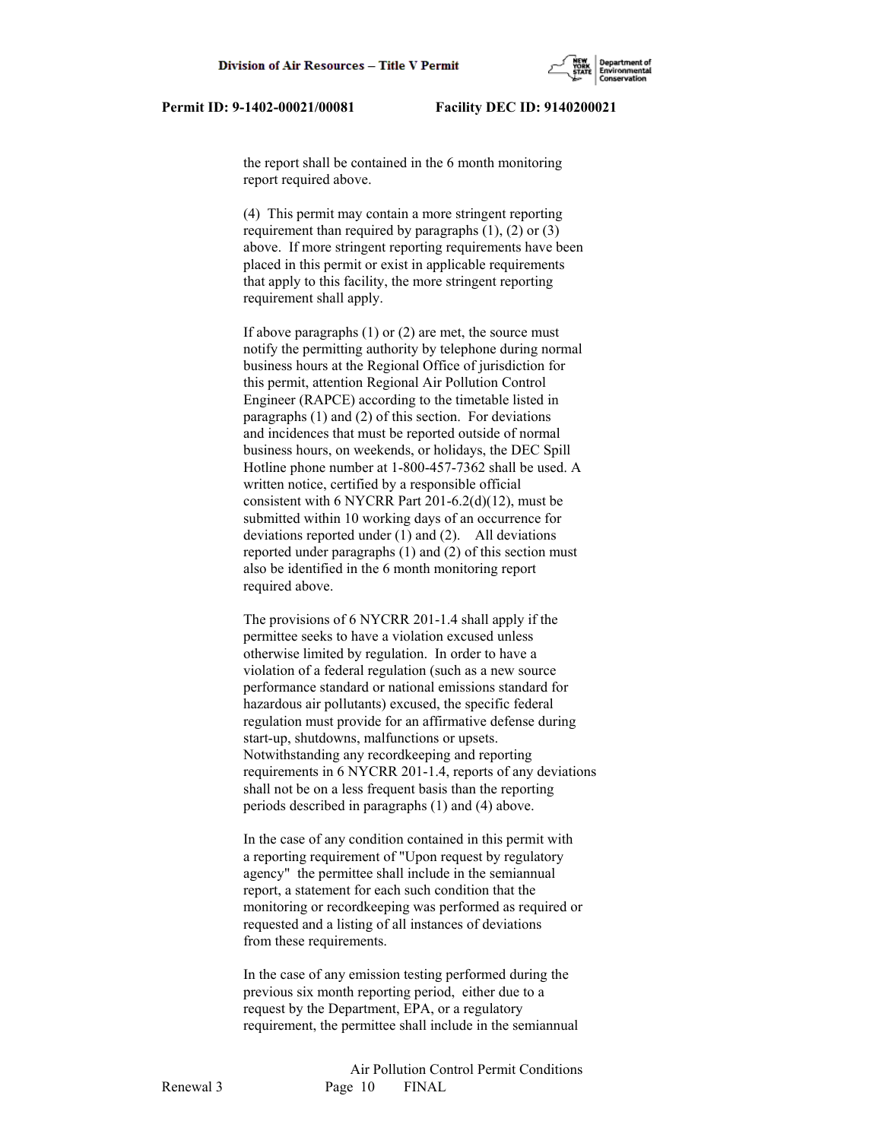the report shall be contained in the 6 month monitoring report required above.

 (4) This permit may contain a more stringent reporting requirement than required by paragraphs  $(1)$ ,  $(2)$  or  $(3)$  above. If more stringent reporting requirements have been placed in this permit or exist in applicable requirements that apply to this facility, the more stringent reporting requirement shall apply.

 If above paragraphs (1) or (2) are met, the source must notify the permitting authority by telephone during normal business hours at the Regional Office of jurisdiction for this permit, attention Regional Air Pollution Control Engineer (RAPCE) according to the timetable listed in paragraphs (1) and (2) of this section. For deviations and incidences that must be reported outside of normal business hours, on weekends, or holidays, the DEC Spill Hotline phone number at 1-800-457-7362 shall be used. A written notice, certified by a responsible official consistent with 6 NYCRR Part 201-6.2(d)(12), must be submitted within 10 working days of an occurrence for deviations reported under (1) and (2). All deviations reported under paragraphs (1) and (2) of this section must also be identified in the 6 month monitoring report required above.

 The provisions of 6 NYCRR 201-1.4 shall apply if the permittee seeks to have a violation excused unless otherwise limited by regulation. In order to have a violation of a federal regulation (such as a new source performance standard or national emissions standard for hazardous air pollutants) excused, the specific federal regulation must provide for an affirmative defense during start-up, shutdowns, malfunctions or upsets. Notwithstanding any recordkeeping and reporting requirements in 6 NYCRR 201-1.4, reports of any deviations shall not be on a less frequent basis than the reporting periods described in paragraphs (1) and (4) above.

 In the case of any condition contained in this permit with a reporting requirement of "Upon request by regulatory agency" the permittee shall include in the semiannual report, a statement for each such condition that the monitoring or recordkeeping was performed as required or requested and a listing of all instances of deviations from these requirements.

 In the case of any emission testing performed during the previous six month reporting period, either due to a request by the Department, EPA, or a regulatory requirement, the permittee shall include in the semiannual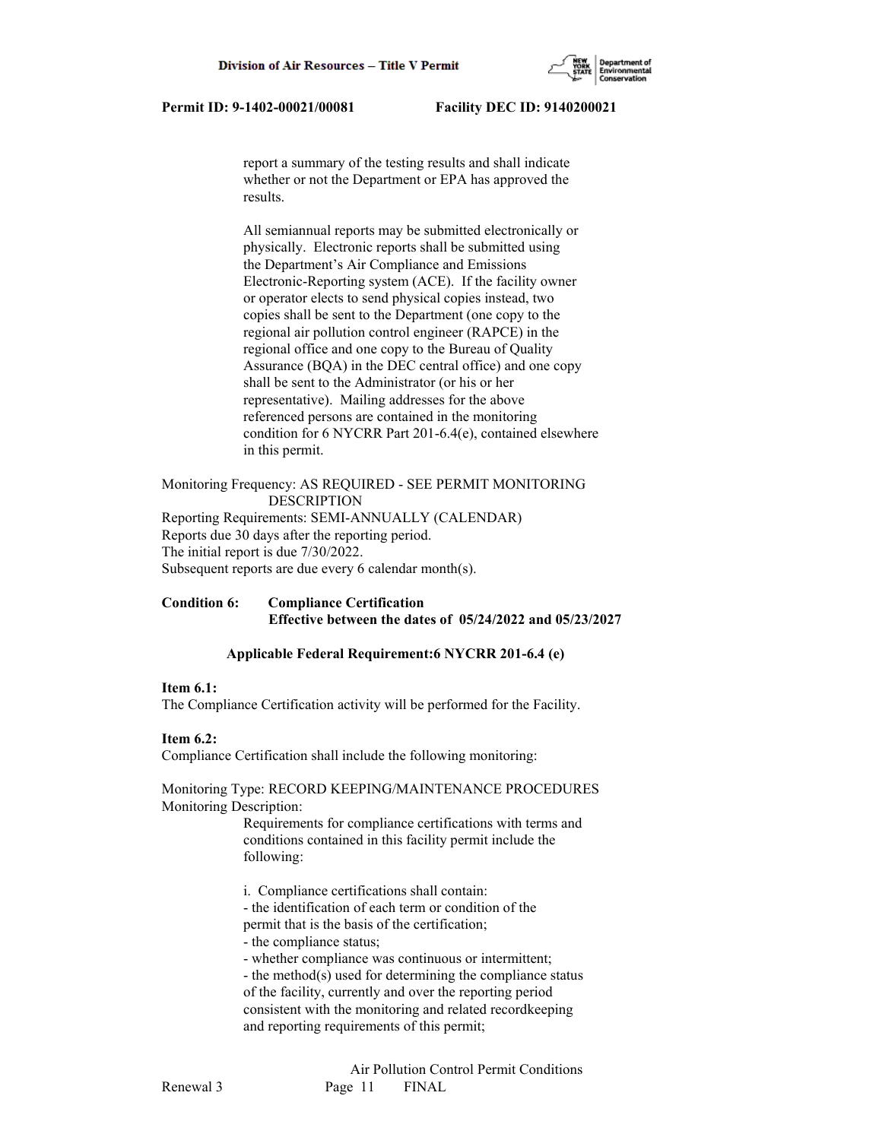

 report a summary of the testing results and shall indicate whether or not the Department or EPA has approved the results.

 All semiannual reports may be submitted electronically or physically. Electronic reports shall be submitted using the Department's Air Compliance and Emissions Electronic-Reporting system (ACE). If the facility owner or operator elects to send physical copies instead, two copies shall be sent to the Department (one copy to the regional air pollution control engineer (RAPCE) in the regional office and one copy to the Bureau of Quality Assurance (BQA) in the DEC central office) and one copy shall be sent to the Administrator (or his or her representative). Mailing addresses for the above referenced persons are contained in the monitoring condition for 6 NYCRR Part 201-6.4(e), contained elsewhere in this permit.

Monitoring Frequency: AS REQUIRED - SEE PERMIT MONITORING DESCRIPTION Reporting Requirements: SEMI-ANNUALLY (CALENDAR) Reports due 30 days after the reporting period. The initial report is due 7/30/2022. Subsequent reports are due every 6 calendar month(s).

# **Condition 6: Compliance Certification Effective between the dates of 05/24/2022 and 05/23/2027**

## **Applicable Federal Requirement:6 NYCRR 201-6.4 (e)**

#### **Item 6.1:**

The Compliance Certification activity will be performed for the Facility.

#### **Item 6.2:**

Compliance Certification shall include the following monitoring:

Monitoring Type: RECORD KEEPING/MAINTENANCE PROCEDURES Monitoring Description:

> Requirements for compliance certifications with terms and conditions contained in this facility permit include the following:

i. Compliance certifications shall contain:

- the identification of each term or condition of the
- permit that is the basis of the certification;
- the compliance status;

- whether compliance was continuous or intermittent;

 - the method(s) used for determining the compliance status of the facility, currently and over the reporting period consistent with the monitoring and related recordkeeping and reporting requirements of this permit;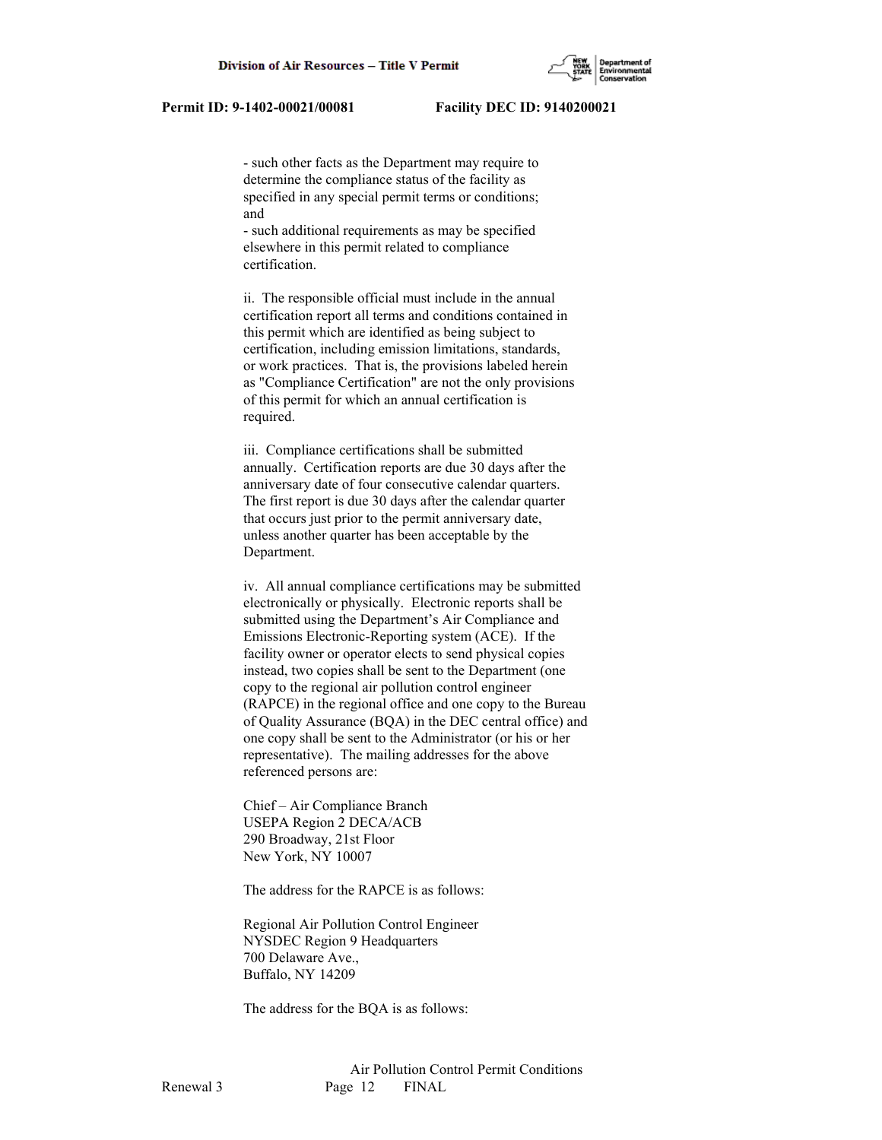- such other facts as the Department may require to determine the compliance status of the facility as specified in any special permit terms or conditions; and

 - such additional requirements as may be specified elsewhere in this permit related to compliance certification.

 ii. The responsible official must include in the annual certification report all terms and conditions contained in this permit which are identified as being subject to certification, including emission limitations, standards, or work practices. That is, the provisions labeled herein as "Compliance Certification" are not the only provisions of this permit for which an annual certification is required.

 iii. Compliance certifications shall be submitted annually. Certification reports are due 30 days after the anniversary date of four consecutive calendar quarters. The first report is due 30 days after the calendar quarter that occurs just prior to the permit anniversary date, unless another quarter has been acceptable by the Department.

 iv. All annual compliance certifications may be submitted electronically or physically. Electronic reports shall be submitted using the Department's Air Compliance and Emissions Electronic-Reporting system (ACE). If the facility owner or operator elects to send physical copies instead, two copies shall be sent to the Department (one copy to the regional air pollution control engineer (RAPCE) in the regional office and one copy to the Bureau of Quality Assurance (BQA) in the DEC central office) and one copy shall be sent to the Administrator (or his or her representative). The mailing addresses for the above referenced persons are:

 Chief – Air Compliance Branch USEPA Region 2 DECA/ACB 290 Broadway, 21st Floor New York, NY 10007

The address for the RAPCE is as follows:

 Regional Air Pollution Control Engineer NYSDEC Region 9 Headquarters 700 Delaware Ave., Buffalo, NY 14209

The address for the BQA is as follows: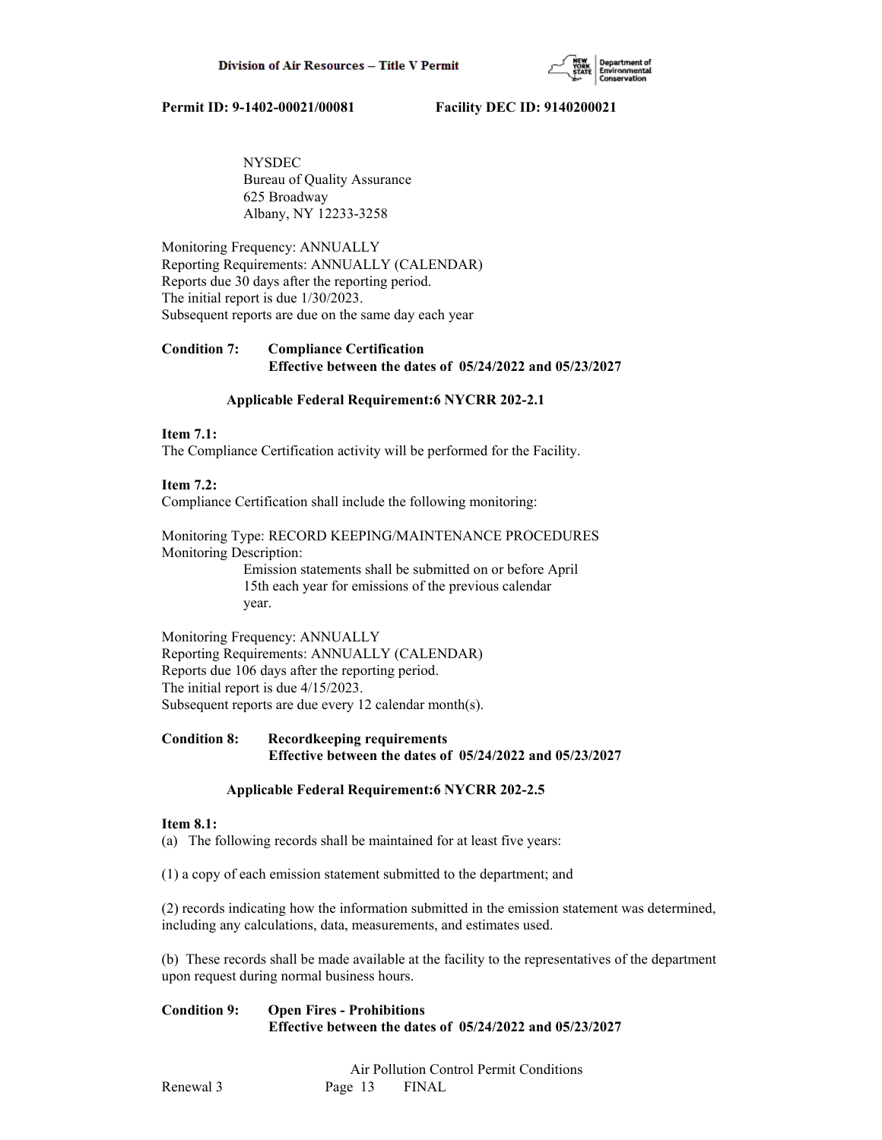

 NYSDEC Bureau of Quality Assurance 625 Broadway Albany, NY 12233-3258

Monitoring Frequency: ANNUALLY Reporting Requirements: ANNUALLY (CALENDAR) Reports due 30 days after the reporting period. The initial report is due 1/30/2023. Subsequent reports are due on the same day each year

# **Condition 7: Compliance Certification Effective between the dates of 05/24/2022 and 05/23/2027**

## **Applicable Federal Requirement:6 NYCRR 202-2.1**

# **Item 7.1:**

The Compliance Certification activity will be performed for the Facility.

## **Item 7.2:**

Compliance Certification shall include the following monitoring:

# Monitoring Type: RECORD KEEPING/MAINTENANCE PROCEDURES Monitoring Description:

 Emission statements shall be submitted on or before April 15th each year for emissions of the previous calendar year.

Monitoring Frequency: ANNUALLY Reporting Requirements: ANNUALLY (CALENDAR) Reports due 106 days after the reporting period. The initial report is due 4/15/2023. Subsequent reports are due every 12 calendar month(s).

# **Condition 8: Recordkeeping requirements Effective between the dates of 05/24/2022 and 05/23/2027**

# **Applicable Federal Requirement:6 NYCRR 202-2.5**

## **Item 8.1:**

(a) The following records shall be maintained for at least five years:

(1) a copy of each emission statement submitted to the department; and

(2) records indicating how the information submitted in the emission statement was determined, including any calculations, data, measurements, and estimates used.

(b) These records shall be made available at the facility to the representatives of the department upon request during normal business hours.

# **Condition 9: Open Fires - Prohibitions Effective between the dates of 05/24/2022 and 05/23/2027**

 Air Pollution Control Permit Conditions Renewal 3 Page 13 FINAL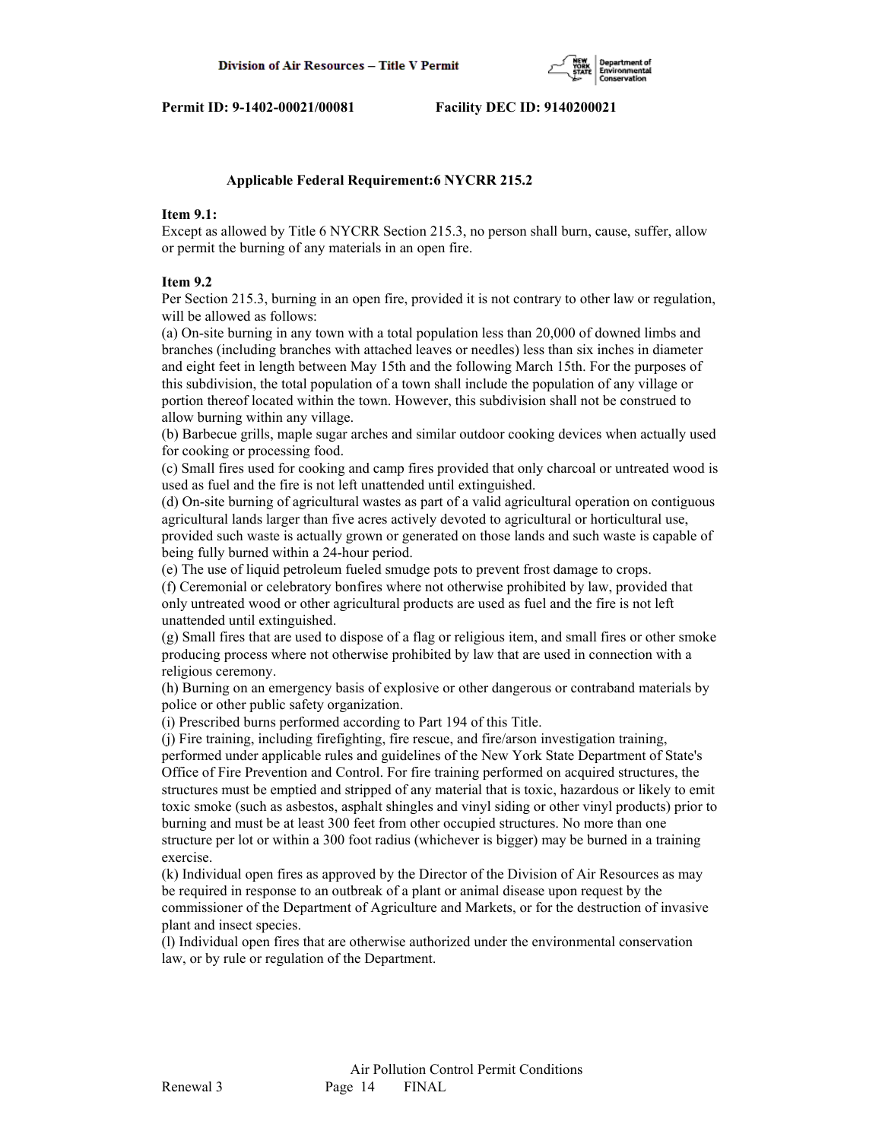

#### **Applicable Federal Requirement:6 NYCRR 215.2**

## **Item 9.1:**

Except as allowed by Title 6 NYCRR Section 215.3, no person shall burn, cause, suffer, allow or permit the burning of any materials in an open fire.

## **Item 9.2**

Per Section 215.3, burning in an open fire, provided it is not contrary to other law or regulation, will be allowed as follows:

(a) On-site burning in any town with a total population less than 20,000 of downed limbs and branches (including branches with attached leaves or needles) less than six inches in diameter and eight feet in length between May 15th and the following March 15th. For the purposes of this subdivision, the total population of a town shall include the population of any village or portion thereof located within the town. However, this subdivision shall not be construed to allow burning within any village.

(b) Barbecue grills, maple sugar arches and similar outdoor cooking devices when actually used for cooking or processing food.

(c) Small fires used for cooking and camp fires provided that only charcoal or untreated wood is used as fuel and the fire is not left unattended until extinguished.

(d) On-site burning of agricultural wastes as part of a valid agricultural operation on contiguous agricultural lands larger than five acres actively devoted to agricultural or horticultural use, provided such waste is actually grown or generated on those lands and such waste is capable of being fully burned within a 24-hour period.

(e) The use of liquid petroleum fueled smudge pots to prevent frost damage to crops.

(f) Ceremonial or celebratory bonfires where not otherwise prohibited by law, provided that only untreated wood or other agricultural products are used as fuel and the fire is not left unattended until extinguished.

(g) Small fires that are used to dispose of a flag or religious item, and small fires or other smoke producing process where not otherwise prohibited by law that are used in connection with a religious ceremony.

(h) Burning on an emergency basis of explosive or other dangerous or contraband materials by police or other public safety organization.

(i) Prescribed burns performed according to Part 194 of this Title.

(j) Fire training, including firefighting, fire rescue, and fire/arson investigation training, performed under applicable rules and guidelines of the New York State Department of State's Office of Fire Prevention and Control. For fire training performed on acquired structures, the structures must be emptied and stripped of any material that is toxic, hazardous or likely to emit toxic smoke (such as asbestos, asphalt shingles and vinyl siding or other vinyl products) prior to burning and must be at least 300 feet from other occupied structures. No more than one structure per lot or within a 300 foot radius (whichever is bigger) may be burned in a training exercise.

(k) Individual open fires as approved by the Director of the Division of Air Resources as may be required in response to an outbreak of a plant or animal disease upon request by the commissioner of the Department of Agriculture and Markets, or for the destruction of invasive plant and insect species.

(l) Individual open fires that are otherwise authorized under the environmental conservation law, or by rule or regulation of the Department.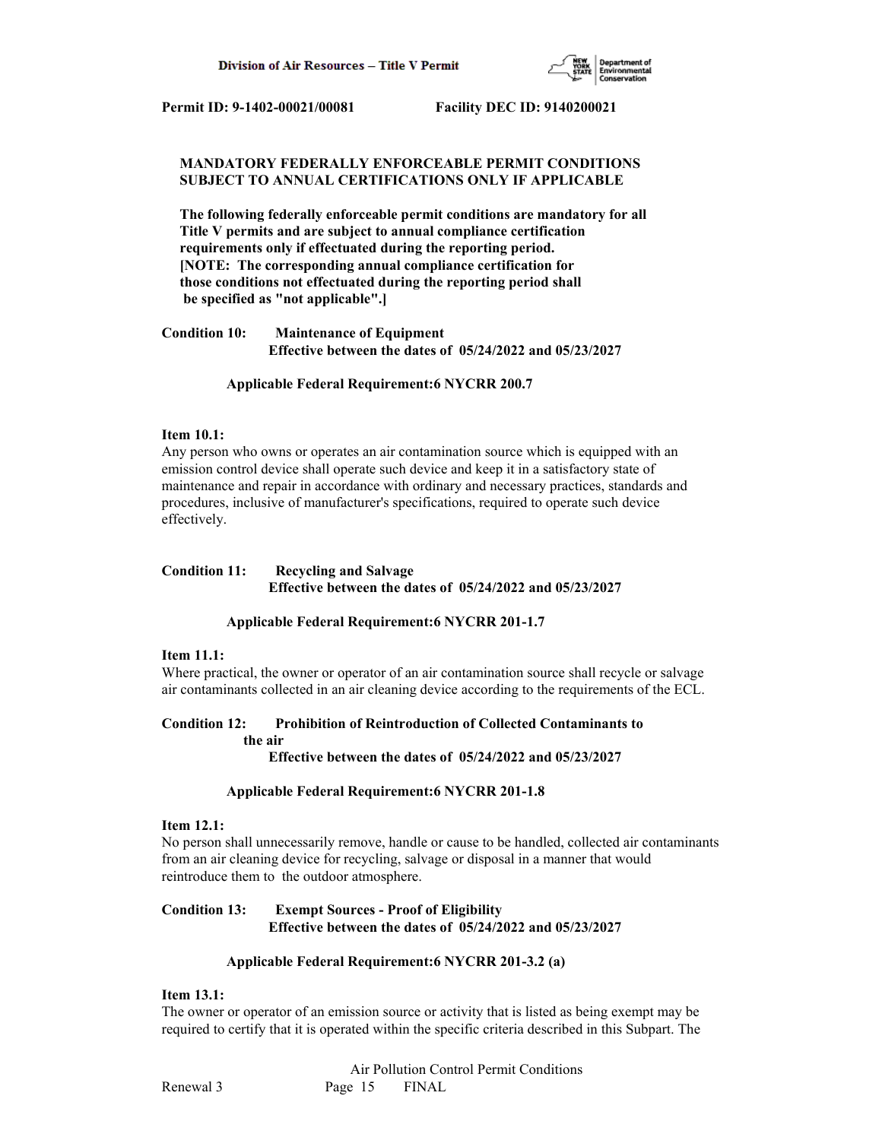

## **MANDATORY FEDERALLY ENFORCEABLE PERMIT CONDITIONS SUBJECT TO ANNUAL CERTIFICATIONS ONLY IF APPLICABLE**

 **The following federally enforceable permit conditions are mandatory for all Title V permits and are subject to annual compliance certification requirements only if effectuated during the reporting period. [NOTE: The corresponding annual compliance certification for those conditions not effectuated during the reporting period shall be specified as "not applicable".]**

**Condition 10: Maintenance of Equipment Effective between the dates of 05/24/2022 and 05/23/2027**

## **Applicable Federal Requirement:6 NYCRR 200.7**

# **Item 10.1:**

Any person who owns or operates an air contamination source which is equipped with an emission control device shall operate such device and keep it in a satisfactory state of maintenance and repair in accordance with ordinary and necessary practices, standards and procedures, inclusive of manufacturer's specifications, required to operate such device effectively.

# **Condition 11: Recycling and Salvage Effective between the dates of 05/24/2022 and 05/23/2027**

## **Applicable Federal Requirement:6 NYCRR 201-1.7**

## **Item 11.1:**

Where practical, the owner or operator of an air contamination source shall recycle or salvage air contaminants collected in an air cleaning device according to the requirements of the ECL.

#### **Condition 12: Prohibition of Reintroduction of Collected Contaminants to the air Effective between the dates of 05/24/2022 and 05/23/2027**

## **Applicable Federal Requirement:6 NYCRR 201-1.8**

## **Item 12.1:**

No person shall unnecessarily remove, handle or cause to be handled, collected air contaminants from an air cleaning device for recycling, salvage or disposal in a manner that would reintroduce them to the outdoor atmosphere.

# **Condition 13: Exempt Sources - Proof of Eligibility Effective between the dates of 05/24/2022 and 05/23/2027**

## **Applicable Federal Requirement:6 NYCRR 201-3.2 (a)**

## **Item 13.1:**

The owner or operator of an emission source or activity that is listed as being exempt may be required to certify that it is operated within the specific criteria described in this Subpart. The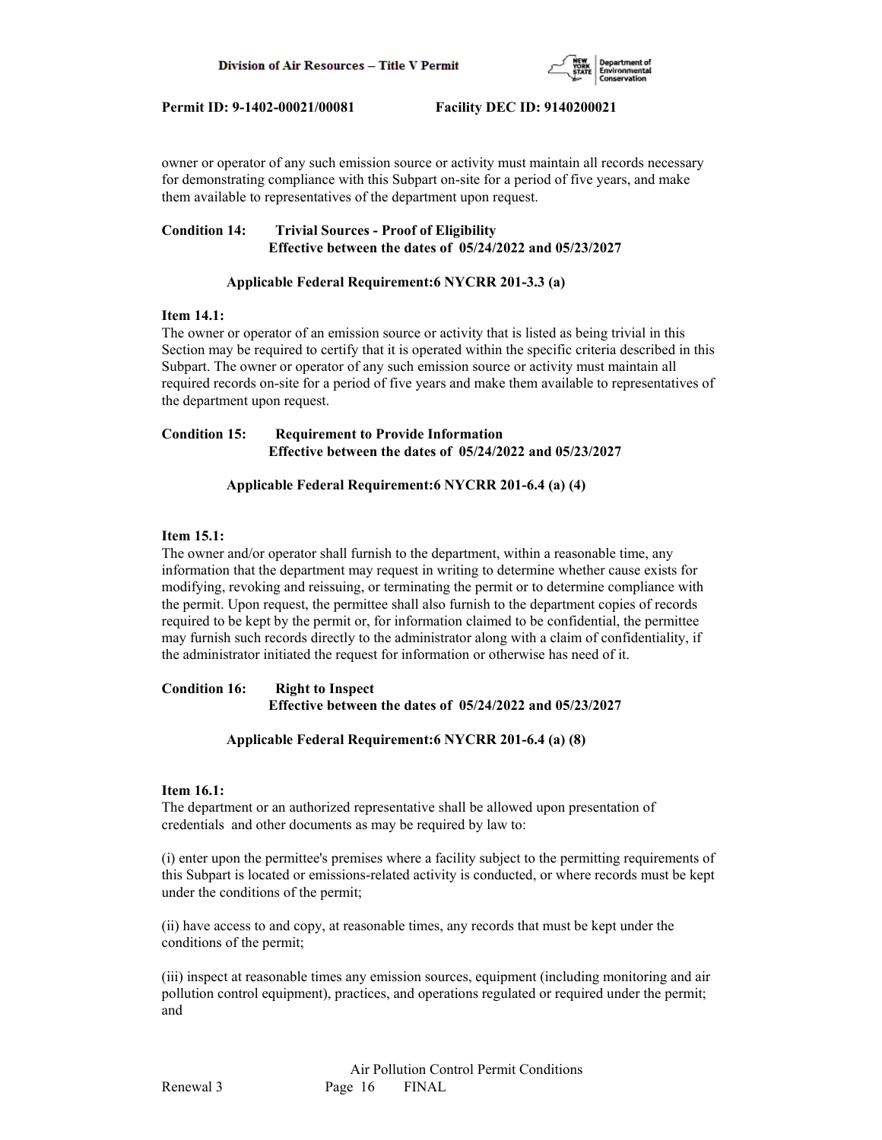

owner or operator of any such emission source or activity must maintain all records necessary for demonstrating compliance with this Subpart on-site for a period of five years, and make them available to representatives of the department upon request.

# **Condition 14: Trivial Sources - Proof of Eligibility Effective between the dates of 05/24/2022 and 05/23/2027**

# **Applicable Federal Requirement:6 NYCRR 201-3.3 (a)**

# **Item 14.1:**

The owner or operator of an emission source or activity that is listed as being trivial in this Section may be required to certify that it is operated within the specific criteria described in this Subpart. The owner or operator of any such emission source or activity must maintain all required records on-site for a period of five years and make them available to representatives of the department upon request.

# **Condition 15: Requirement to Provide Information Effective between the dates of 05/24/2022 and 05/23/2027**

# **Applicable Federal Requirement:6 NYCRR 201-6.4 (a) (4)**

## **Item 15.1:**

The owner and/or operator shall furnish to the department, within a reasonable time, any information that the department may request in writing to determine whether cause exists for modifying, revoking and reissuing, or terminating the permit or to determine compliance with the permit. Upon request, the permittee shall also furnish to the department copies of records required to be kept by the permit or, for information claimed to be confidential, the permittee may furnish such records directly to the administrator along with a claim of confidentiality, if the administrator initiated the request for information or otherwise has need of it.

## **Condition 16: Right to Inspect Effective between the dates of 05/24/2022 and 05/23/2027**

# **Applicable Federal Requirement:6 NYCRR 201-6.4 (a) (8)**

## **Item 16.1:**

The department or an authorized representative shall be allowed upon presentation of credentials and other documents as may be required by law to:

(i) enter upon the permittee's premises where a facility subject to the permitting requirements of this Subpart is located or emissions-related activity is conducted, or where records must be kept under the conditions of the permit;

(ii) have access to and copy, at reasonable times, any records that must be kept under the conditions of the permit;

(iii) inspect at reasonable times any emission sources, equipment (including monitoring and air pollution control equipment), practices, and operations regulated or required under the permit; and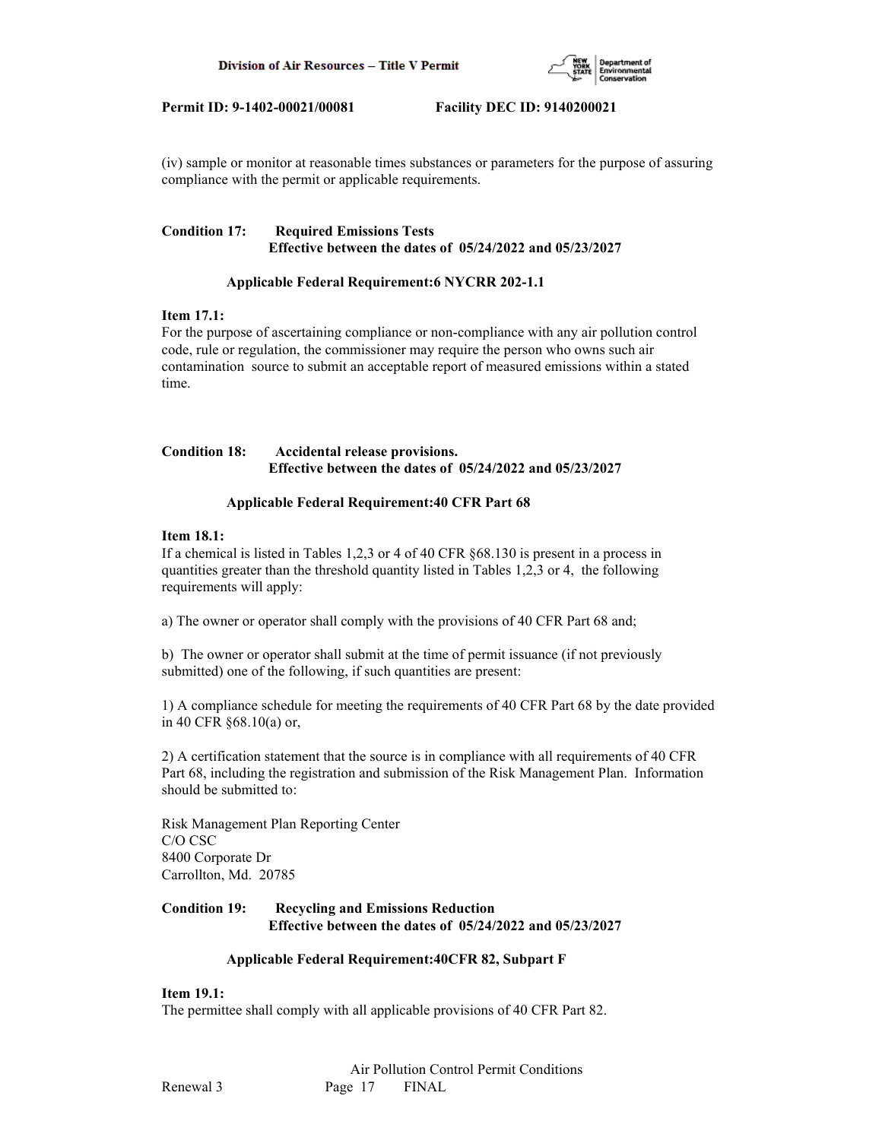

(iv) sample or monitor at reasonable times substances or parameters for the purpose of assuring compliance with the permit or applicable requirements.

## **Condition 17: Required Emissions Tests Effective between the dates of 05/24/2022 and 05/23/2027**

## **Applicable Federal Requirement:6 NYCRR 202-1.1**

# **Item 17.1:**

For the purpose of ascertaining compliance or non-compliance with any air pollution control code, rule or regulation, the commissioner may require the person who owns such air contamination source to submit an acceptable report of measured emissions within a stated time.

## **Condition 18: Accidental release provisions. Effective between the dates of 05/24/2022 and 05/23/2027**

## **Applicable Federal Requirement:40 CFR Part 68**

## **Item 18.1:**

If a chemical is listed in Tables 1,2,3 or 4 of 40 CFR §68.130 is present in a process in quantities greater than the threshold quantity listed in Tables 1,2,3 or 4, the following requirements will apply:

a) The owner or operator shall comply with the provisions of 40 CFR Part 68 and;

b) The owner or operator shall submit at the time of permit issuance (if not previously submitted) one of the following, if such quantities are present:

1) A compliance schedule for meeting the requirements of 40 CFR Part 68 by the date provided in 40 CFR §68.10(a) or,

2) A certification statement that the source is in compliance with all requirements of 40 CFR Part 68, including the registration and submission of the Risk Management Plan. Information should be submitted to:

Risk Management Plan Reporting Center C/O CSC 8400 Corporate Dr Carrollton, Md. 20785

# **Condition 19: Recycling and Emissions Reduction Effective between the dates of 05/24/2022 and 05/23/2027**

## **Applicable Federal Requirement:40CFR 82, Subpart F**

## **Item 19.1:**

The permittee shall comply with all applicable provisions of 40 CFR Part 82.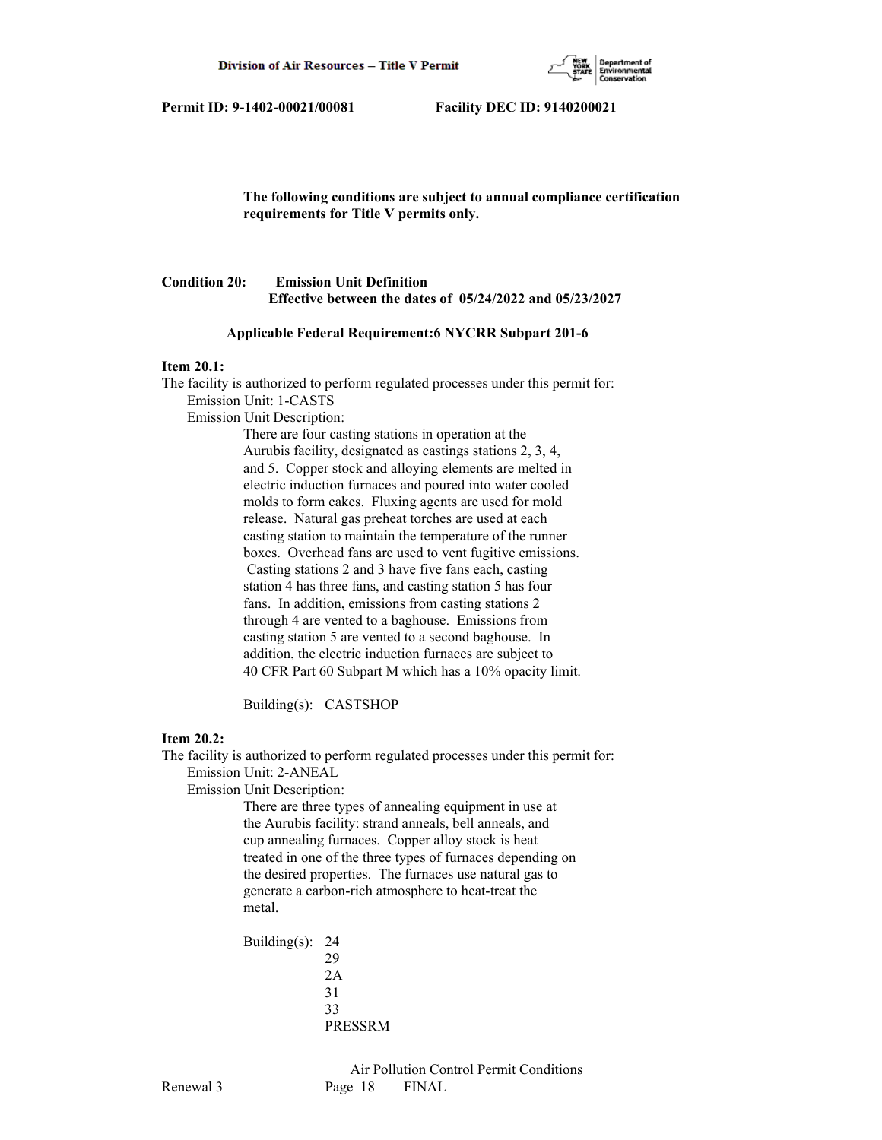

# **The following conditions are subject to annual compliance certification requirements for Title V permits only.**

# **Condition 20: Emission Unit Definition Effective between the dates of 05/24/2022 and 05/23/2027**

## **Applicable Federal Requirement:6 NYCRR Subpart 201-6**

#### **Item 20.1:**

The facility is authorized to perform regulated processes under this permit for: Emission Unit: 1-CASTS

Emission Unit Description:

 There are four casting stations in operation at the Aurubis facility, designated as castings stations 2, 3, 4, and 5. Copper stock and alloying elements are melted in electric induction furnaces and poured into water cooled molds to form cakes. Fluxing agents are used for mold release. Natural gas preheat torches are used at each casting station to maintain the temperature of the runner boxes. Overhead fans are used to vent fugitive emissions. Casting stations 2 and 3 have five fans each, casting station 4 has three fans, and casting station 5 has four fans. In addition, emissions from casting stations 2 through 4 are vented to a baghouse. Emissions from casting station 5 are vented to a second baghouse. In addition, the electric induction furnaces are subject to 40 CFR Part 60 Subpart M which has a 10% opacity limit.

Building(s): CASTSHOP

## **Item 20.2:**

The facility is authorized to perform regulated processes under this permit for: Emission Unit: 2-ANEAL

Emission Unit Description:

 There are three types of annealing equipment in use at the Aurubis facility: strand anneals, bell anneals, and cup annealing furnaces. Copper alloy stock is heat treated in one of the three types of furnaces depending on the desired properties. The furnaces use natural gas to generate a carbon-rich atmosphere to heat-treat the metal.

 Building(s): 24 29 2A 31 33 PRESSRM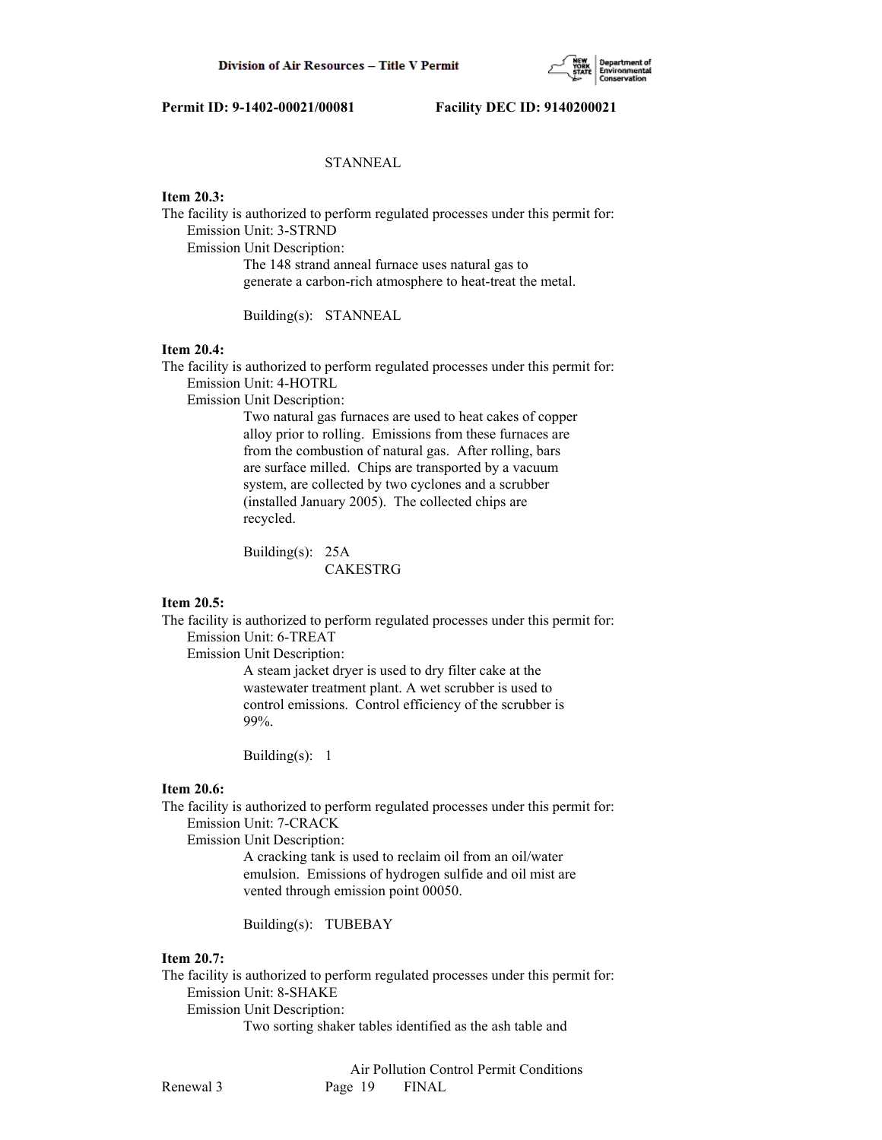

# **STANNEAL**

## **Item 20.3:**

The facility is authorized to perform regulated processes under this permit for: Emission Unit: 3-STRND

Emission Unit Description:

 The 148 strand anneal furnace uses natural gas to generate a carbon-rich atmosphere to heat-treat the metal.

Building(s): STANNEAL

## **Item 20.4:**

The facility is authorized to perform regulated processes under this permit for: Emission Unit: 4-HOTRL

Emission Unit Description:

 Two natural gas furnaces are used to heat cakes of copper alloy prior to rolling. Emissions from these furnaces are from the combustion of natural gas. After rolling, bars are surface milled. Chips are transported by a vacuum system, are collected by two cyclones and a scrubber (installed January 2005). The collected chips are recycled.

 Building(s): 25A CAKESTRG

#### **Item 20.5:**

The facility is authorized to perform regulated processes under this permit for: Emission Unit: 6-TREAT

Emission Unit Description:

 A steam jacket dryer is used to dry filter cake at the wastewater treatment plant. A wet scrubber is used to control emissions. Control efficiency of the scrubber is 99%.

Building(s): 1

#### **Item 20.6:**

The facility is authorized to perform regulated processes under this permit for: Emission Unit: 7-CRACK

Emission Unit Description:

 A cracking tank is used to reclaim oil from an oil/water emulsion. Emissions of hydrogen sulfide and oil mist are vented through emission point 00050.

Building(s): TUBEBAY

# **Item 20.7:**

The facility is authorized to perform regulated processes under this permit for: Emission Unit: 8-SHAKE

Emission Unit Description:

Two sorting shaker tables identified as the ash table and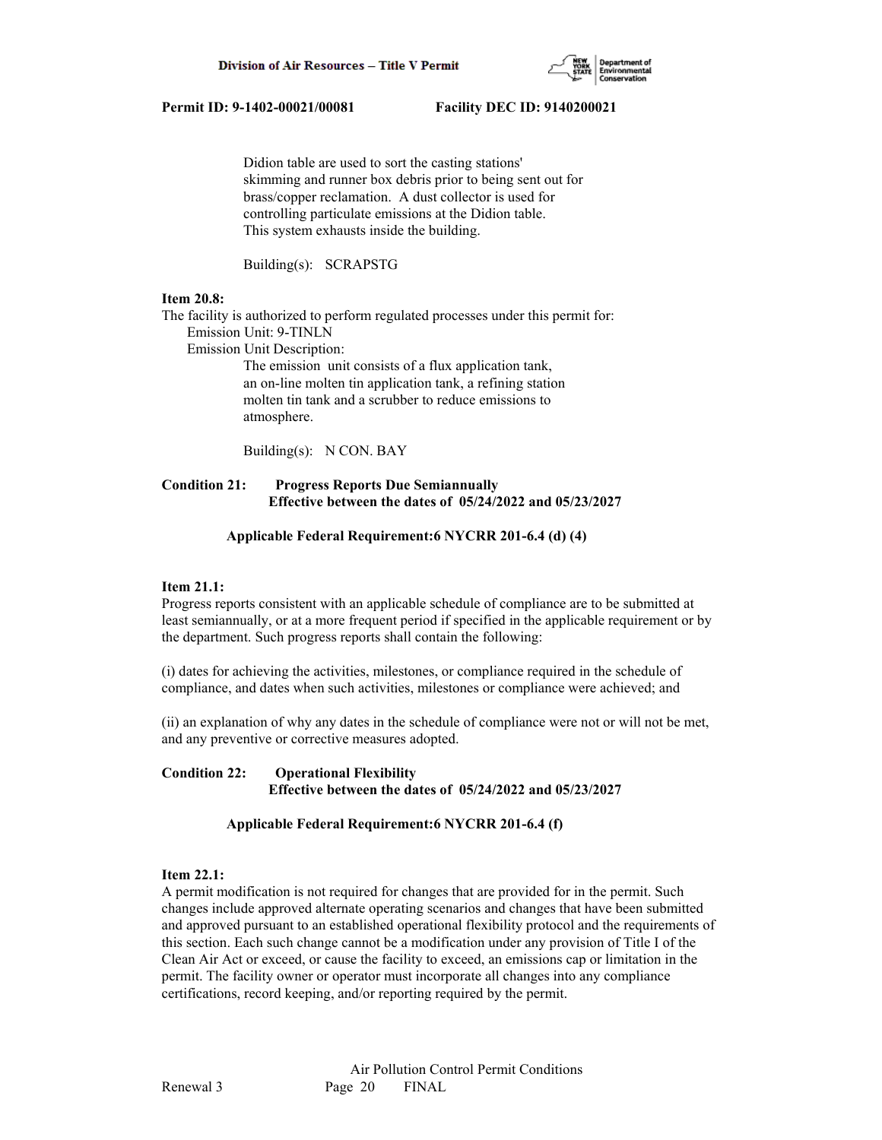

 Didion table are used to sort the casting stations' skimming and runner box debris prior to being sent out for brass/copper reclamation. A dust collector is used for controlling particulate emissions at the Didion table. This system exhausts inside the building.

Building(s): SCRAPSTG

#### **Item 20.8:**

The facility is authorized to perform regulated processes under this permit for:

Emission Unit: 9-TINLN

Emission Unit Description:

 The emission unit consists of a flux application tank, an on-line molten tin application tank, a refining station molten tin tank and a scrubber to reduce emissions to atmosphere.

Building(s): N CON. BAY

# **Condition 21: Progress Reports Due Semiannually Effective between the dates of 05/24/2022 and 05/23/2027**

#### **Applicable Federal Requirement:6 NYCRR 201-6.4 (d) (4)**

## **Item 21.1:**

Progress reports consistent with an applicable schedule of compliance are to be submitted at least semiannually, or at a more frequent period if specified in the applicable requirement or by the department. Such progress reports shall contain the following:

(i) dates for achieving the activities, milestones, or compliance required in the schedule of compliance, and dates when such activities, milestones or compliance were achieved; and

(ii) an explanation of why any dates in the schedule of compliance were not or will not be met, and any preventive or corrective measures adopted.

## **Condition 22: Operational Flexibility Effective between the dates of 05/24/2022 and 05/23/2027**

## **Applicable Federal Requirement:6 NYCRR 201-6.4 (f)**

## **Item 22.1:**

A permit modification is not required for changes that are provided for in the permit. Such changes include approved alternate operating scenarios and changes that have been submitted and approved pursuant to an established operational flexibility protocol and the requirements of this section. Each such change cannot be a modification under any provision of Title I of the Clean Air Act or exceed, or cause the facility to exceed, an emissions cap or limitation in the permit. The facility owner or operator must incorporate all changes into any compliance certifications, record keeping, and/or reporting required by the permit.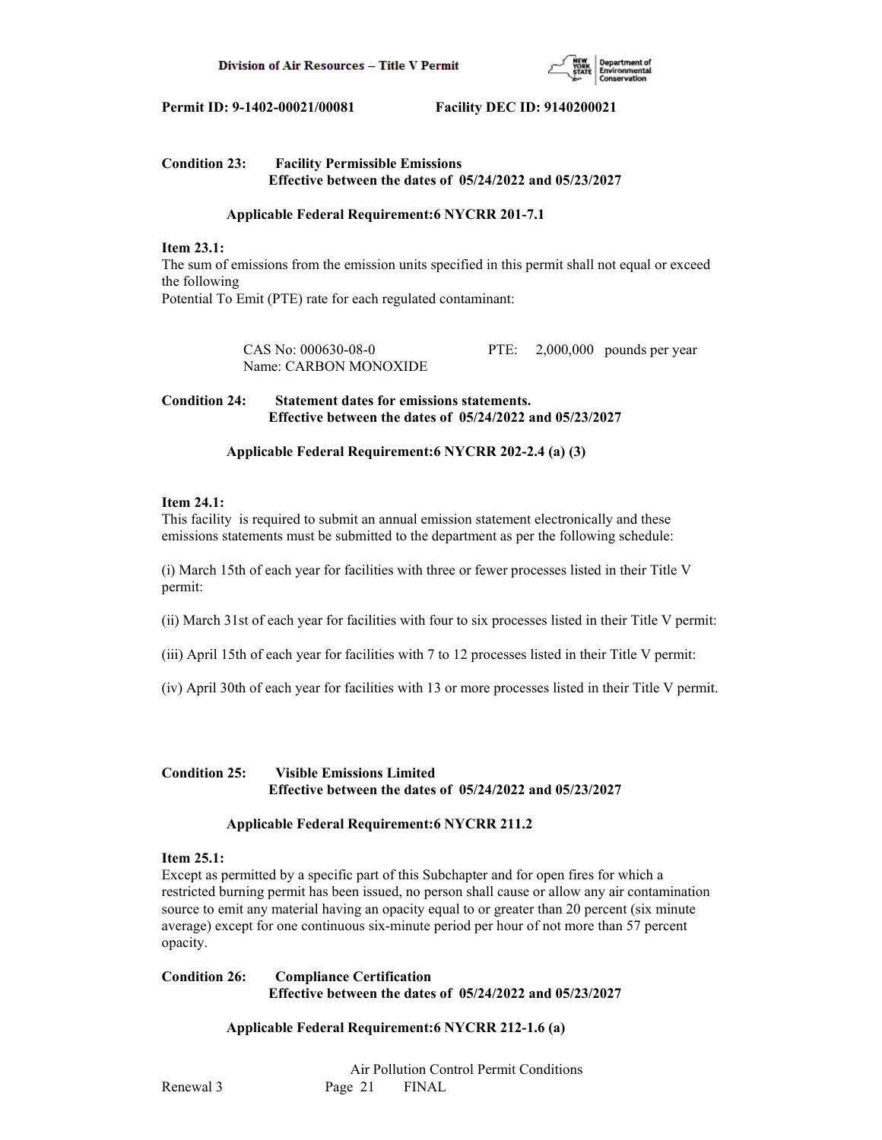

# **Condition 23: Facility Permissible Emissions Effective between the dates of 05/24/2022 and 05/23/2027**

## **Applicable Federal Requirement:6 NYCRR 201-7.1**

#### **Item 23.1:**

The sum of emissions from the emission units specified in this permit shall not equal or exceed the following Potential To Emit (PTE) rate for each regulated contaminant:

> CAS No: 000630-08-0 PTE: 2,000,000 pounds per year Name: CARBON MONOXIDE

## **Condition 24: Statement dates for emissions statements. Effective between the dates of 05/24/2022 and 05/23/2027**

## **Applicable Federal Requirement:6 NYCRR 202-2.4 (a) (3)**

# **Item 24.1:**

This facility is required to submit an annual emission statement electronically and these emissions statements must be submitted to the department as per the following schedule:

(i) March 15th of each year for facilities with three or fewer processes listed in their Title V permit:

(ii) March 31st of each year for facilities with four to six processes listed in their Title V permit:

- (iii) April 15th of each year for facilities with 7 to 12 processes listed in their Title V permit:
- (iv) April 30th of each year for facilities with 13 or more processes listed in their Title V permit.

## **Condition 25: Visible Emissions Limited Effective between the dates of 05/24/2022 and 05/23/2027**

## **Applicable Federal Requirement:6 NYCRR 211.2**

## **Item 25.1:**

Except as permitted by a specific part of this Subchapter and for open fires for which a restricted burning permit has been issued, no person shall cause or allow any air contamination source to emit any material having an opacity equal to or greater than 20 percent (six minute average) except for one continuous six-minute period per hour of not more than 57 percent opacity.

# **Condition 26: Compliance Certification Effective between the dates of 05/24/2022 and 05/23/2027**

# **Applicable Federal Requirement:6 NYCRR 212-1.6 (a)**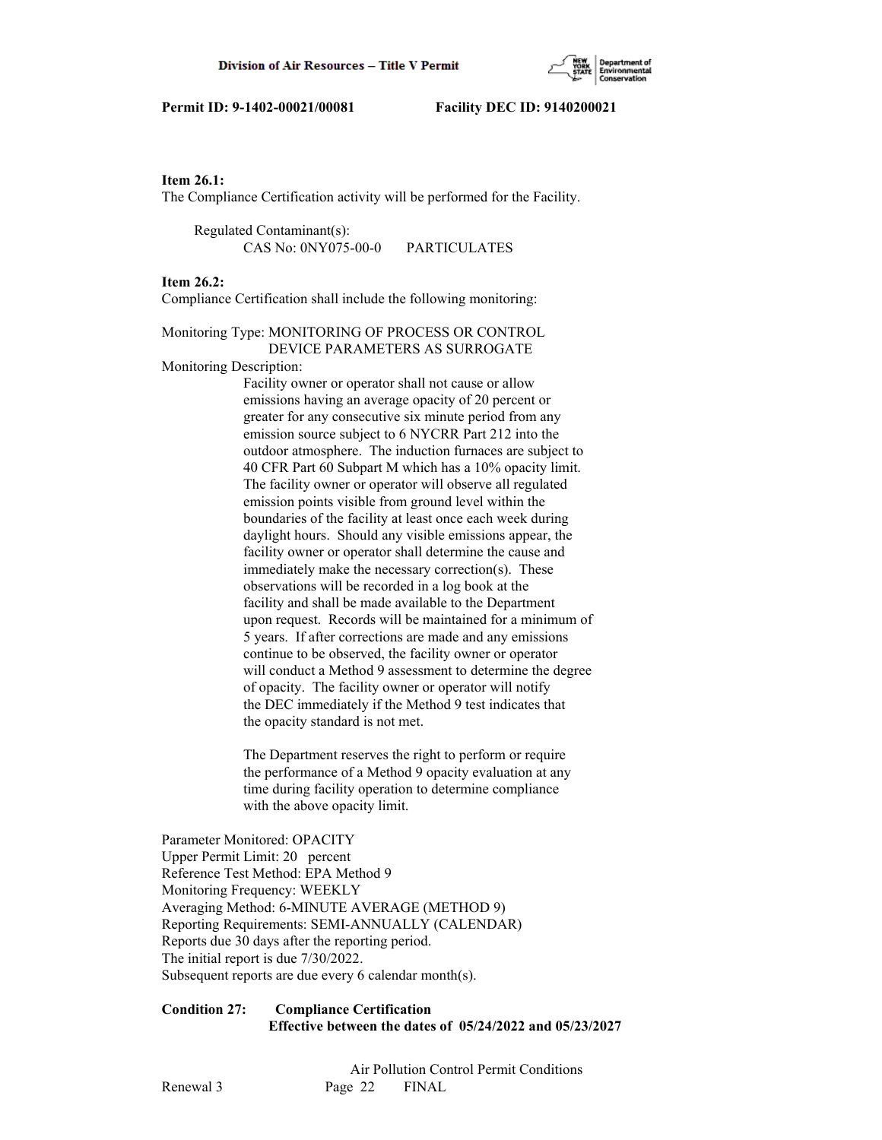

### **Item 26.1:**

The Compliance Certification activity will be performed for the Facility.

 Regulated Contaminant(s): CAS No: 0NY075-00-0 PARTICULATES

## **Item 26.2:**

Compliance Certification shall include the following monitoring:

# Monitoring Type: MONITORING OF PROCESS OR CONTROL DEVICE PARAMETERS AS SURROGATE

Monitoring Description:

 Facility owner or operator shall not cause or allow emissions having an average opacity of 20 percent or greater for any consecutive six minute period from any emission source subject to 6 NYCRR Part 212 into the outdoor atmosphere. The induction furnaces are subject to 40 CFR Part 60 Subpart M which has a 10% opacity limit. The facility owner or operator will observe all regulated emission points visible from ground level within the boundaries of the facility at least once each week during daylight hours. Should any visible emissions appear, the facility owner or operator shall determine the cause and immediately make the necessary correction(s). These observations will be recorded in a log book at the facility and shall be made available to the Department upon request. Records will be maintained for a minimum of 5 years. If after corrections are made and any emissions continue to be observed, the facility owner or operator will conduct a Method 9 assessment to determine the degree of opacity. The facility owner or operator will notify the DEC immediately if the Method 9 test indicates that the opacity standard is not met.

 The Department reserves the right to perform or require the performance of a Method 9 opacity evaluation at any time during facility operation to determine compliance with the above opacity limit.

Parameter Monitored: OPACITY Upper Permit Limit: 20 percent Reference Test Method: EPA Method 9 Monitoring Frequency: WEEKLY Averaging Method: 6-MINUTE AVERAGE (METHOD 9) Reporting Requirements: SEMI-ANNUALLY (CALENDAR) Reports due 30 days after the reporting period. The initial report is due 7/30/2022. Subsequent reports are due every 6 calendar month(s).

## **Condition 27: Compliance Certification Effective between the dates of 05/24/2022 and 05/23/2027**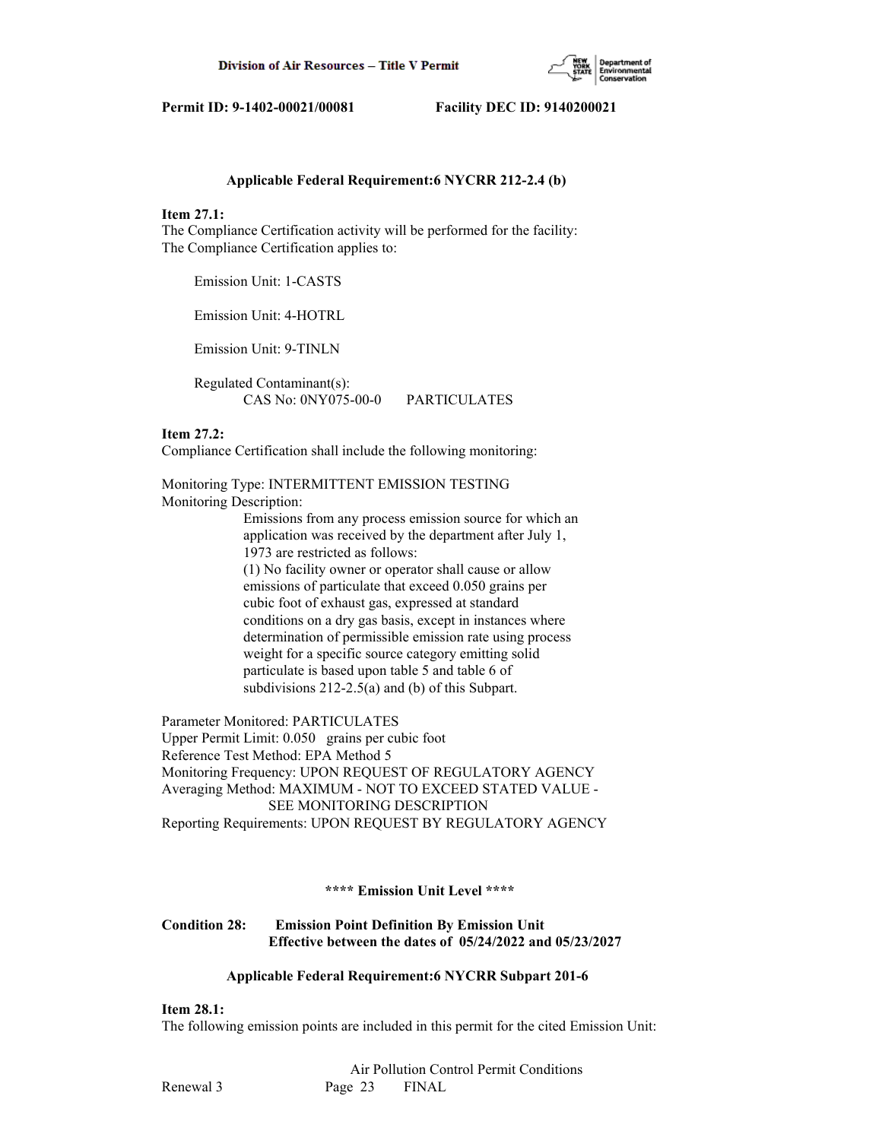

#### **Applicable Federal Requirement:6 NYCRR 212-2.4 (b)**

#### **Item 27.1:**

The Compliance Certification activity will be performed for the facility: The Compliance Certification applies to:

Emission Unit: 1-CASTS

Emission Unit: 4-HOTRL

Emission Unit: 9-TINLN

 Regulated Contaminant(s): CAS No: 0NY075-00-0 PARTICULATES

## **Item 27.2:**

Compliance Certification shall include the following monitoring:

Monitoring Type: INTERMITTENT EMISSION TESTING Monitoring Description:

> Emissions from any process emission source for which an application was received by the department after July 1, 1973 are restricted as follows: (1) No facility owner or operator shall cause or allow emissions of particulate that exceed 0.050 grains per cubic foot of exhaust gas, expressed at standard conditions on a dry gas basis, except in instances where determination of permissible emission rate using process weight for a specific source category emitting solid particulate is based upon table 5 and table 6 of subdivisions 212-2.5(a) and (b) of this Subpart.

Parameter Monitored: PARTICULATES Upper Permit Limit: 0.050 grains per cubic foot Reference Test Method: EPA Method 5 Monitoring Frequency: UPON REQUEST OF REGULATORY AGENCY Averaging Method: MAXIMUM - NOT TO EXCEED STATED VALUE - SEE MONITORING DESCRIPTION Reporting Requirements: UPON REQUEST BY REGULATORY AGENCY

#### **\*\*\*\* Emission Unit Level \*\*\*\***

# **Condition 28: Emission Point Definition By Emission Unit Effective between the dates of 05/24/2022 and 05/23/2027**

#### **Applicable Federal Requirement:6 NYCRR Subpart 201-6**

**Item 28.1:**

The following emission points are included in this permit for the cited Emission Unit: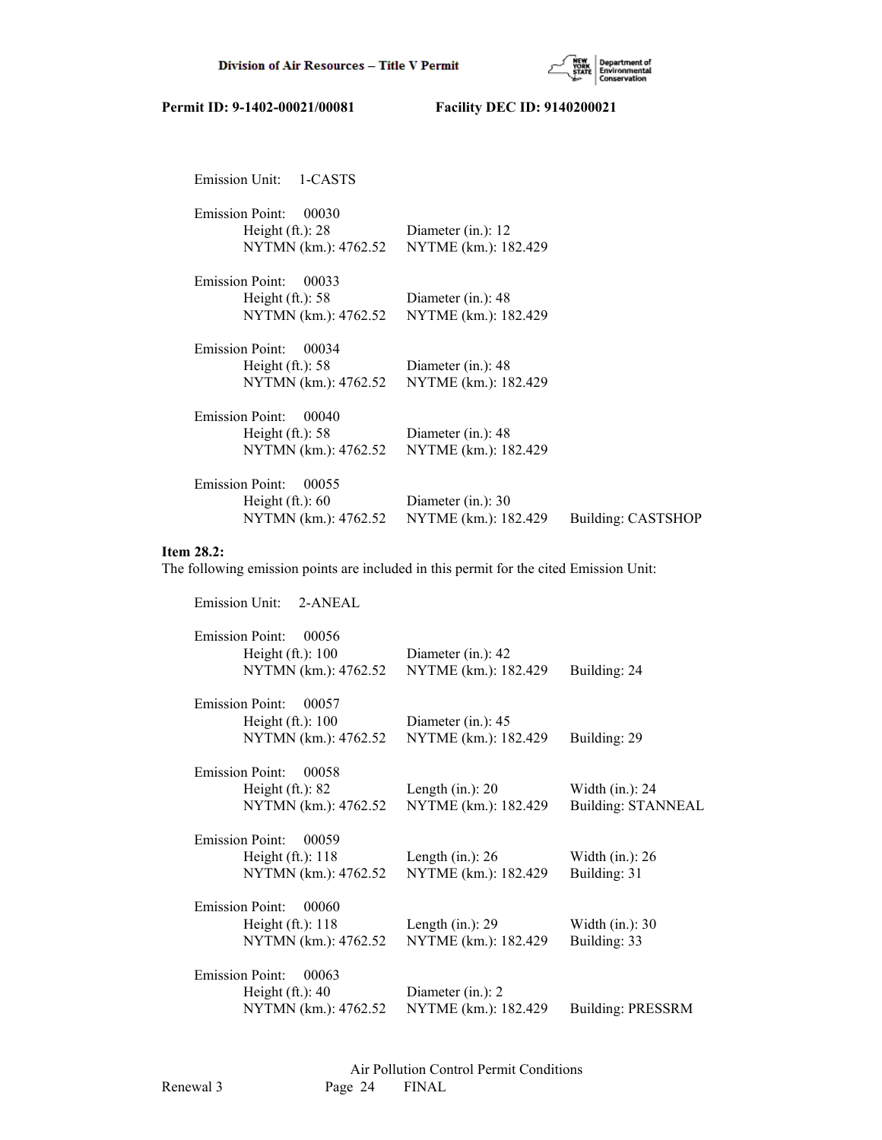

| Emission Unit:<br>1-CASTS       |                       |                    |
|---------------------------------|-----------------------|--------------------|
| <b>Emission Point:</b><br>00030 |                       |                    |
| Height $(ft.)$ : 28             | Diameter (in.): $12$  |                    |
| NYTMN (km.): 4762.52            | NYTME (km.): 182.429  |                    |
| <b>Emission Point:</b><br>00033 |                       |                    |
| Height $(ft.)$ : 58             | Diameter $(in.)$ : 48 |                    |
| NYTMN (km.): 4762.52            | NYTME (km.): 182.429  |                    |
| <b>Emission Point:</b><br>00034 |                       |                    |
| Height $(ft.)$ : 58             | Diameter $(in.)$ : 48 |                    |
| NYTMN (km.): 4762.52            | NYTME (km.): 182.429  |                    |
| <b>Emission Point:</b><br>00040 |                       |                    |
| Height $(ft.)$ : 58             | Diameter $(in.)$ : 48 |                    |
| NYTMN (km.): 4762.52            | NYTME (km.): 182.429  |                    |
| <b>Emission Point:</b><br>00055 |                       |                    |
| Height $(ft.)$ : 60             | Diameter (in.): 30    |                    |
| NYTMN (km.): 4762.52            | NYTME (km.): 182.429  | Building: CASTSHOP |
|                                 |                       |                    |

# **Item 28.2:**

The following emission points are included in this permit for the cited Emission Unit:

| Emission Unit: 2-ANEAL          |                      |                           |
|---------------------------------|----------------------|---------------------------|
| <b>Emission Point:</b><br>00056 |                      |                           |
| Height $(ft.)$ : 100            | Diameter (in.): 42   |                           |
| NYTMN (km.): 4762.52            | NYTME (km.): 182.429 | Building: 24              |
| <b>Emission Point:</b><br>00057 |                      |                           |
| Height $(ft.)$ : 100            | Diameter (in.): 45   |                           |
| NYTMN (km.): 4762.52            | NYTME (km.): 182.429 | Building: 29              |
| <b>Emission Point:</b><br>00058 |                      |                           |
| Height $(ft.): 82$              | Length $(in.)$ : 20  | Width $(in.)$ : 24        |
| NYTMN (km.): 4762.52            | NYTME (km.): 182.429 | <b>Building: STANNEAL</b> |
| <b>Emission Point:</b><br>00059 |                      |                           |
| Height $(ft.)$ : 118            | Length $(in.)$ : 26  | Width $(in.)$ : 26        |
| NYTMN (km.): 4762.52            | NYTME (km.): 182.429 | Building: 31              |
| <b>Emission Point:</b><br>00060 |                      |                           |
| Height $(ft.)$ : 118            | Length $(in.)$ : 29  | Width $(in.)$ : 30        |
| NYTMN (km.): 4762.52            | NYTME (km.): 182.429 | Building: 33              |
| <b>Emission Point:</b><br>00063 |                      |                           |
| Height $(ft.)$ : 40             | Diameter (in.): 2    |                           |
| NYTMN (km.): 4762.52            | NYTME (km.): 182.429 | <b>Building: PRESSRM</b>  |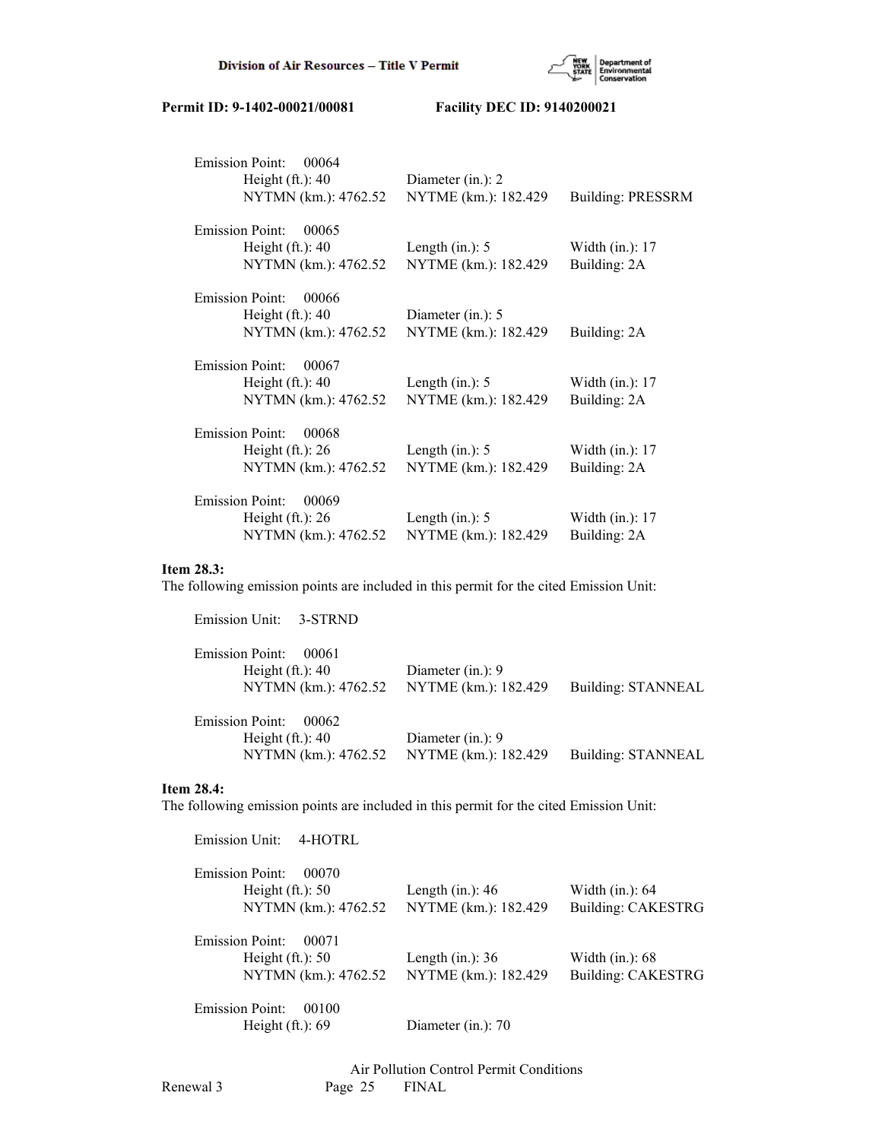

| <b>Emission Point:</b><br>00064 |                      |                          |
|---------------------------------|----------------------|--------------------------|
| Height $(ft.)$ : 40             | Diameter (in.): 2    |                          |
| NYTMN (km.): 4762.52            | NYTME (km.): 182.429 | <b>Building: PRESSRM</b> |
| <b>Emission Point:</b><br>00065 |                      |                          |
| Height $(ft.)$ : 40             | Length $(in.)$ : 5   | Width $(in.): 17$        |
| NYTMN (km.): 4762.52            | NYTME (km.): 182.429 | Building: 2A             |
| <b>Emission Point:</b><br>00066 |                      |                          |
| Height $(ft.)$ : 40             | Diameter $(in.)$ : 5 |                          |
| NYTMN (km.): 4762.52            | NYTME (km.): 182.429 | Building: 2A             |
| <b>Emission Point:</b><br>00067 |                      |                          |
| Height $(ft.)$ : 40             | Length $(in.)$ : 5   | Width $(in.): 17$        |
| NYTMN (km.): 4762.52            | NYTME (km.): 182.429 | Building: 2A             |
| <b>Emission Point:</b><br>00068 |                      |                          |
| Height $(ft.)$ : 26             | Length $(in.)$ : 5   | Width (in.): 17          |
| NYTMN (km.): 4762.52            | NYTME (km.): 182.429 | Building: 2A             |
| <b>Emission Point:</b><br>00069 |                      |                          |
| Height $(ft.)$ : 26             | Length $(in.)$ : 5   | Width $(in.)$ : 17       |
| NYTMN (km.): 4762.52            | NYTME (km.): 182.429 | Building: 2A             |
|                                 |                      |                          |

# **Item 28.3:**

The following emission points are included in this permit for the cited Emission Unit:

| Emission Unit: 3-STRND          |                      |                    |
|---------------------------------|----------------------|--------------------|
| <b>Emission Point:</b><br>00061 |                      |                    |
| Height $(ft.)$ : 40             | Diameter $(in.)$ : 9 |                    |
| NYTMN (km.): 4762.52            | NYTME (km.): 182.429 | Building: STANNEAL |
| <b>Emission Point:</b><br>00062 |                      |                    |
| Height $(ft.)$ : 40             | Diameter $(in.)$ : 9 |                    |
| NYTMN (km.): 4762.52            | NYTME (km.): 182.429 | Building: STANNEAL |

## **Item 28.4:**

The following emission points are included in this permit for the cited Emission Unit:

| Emission Unit:<br>4-HOTRL                              |                      |                    |
|--------------------------------------------------------|----------------------|--------------------|
| <b>Emission Point:</b><br>00070<br>Height $(ft.)$ : 50 | Length $(in.)$ : 46  | Width $(in.)$ : 64 |
| NYTMN (km.): 4762.52                                   | NYTME (km.): 182.429 | Building: CAKESTRG |
| <b>Emission Point:</b><br>00071                        |                      |                    |
| Height $(ft.)$ : 50                                    | Length $(in.)$ : 36  | Width $(in.)$ : 68 |
| NYTMN (km.): 4762.52                                   | NYTME (km.): 182.429 | Building: CAKESTRG |
| <b>Emission Point:</b><br>00100                        |                      |                    |
| Height $(ft.)$ : 69                                    | Diameter (in.): 70   |                    |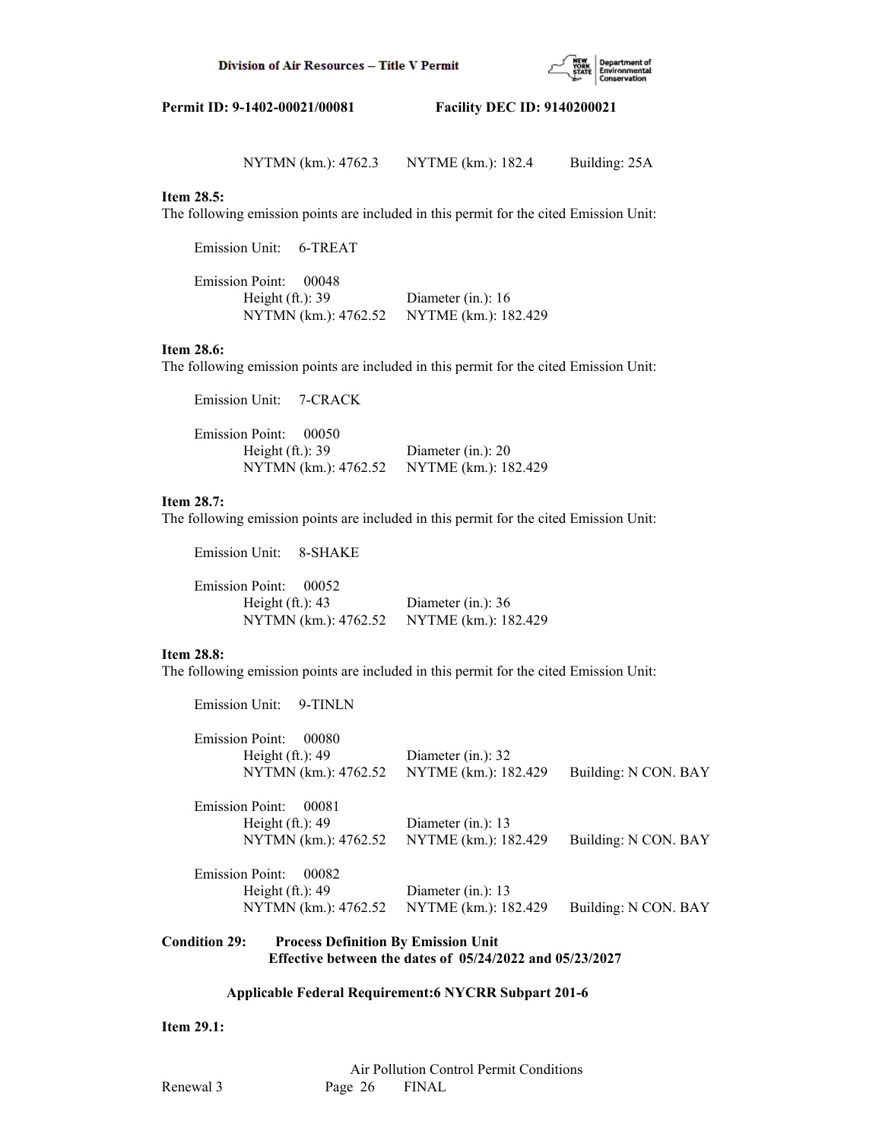

NYTMN (km.): 4762.3 NYTME (km.): 182.4 Building: 25A

## **Item 28.5:**

The following emission points are included in this permit for the cited Emission Unit:

Emission Unit: 6-TREAT

| Emission Point: 00048 |                      |
|-----------------------|----------------------|
| Height $(ft.)$ : 39   | Diameter (in.): $16$ |
| NYTMN (km.): 4762.52  | NYTME (km.): 182.429 |

# **Item 28.6:**

The following emission points are included in this permit for the cited Emission Unit:

| Emission Unit: 7-CRACK |                      |                       |
|------------------------|----------------------|-----------------------|
| Emission Point: 00050  |                      |                       |
| Height $(ft.)$ : 39    |                      | Diameter $(in.)$ : 20 |
|                        | NYTMN (km.): 4762.52 | NYTME (km.): 182.429  |

# **Item 28.7:**

The following emission points are included in this permit for the cited Emission Unit:

Emission Unit: 8-SHAKE

| Emission Point: 00052                     |                      |
|-------------------------------------------|----------------------|
| Height $(ft.)$ : 43                       | Diameter (in.): $36$ |
| NYTMN (km.): 4762.52 NYTME (km.): 182.429 |                      |

## **Item 28.8:**

The following emission points are included in this permit for the cited Emission Unit:

| <b>Emission Unit:</b><br>9-TINLN |                       |                      |
|----------------------------------|-----------------------|----------------------|
| <b>Emission Point:</b><br>00080  |                       |                      |
| Height $(ft.)$ : 49              | Diameter $(in.)$ : 32 |                      |
| NYTMN (km.): 4762.52             | NYTME (km.): 182.429  | Building: N CON. BAY |
| Emission Point:<br>00081         |                       |                      |
| Height $(ft.)$ : 49              | Diameter $(in.)$ : 13 |                      |
| NYTMN (km.): 4762.52             | NYTME (km.): 182.429  | Building: N CON. BAY |
| Emission Point:<br>00082         |                       |                      |
| Height $(ft.)$ : 49              | Diameter $(in.)$ : 13 |                      |
| NYTMN (km.): 4762.52             | NYTME (km.): 182.429  | Building: N CON. BAY |
|                                  |                       |                      |

# **Condition 29: Process Definition By Emission Unit Effective between the dates of 05/24/2022 and 05/23/2027**

# **Applicable Federal Requirement:6 NYCRR Subpart 201-6**

**Item 29.1:**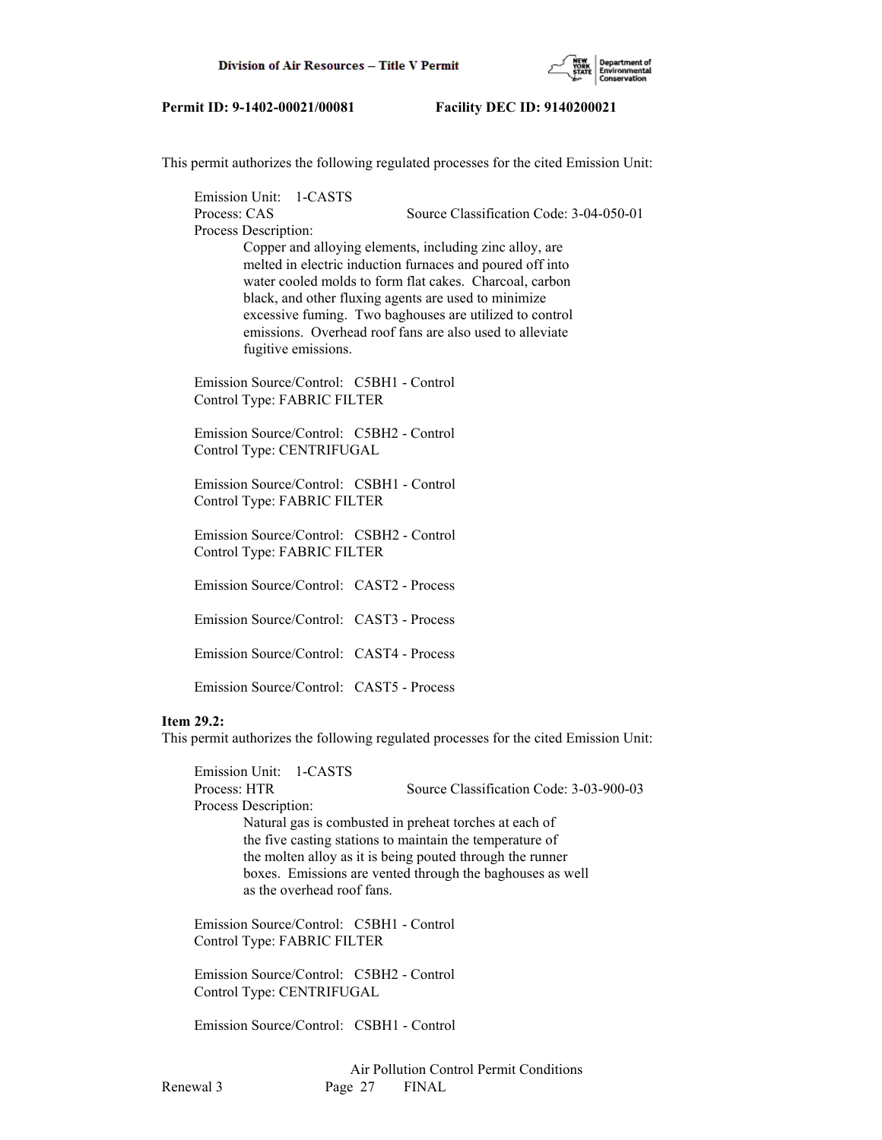

This permit authorizes the following regulated processes for the cited Emission Unit:

 Emission Unit: 1-CASTS Process: CAS Source Classification Code: 3-04-050-01 Process Description: Copper and alloying elements, including zinc alloy, are melted in electric induction furnaces and poured off into water cooled molds to form flat cakes. Charcoal, carbon black, and other fluxing agents are used to minimize excessive fuming. Two baghouses are utilized to control emissions. Overhead roof fans are also used to alleviate fugitive emissions.

 Emission Source/Control: C5BH1 - Control Control Type: FABRIC FILTER

 Emission Source/Control: C5BH2 - Control Control Type: CENTRIFUGAL

 Emission Source/Control: CSBH1 - Control Control Type: FABRIC FILTER

 Emission Source/Control: CSBH2 - Control Control Type: FABRIC FILTER

Emission Source/Control: CAST2 - Process

Emission Source/Control: CAST3 - Process

Emission Source/Control: CAST4 - Process

Emission Source/Control: CAST5 - Process

## **Item 29.2:**

This permit authorizes the following regulated processes for the cited Emission Unit:

 Emission Unit: 1-CASTS Process: HTR Source Classification Code: 3-03-900-03 Process Description: Natural gas is combusted in preheat torches at each of the five casting stations to maintain the temperature of the molten alloy as it is being pouted through the runner boxes. Emissions are vented through the baghouses as well as the overhead roof fans.

 Emission Source/Control: C5BH1 - Control Control Type: FABRIC FILTER

 Emission Source/Control: C5BH2 - Control Control Type: CENTRIFUGAL

Emission Source/Control: CSBH1 - Control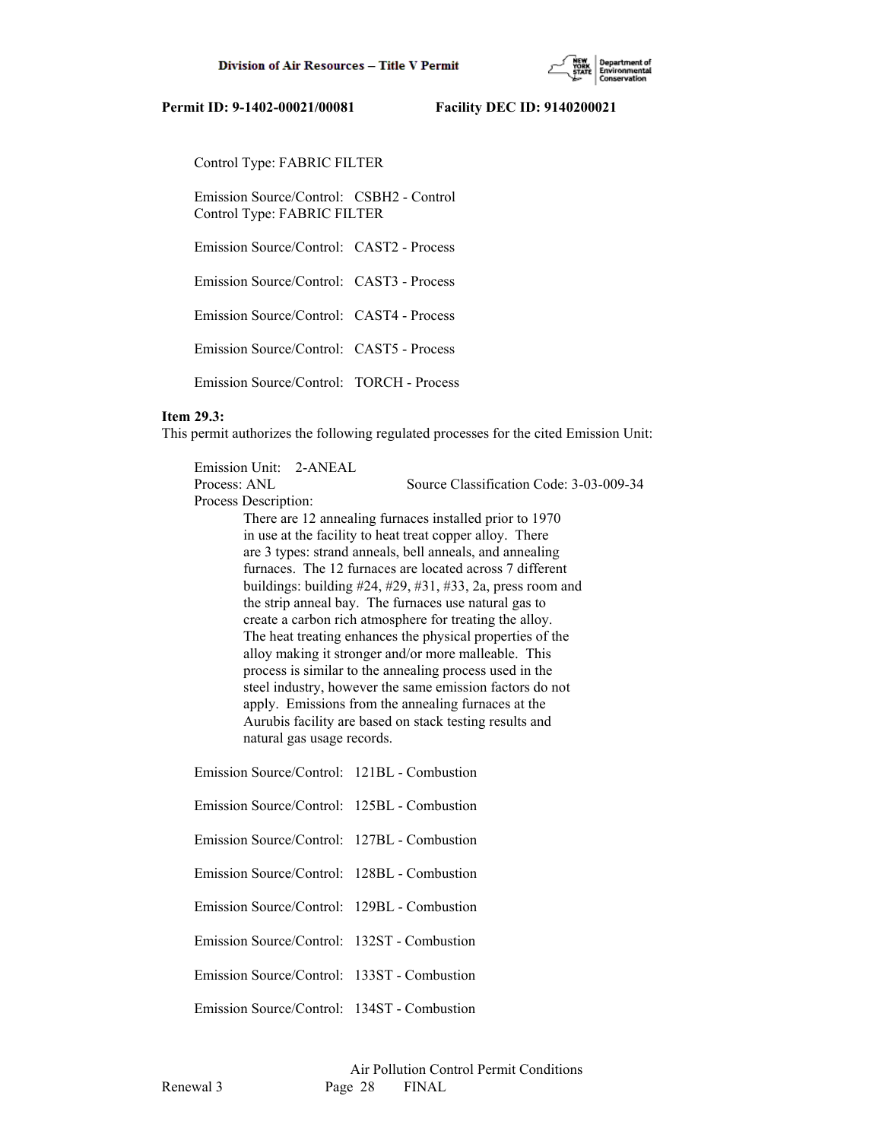

Control Type: FABRIC FILTER

 Emission Source/Control: CSBH2 - Control Control Type: FABRIC FILTER

Emission Source/Control: CAST2 - Process

Emission Source/Control: CAST3 - Process

Emission Source/Control: CAST4 - Process

Emission Source/Control: CAST5 - Process

Emission Source/Control: TORCH - Process

#### **Item 29.3:**

This permit authorizes the following regulated processes for the cited Emission Unit:

| Emission Unit: 2-ANEAL |                                             |                                                               |
|------------------------|---------------------------------------------|---------------------------------------------------------------|
| Process: ANL           |                                             | Source Classification Code: 3-03-009-34                       |
| Process Description:   |                                             |                                                               |
|                        |                                             | There are 12 annealing furnaces installed prior to 1970       |
|                        |                                             | in use at the facility to heat treat copper alloy. There      |
|                        |                                             | are 3 types: strand anneals, bell anneals, and annealing      |
|                        |                                             | furnaces. The 12 furnaces are located across 7 different      |
|                        |                                             | buildings: building $#24, #29, #31, #33, 2a$ , press room and |
|                        |                                             | the strip anneal bay. The furnaces use natural gas to         |
|                        |                                             | create a carbon rich atmosphere for treating the alloy.       |
|                        |                                             | The heat treating enhances the physical properties of the     |
|                        |                                             | alloy making it stronger and/or more malleable. This          |
|                        |                                             | process is similar to the annealing process used in the       |
|                        |                                             | steel industry, however the same emission factors do not      |
|                        |                                             | apply. Emissions from the annealing furnaces at the           |
|                        | natural gas usage records.                  | Aurubis facility are based on stack testing results and       |
|                        |                                             |                                                               |
|                        | $Emission \simeq Coutrol (Gontrol + 121DI)$ |                                                               |

Emission Source/Control: 121BL - Combustion

- Emission Source/Control: 125BL Combustion
- Emission Source/Control: 127BL Combustion
- Emission Source/Control: 128BL Combustion
- Emission Source/Control: 129BL Combustion

Emission Source/Control: 132ST - Combustion

Emission Source/Control: 133ST - Combustion

Emission Source/Control: 134ST - Combustion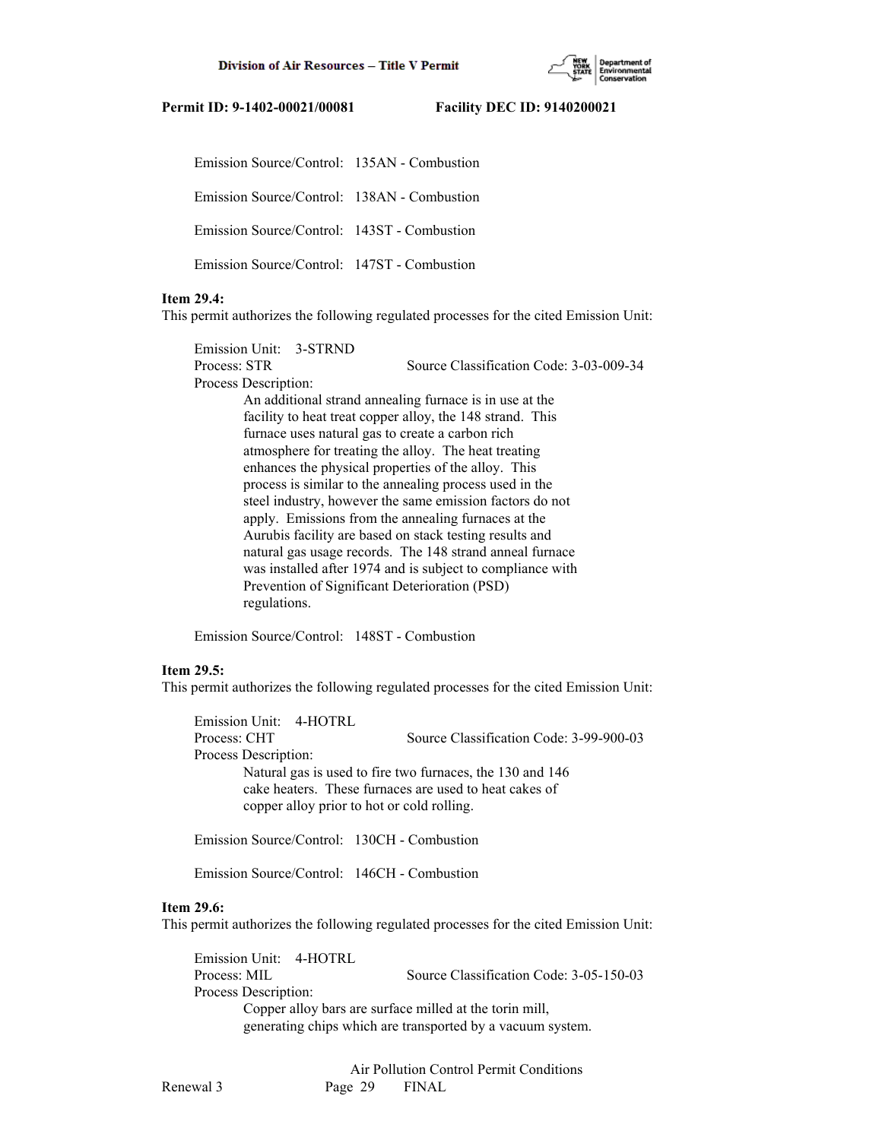

Emission Source/Control: 135AN - Combustion

Emission Source/Control: 138AN - Combustion

Emission Source/Control: 143ST - Combustion

Emission Source/Control: 147ST - Combustion

# **Item 29.4:**

This permit authorizes the following regulated processes for the cited Emission Unit:

 Emission Unit: 3-STRND Process: STR Source Classification Code: 3-03-009-34 Process Description: An additional strand annealing furnace is in use at the facility to heat treat copper alloy, the 148 strand. This furnace uses natural gas to create a carbon rich atmosphere for treating the alloy. The heat treating enhances the physical properties of the alloy. This process is similar to the annealing process used in the steel industry, however the same emission factors do not apply. Emissions from the annealing furnaces at the Aurubis facility are based on stack testing results and natural gas usage records. The 148 strand anneal furnace was installed after 1974 and is subject to compliance with Prevention of Significant Deterioration (PSD) regulations.

Emission Source/Control: 148ST - Combustion

# **Item 29.5:**

This permit authorizes the following regulated processes for the cited Emission Unit:

 Emission Unit: 4-HOTRL Process: CHT Source Classification Code: 3-99-900-03 Process Description: Natural gas is used to fire two furnaces, the 130 and 146 cake heaters. These furnaces are used to heat cakes of copper alloy prior to hot or cold rolling.

Emission Source/Control: 130CH - Combustion

Emission Source/Control: 146CH - Combustion

#### **Item 29.6:**

This permit authorizes the following regulated processes for the cited Emission Unit:

 Emission Unit: 4-HOTRL Process: MIL Source Classification Code: 3-05-150-03 Process Description: Copper alloy bars are surface milled at the torin mill, generating chips which are transported by a vacuum system.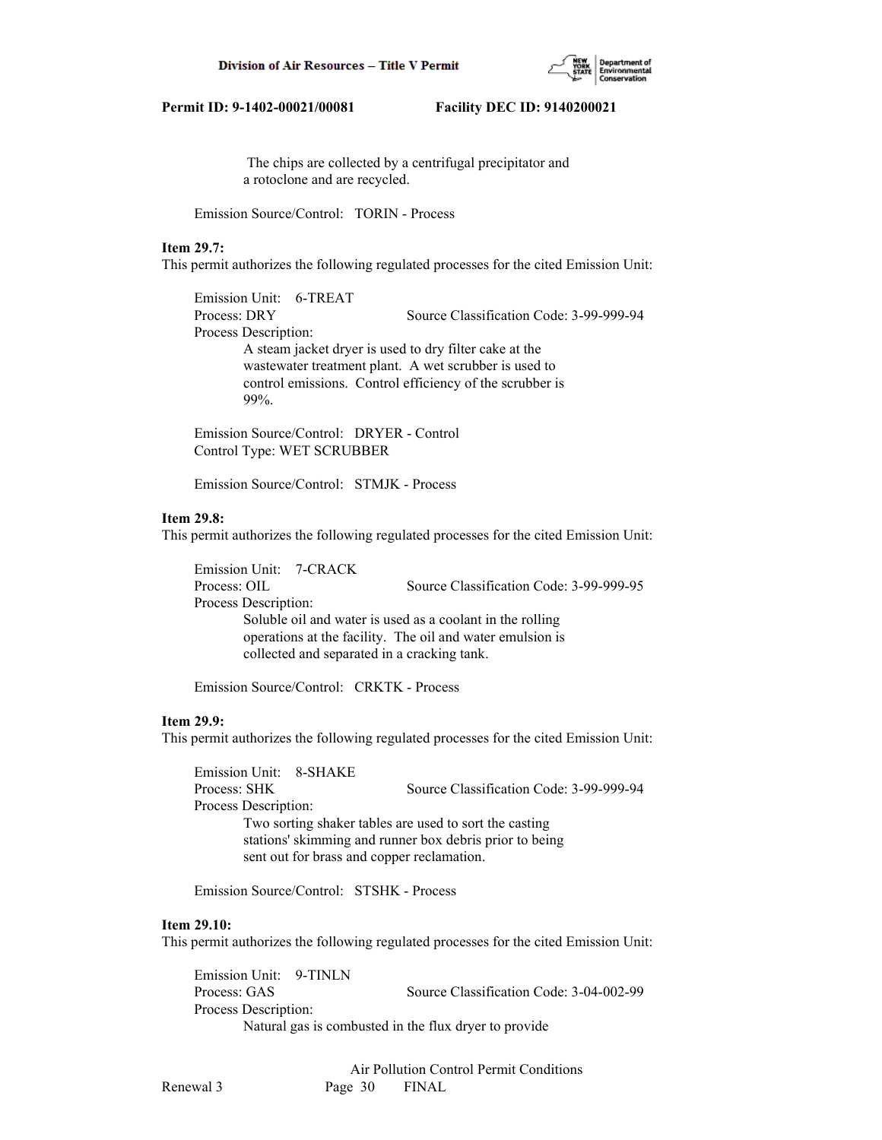

 The chips are collected by a centrifugal precipitator and a rotoclone and are recycled.

Emission Source/Control: TORIN - Process

#### **Item 29.7:**

This permit authorizes the following regulated processes for the cited Emission Unit:

 Emission Unit: 6-TREAT Process: DRY Source Classification Code: 3-99-999-94 Process Description: A steam jacket dryer is used to dry filter cake at the wastewater treatment plant. A wet scrubber is used to control emissions. Control efficiency of the scrubber is 99%.

 Emission Source/Control: DRYER - Control Control Type: WET SCRUBBER

Emission Source/Control: STMJK - Process

#### **Item 29.8:**

This permit authorizes the following regulated processes for the cited Emission Unit:

 Emission Unit: 7-CRACK Process: OIL Source Classification Code: 3-99-999-95 Process Description: Soluble oil and water is used as a coolant in the rolling operations at the facility. The oil and water emulsion is collected and separated in a cracking tank.

Emission Source/Control: CRKTK - Process

#### **Item 29.9:**

This permit authorizes the following regulated processes for the cited Emission Unit:

 Emission Unit: 8-SHAKE Process: SHK Source Classification Code: 3-99-999-94 Process Description: Two sorting shaker tables are used to sort the casting stations' skimming and runner box debris prior to being sent out for brass and copper reclamation.

Emission Source/Control: STSHK - Process

#### **Item 29.10:**

This permit authorizes the following regulated processes for the cited Emission Unit:

 Emission Unit: 9-TINLN Process: GAS Source Classification Code: 3-04-002-99 Process Description: Natural gas is combusted in the flux dryer to provide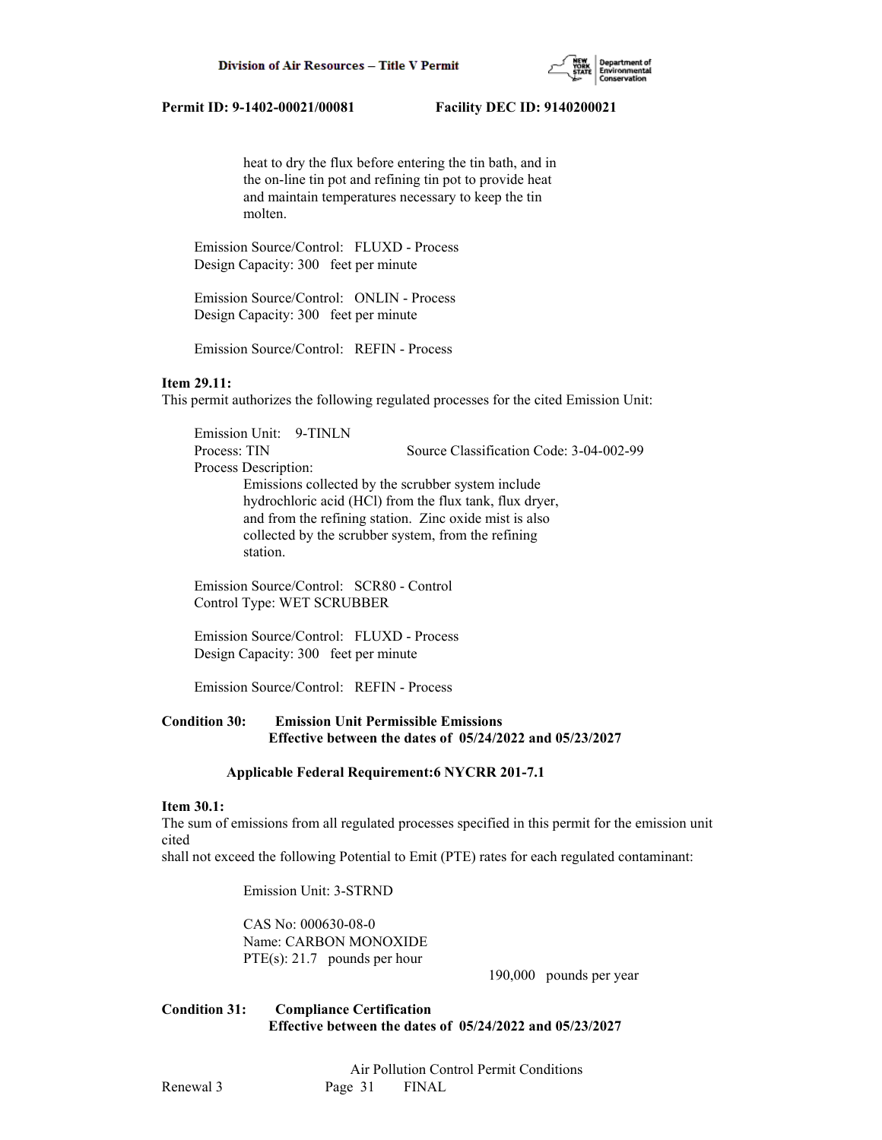

 heat to dry the flux before entering the tin bath, and in the on-line tin pot and refining tin pot to provide heat and maintain temperatures necessary to keep the tin molten.

 Emission Source/Control: FLUXD - Process Design Capacity: 300 feet per minute

 Emission Source/Control: ONLIN - Process Design Capacity: 300 feet per minute

Emission Source/Control: REFIN - Process

## **Item 29.11:**

This permit authorizes the following regulated processes for the cited Emission Unit:

 Emission Unit: 9-TINLN Process: TIN Source Classification Code: 3-04-002-99 Process Description: Emissions collected by the scrubber system include hydrochloric acid (HCl) from the flux tank, flux dryer, and from the refining station. Zinc oxide mist is also collected by the scrubber system, from the refining station.

 Emission Source/Control: SCR80 - Control Control Type: WET SCRUBBER

 Emission Source/Control: FLUXD - Process Design Capacity: 300 feet per minute

Emission Source/Control: REFIN - Process

## **Condition 30: Emission Unit Permissible Emissions Effective between the dates of 05/24/2022 and 05/23/2027**

#### **Applicable Federal Requirement:6 NYCRR 201-7.1**

### **Item 30.1:**

The sum of emissions from all regulated processes specified in this permit for the emission unit cited

shall not exceed the following Potential to Emit (PTE) rates for each regulated contaminant:

Emission Unit: 3-STRND

 CAS No: 000630-08-0 Name: CARBON MONOXIDE PTE(s): 21.7 pounds per hour

190,000 pounds per year

**Condition 31: Compliance Certification Effective between the dates of 05/24/2022 and 05/23/2027**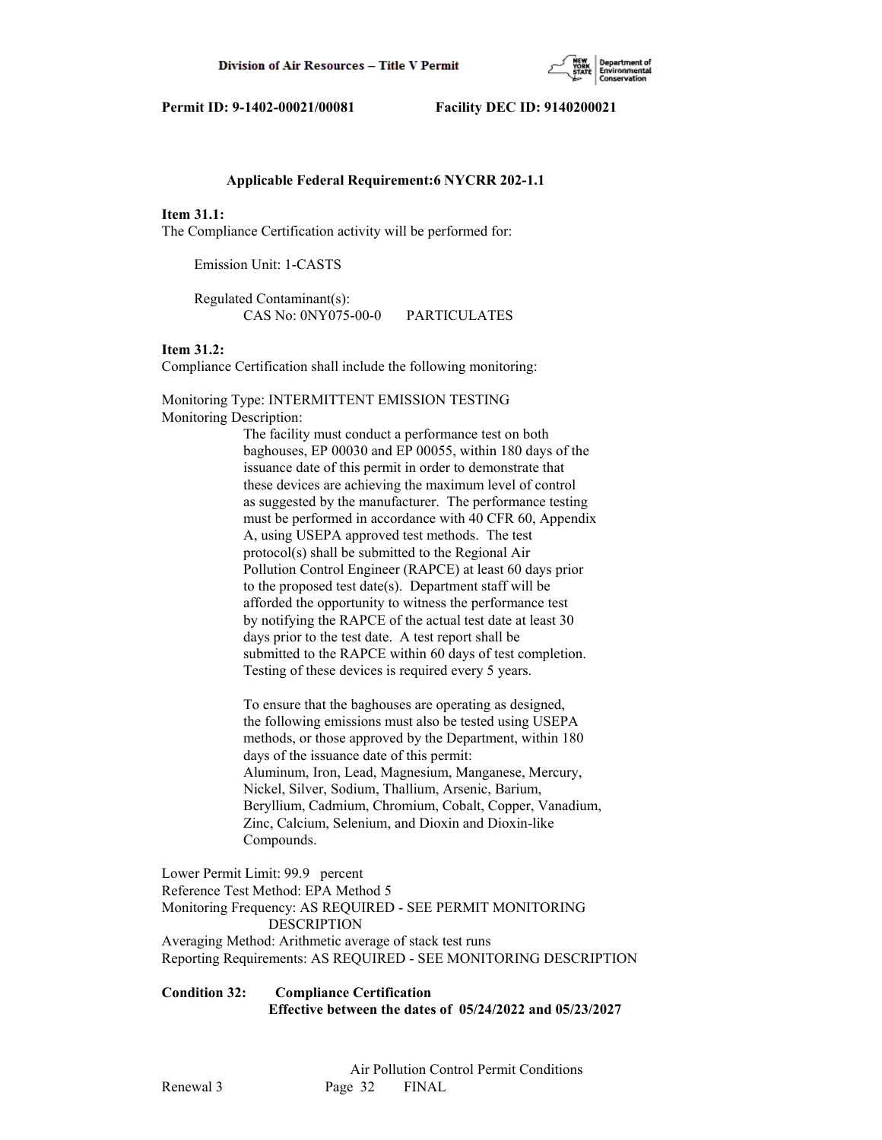

#### **Applicable Federal Requirement:6 NYCRR 202-1.1**

#### **Item 31.1:**

The Compliance Certification activity will be performed for:

Emission Unit: 1-CASTS

 Regulated Contaminant(s): CAS No: 0NY075-00-0 PARTICULATES

#### **Item 31.2:**

Compliance Certification shall include the following monitoring:

Monitoring Type: INTERMITTENT EMISSION TESTING Monitoring Description:

> The facility must conduct a performance test on both baghouses, EP 00030 and EP 00055, within 180 days of the issuance date of this permit in order to demonstrate that these devices are achieving the maximum level of control as suggested by the manufacturer. The performance testing must be performed in accordance with 40 CFR 60, Appendix A, using USEPA approved test methods. The test protocol(s) shall be submitted to the Regional Air Pollution Control Engineer (RAPCE) at least 60 days prior to the proposed test date(s). Department staff will be afforded the opportunity to witness the performance test by notifying the RAPCE of the actual test date at least 30 days prior to the test date. A test report shall be submitted to the RAPCE within 60 days of test completion. Testing of these devices is required every 5 years.

 To ensure that the baghouses are operating as designed, the following emissions must also be tested using USEPA methods, or those approved by the Department, within 180 days of the issuance date of this permit: Aluminum, Iron, Lead, Magnesium, Manganese, Mercury, Nickel, Silver, Sodium, Thallium, Arsenic, Barium, Beryllium, Cadmium, Chromium, Cobalt, Copper, Vanadium, Zinc, Calcium, Selenium, and Dioxin and Dioxin-like Compounds.

Lower Permit Limit: 99.9 percent Reference Test Method: EPA Method 5 Monitoring Frequency: AS REQUIRED - SEE PERMIT MONITORING DESCRIPTION Averaging Method: Arithmetic average of stack test runs Reporting Requirements: AS REQUIRED - SEE MONITORING DESCRIPTION

**Condition 32: Compliance Certification Effective between the dates of 05/24/2022 and 05/23/2027**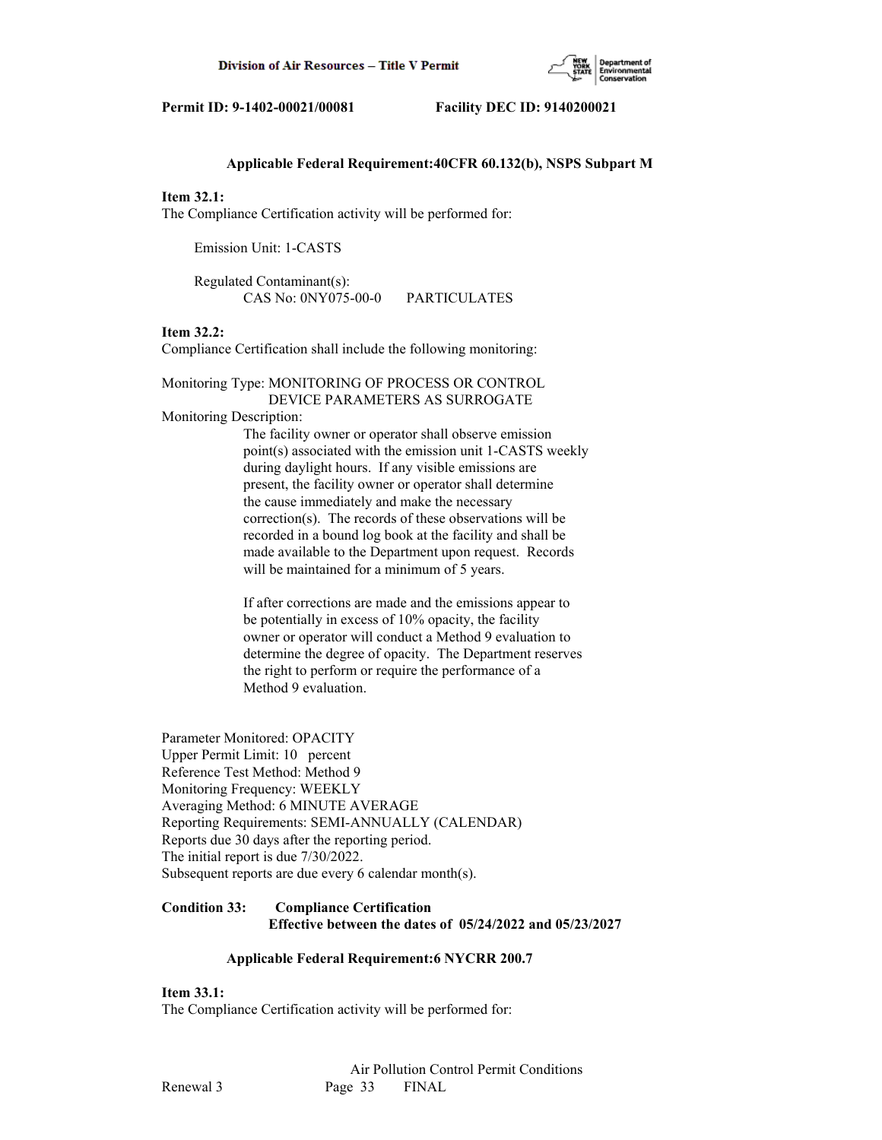

### **Applicable Federal Requirement:40CFR 60.132(b), NSPS Subpart M**

#### **Item 32.1:**

The Compliance Certification activity will be performed for:

Emission Unit: 1-CASTS

 Regulated Contaminant(s): CAS No: 0NY075-00-0 PARTICULATES

## **Item 32.2:**

Compliance Certification shall include the following monitoring:

## Monitoring Type: MONITORING OF PROCESS OR CONTROL DEVICE PARAMETERS AS SURROGATE

Monitoring Description:

 The facility owner or operator shall observe emission point(s) associated with the emission unit 1-CASTS weekly during daylight hours. If any visible emissions are present, the facility owner or operator shall determine the cause immediately and make the necessary correction(s). The records of these observations will be recorded in a bound log book at the facility and shall be made available to the Department upon request. Records will be maintained for a minimum of 5 years.

 If after corrections are made and the emissions appear to be potentially in excess of 10% opacity, the facility owner or operator will conduct a Method 9 evaluation to determine the degree of opacity. The Department reserves the right to perform or require the performance of a Method 9 evaluation.

Parameter Monitored: OPACITY Upper Permit Limit: 10 percent Reference Test Method: Method 9 Monitoring Frequency: WEEKLY Averaging Method: 6 MINUTE AVERAGE Reporting Requirements: SEMI-ANNUALLY (CALENDAR) Reports due 30 days after the reporting period. The initial report is due 7/30/2022. Subsequent reports are due every 6 calendar month(s).

# **Condition 33: Compliance Certification Effective between the dates of 05/24/2022 and 05/23/2027**

## **Applicable Federal Requirement:6 NYCRR 200.7**

**Item 33.1:**

The Compliance Certification activity will be performed for: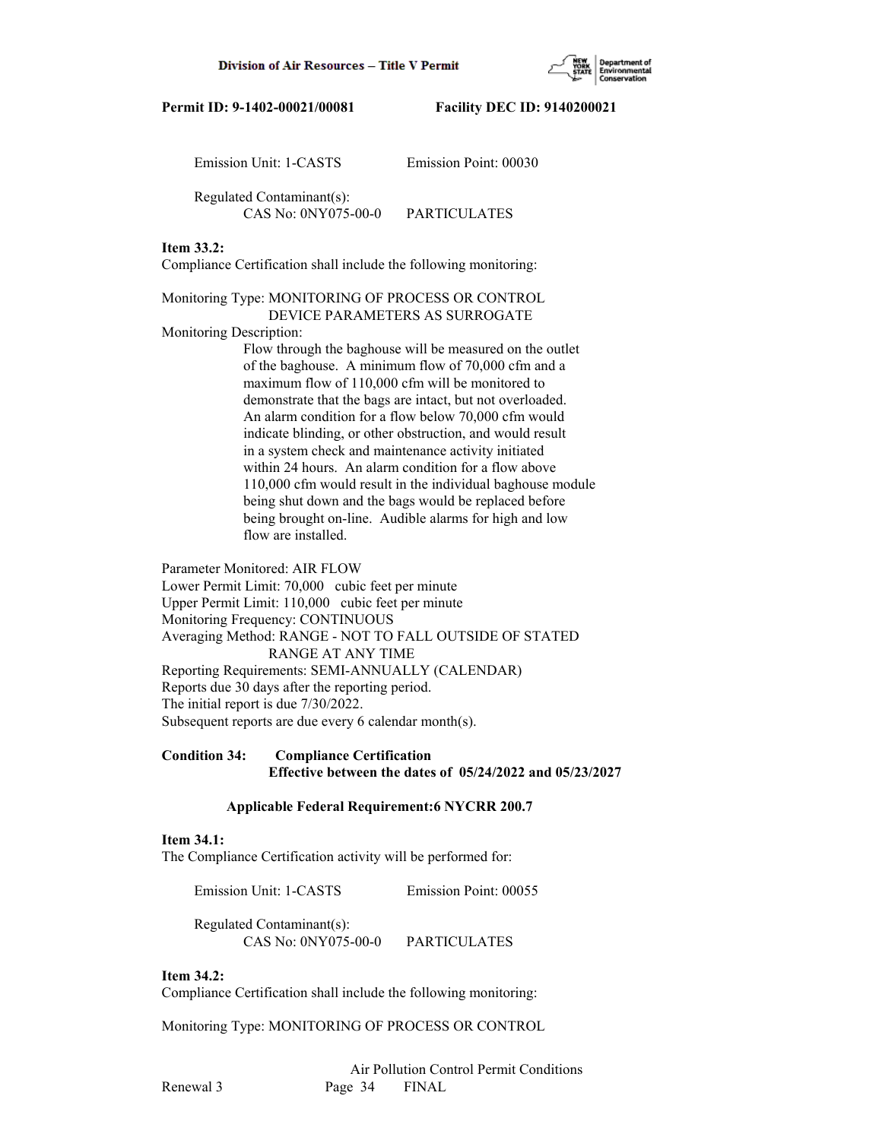

| Emission Unit: 1-CASTS    | Emission Point: 00030 |
|---------------------------|-----------------------|
| Regulated Contaminant(s): |                       |
| CAS No: 0NY075-00-0       | PARTICULATES          |

#### **Item 33.2:**

Compliance Certification shall include the following monitoring:

Monitoring Type: MONITORING OF PROCESS OR CONTROL DEVICE PARAMETERS AS SURROGATE

#### Monitoring Description:

 Flow through the baghouse will be measured on the outlet of the baghouse. A minimum flow of 70,000 cfm and a maximum flow of 110,000 cfm will be monitored to demonstrate that the bags are intact, but not overloaded. An alarm condition for a flow below 70,000 cfm would indicate blinding, or other obstruction, and would result in a system check and maintenance activity initiated within 24 hours. An alarm condition for a flow above 110,000 cfm would result in the individual baghouse module being shut down and the bags would be replaced before being brought on-line. Audible alarms for high and low flow are installed.

Parameter Monitored: AIR FLOW Lower Permit Limit: 70,000 cubic feet per minute Upper Permit Limit: 110,000 cubic feet per minute Monitoring Frequency: CONTINUOUS Averaging Method: RANGE - NOT TO FALL OUTSIDE OF STATED RANGE AT ANY TIME Reporting Requirements: SEMI-ANNUALLY (CALENDAR) Reports due 30 days after the reporting period. The initial report is due 7/30/2022. Subsequent reports are due every 6 calendar month(s).

# **Condition 34: Compliance Certification Effective between the dates of 05/24/2022 and 05/23/2027**

# **Applicable Federal Requirement:6 NYCRR 200.7**

# **Item 34.1:**

The Compliance Certification activity will be performed for:

Emission Unit: 1-CASTS Emission Point: 00055

Regulated Contaminant(s):

CAS No: 0NY075-00-0 PARTICULATES

#### **Item 34.2:**

Compliance Certification shall include the following monitoring:

Monitoring Type: MONITORING OF PROCESS OR CONTROL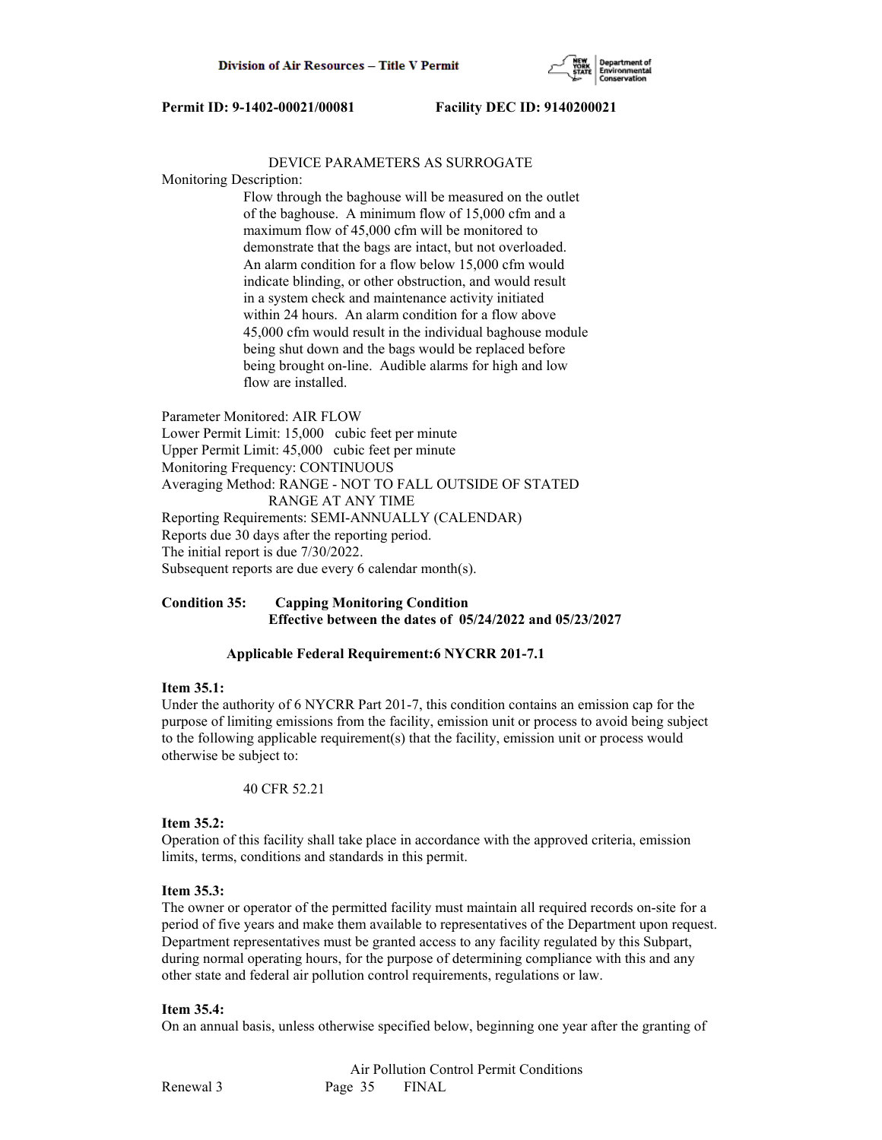

#### DEVICE PARAMETERS AS SURROGATE

Monitoring Description:

 Flow through the baghouse will be measured on the outlet of the baghouse. A minimum flow of 15,000 cfm and a maximum flow of 45,000 cfm will be monitored to demonstrate that the bags are intact, but not overloaded. An alarm condition for a flow below 15,000 cfm would indicate blinding, or other obstruction, and would result in a system check and maintenance activity initiated within 24 hours. An alarm condition for a flow above 45,000 cfm would result in the individual baghouse module being shut down and the bags would be replaced before being brought on-line. Audible alarms for high and low flow are installed.

Parameter Monitored: AIR FLOW Lower Permit Limit: 15,000 cubic feet per minute Upper Permit Limit: 45,000 cubic feet per minute Monitoring Frequency: CONTINUOUS Averaging Method: RANGE - NOT TO FALL OUTSIDE OF STATED RANGE AT ANY TIME Reporting Requirements: SEMI-ANNUALLY (CALENDAR) Reports due 30 days after the reporting period. The initial report is due 7/30/2022. Subsequent reports are due every 6 calendar month(s).

## **Condition 35: Capping Monitoring Condition Effective between the dates of 05/24/2022 and 05/23/2027**

# **Applicable Federal Requirement:6 NYCRR 201-7.1**

#### **Item 35.1:**

Under the authority of 6 NYCRR Part 201-7, this condition contains an emission cap for the purpose of limiting emissions from the facility, emission unit or process to avoid being subject to the following applicable requirement(s) that the facility, emission unit or process would otherwise be subject to:

40 CFR 52.21

#### **Item 35.2:**

Operation of this facility shall take place in accordance with the approved criteria, emission limits, terms, conditions and standards in this permit.

#### **Item 35.3:**

The owner or operator of the permitted facility must maintain all required records on-site for a period of five years and make them available to representatives of the Department upon request. Department representatives must be granted access to any facility regulated by this Subpart, during normal operating hours, for the purpose of determining compliance with this and any other state and federal air pollution control requirements, regulations or law.

#### **Item 35.4:**

On an annual basis, unless otherwise specified below, beginning one year after the granting of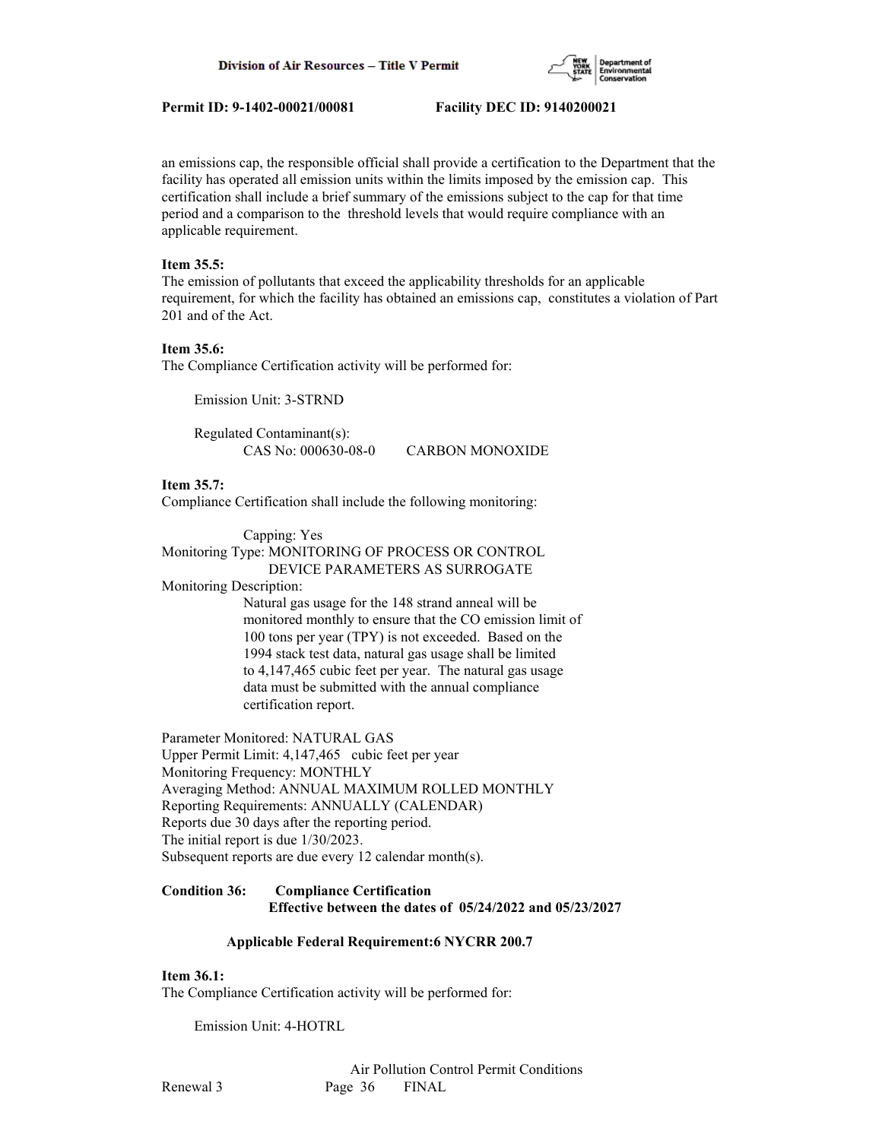

an emissions cap, the responsible official shall provide a certification to the Department that the facility has operated all emission units within the limits imposed by the emission cap. This certification shall include a brief summary of the emissions subject to the cap for that time period and a comparison to the threshold levels that would require compliance with an applicable requirement.

#### **Item 35.5:**

The emission of pollutants that exceed the applicability thresholds for an applicable requirement, for which the facility has obtained an emissions cap, constitutes a violation of Part 201 and of the Act.

#### **Item 35.6:**

The Compliance Certification activity will be performed for:

Emission Unit: 3-STRND

 Regulated Contaminant(s): CAS No: 000630-08-0 CARBON MONOXIDE

**Item 35.7:**

Compliance Certification shall include the following monitoring:

 Capping: Yes Monitoring Type: MONITORING OF PROCESS OR CONTROL DEVICE PARAMETERS AS SURROGATE

Monitoring Description:

 Natural gas usage for the 148 strand anneal will be monitored monthly to ensure that the CO emission limit of 100 tons per year (TPY) is not exceeded. Based on the 1994 stack test data, natural gas usage shall be limited to 4,147,465 cubic feet per year. The natural gas usage data must be submitted with the annual compliance certification report.

Parameter Monitored: NATURAL GAS

Upper Permit Limit: 4,147,465 cubic feet per year Monitoring Frequency: MONTHLY Averaging Method: ANNUAL MAXIMUM ROLLED MONTHLY Reporting Requirements: ANNUALLY (CALENDAR) Reports due 30 days after the reporting period. The initial report is due 1/30/2023. Subsequent reports are due every 12 calendar month(s).

#### **Condition 36: Compliance Certification Effective between the dates of 05/24/2022 and 05/23/2027**

#### **Applicable Federal Requirement:6 NYCRR 200.7**

#### **Item 36.1:**

The Compliance Certification activity will be performed for:

Emission Unit: 4-HOTRL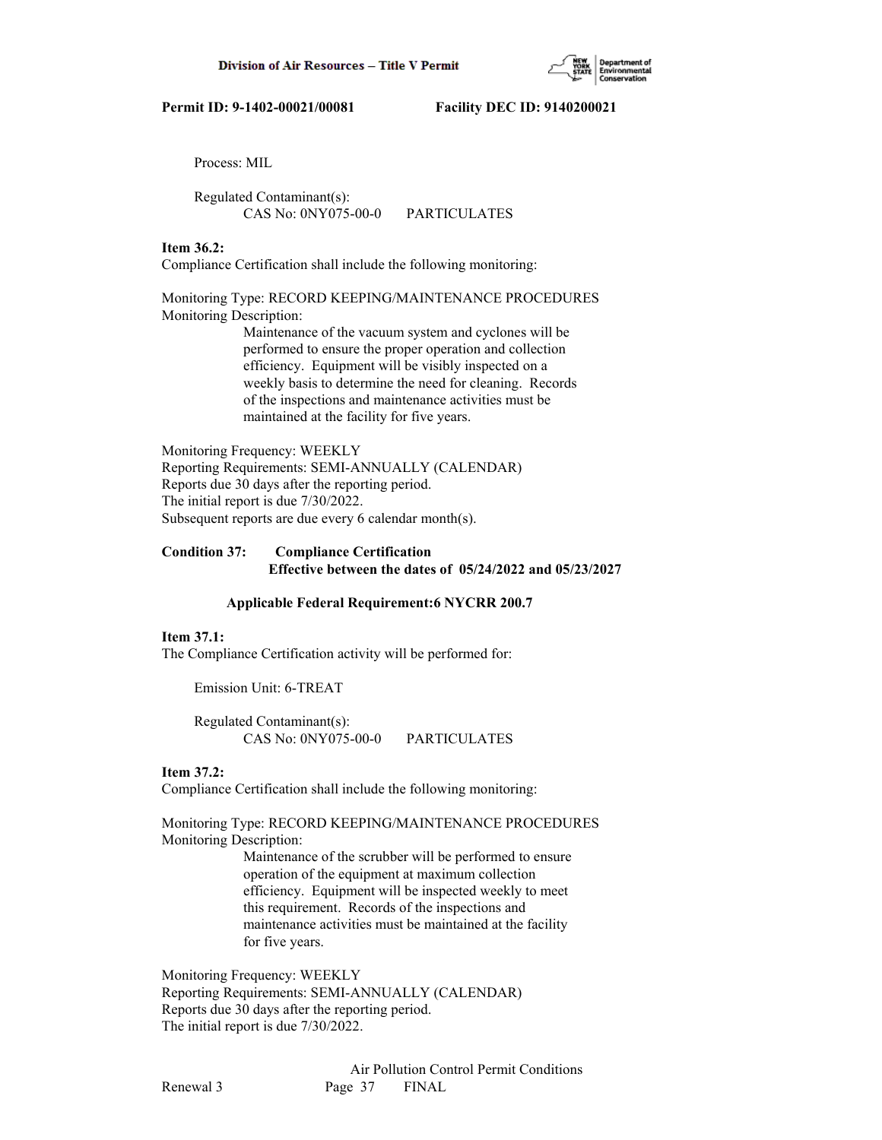Process: MIL

 Regulated Contaminant(s): CAS No: 0NY075-00-0 PARTICULATES

## **Item 36.2:**

Compliance Certification shall include the following monitoring:

Monitoring Type: RECORD KEEPING/MAINTENANCE PROCEDURES Monitoring Description:

> Maintenance of the vacuum system and cyclones will be performed to ensure the proper operation and collection efficiency. Equipment will be visibly inspected on a weekly basis to determine the need for cleaning. Records of the inspections and maintenance activities must be maintained at the facility for five years.

Monitoring Frequency: WEEKLY Reporting Requirements: SEMI-ANNUALLY (CALENDAR) Reports due 30 days after the reporting period. The initial report is due 7/30/2022. Subsequent reports are due every 6 calendar month(s).

# **Condition 37: Compliance Certification Effective between the dates of 05/24/2022 and 05/23/2027**

## **Applicable Federal Requirement:6 NYCRR 200.7**

## **Item 37.1:**

The Compliance Certification activity will be performed for:

Emission Unit: 6-TREAT

 Regulated Contaminant(s): CAS No: 0NY075-00-0 PARTICULATES

## **Item 37.2:**

Compliance Certification shall include the following monitoring:

Monitoring Type: RECORD KEEPING/MAINTENANCE PROCEDURES Monitoring Description:

> Maintenance of the scrubber will be performed to ensure operation of the equipment at maximum collection efficiency. Equipment will be inspected weekly to meet this requirement. Records of the inspections and maintenance activities must be maintained at the facility for five years.

Monitoring Frequency: WEEKLY Reporting Requirements: SEMI-ANNUALLY (CALENDAR) Reports due 30 days after the reporting period. The initial report is due 7/30/2022.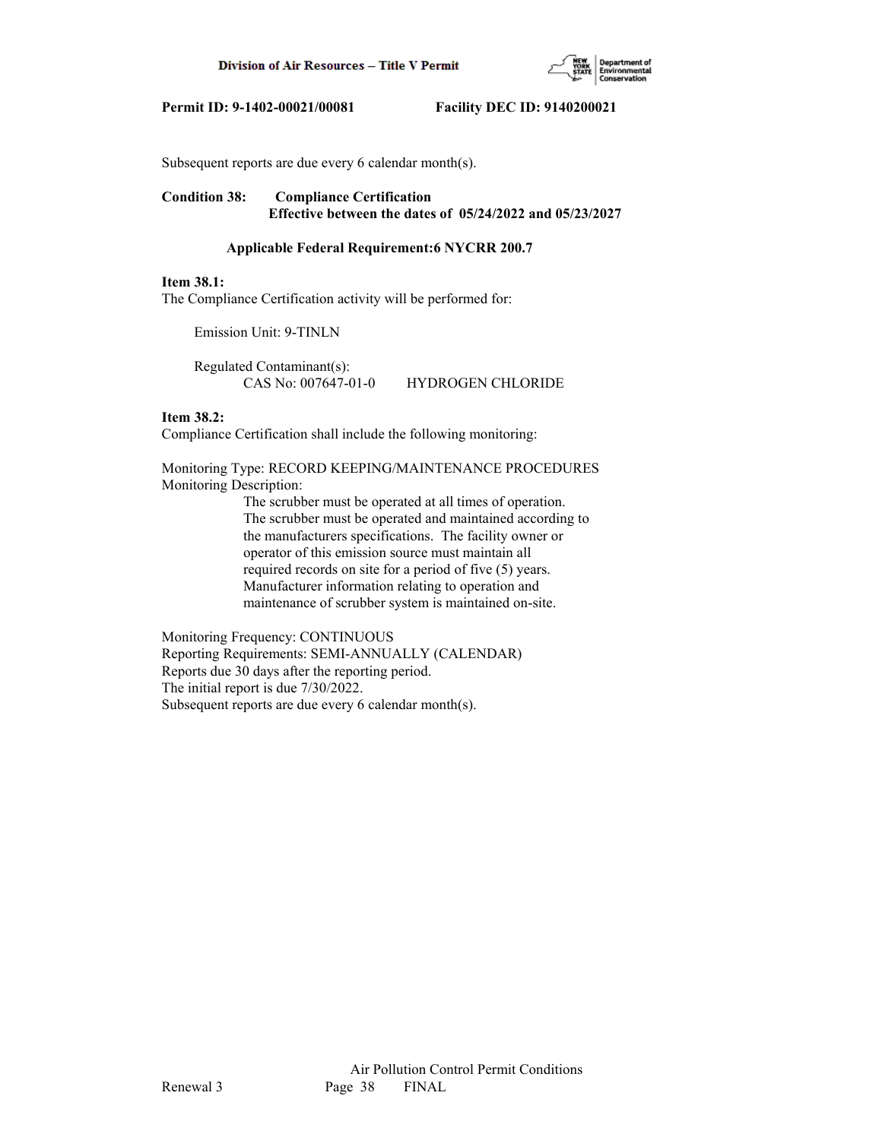

Subsequent reports are due every 6 calendar month(s).

# **Condition 38: Compliance Certification Effective between the dates of 05/24/2022 and 05/23/2027**

## **Applicable Federal Requirement:6 NYCRR 200.7**

#### **Item 38.1:**

The Compliance Certification activity will be performed for:

Emission Unit: 9-TINLN

 Regulated Contaminant(s): CAS No: 007647-01-0 HYDROGEN CHLORIDE

# **Item 38.2:**

Compliance Certification shall include the following monitoring:

Monitoring Type: RECORD KEEPING/MAINTENANCE PROCEDURES Monitoring Description:

> The scrubber must be operated at all times of operation. The scrubber must be operated and maintained according to the manufacturers specifications. The facility owner or operator of this emission source must maintain all required records on site for a period of five (5) years. Manufacturer information relating to operation and maintenance of scrubber system is maintained on-site.

Monitoring Frequency: CONTINUOUS Reporting Requirements: SEMI-ANNUALLY (CALENDAR) Reports due 30 days after the reporting period. The initial report is due 7/30/2022. Subsequent reports are due every 6 calendar month(s).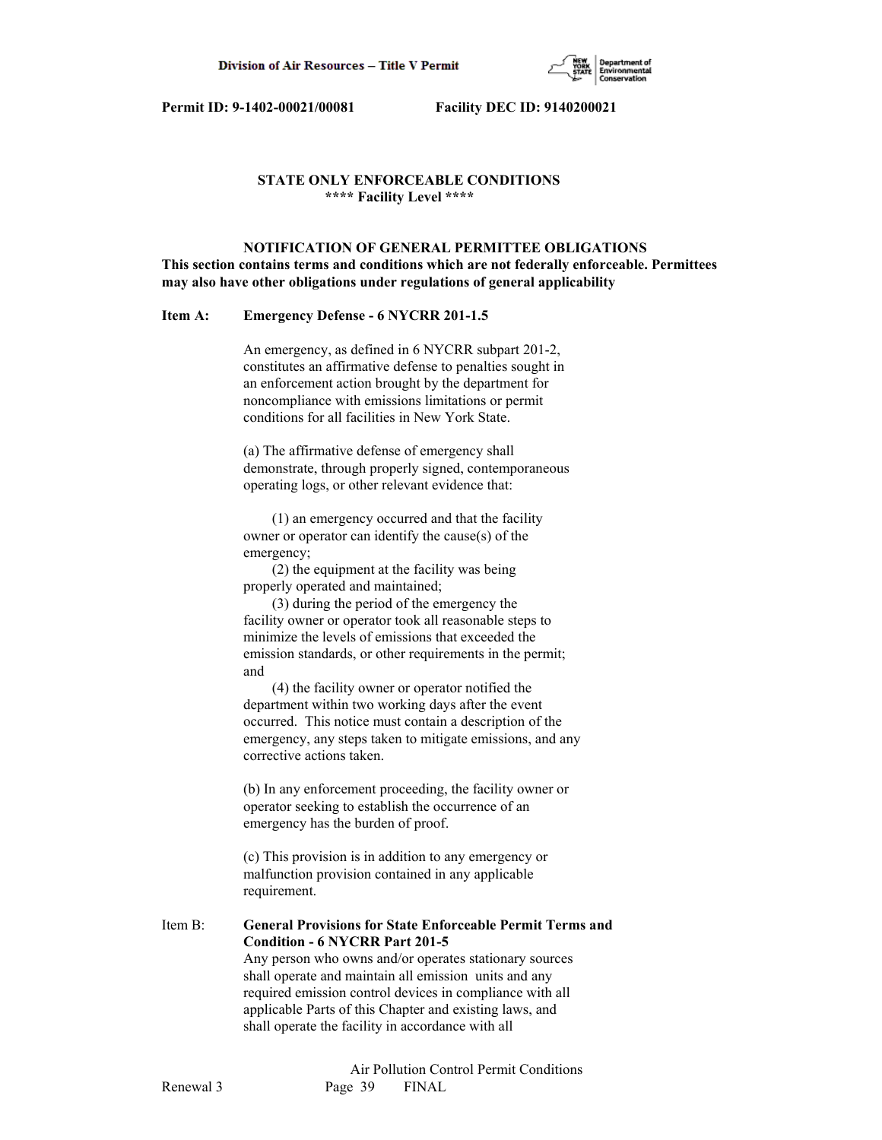

# **STATE ONLY ENFORCEABLE CONDITIONS \*\*\*\* Facility Level \*\*\*\***

 **NOTIFICATION OF GENERAL PERMITTEE OBLIGATIONS This section contains terms and conditions which are not federally enforceable. Permittees may also have other obligations under regulations of general applicability**

## **Item A: Emergency Defense - 6 NYCRR 201-1.5**

 An emergency, as defined in 6 NYCRR subpart 201-2, constitutes an affirmative defense to penalties sought in an enforcement action brought by the department for noncompliance with emissions limitations or permit conditions for all facilities in New York State.

 (a) The affirmative defense of emergency shall demonstrate, through properly signed, contemporaneous operating logs, or other relevant evidence that:

 (1) an emergency occurred and that the facility owner or operator can identify the cause(s) of the emergency;

 (2) the equipment at the facility was being properly operated and maintained;

 (3) during the period of the emergency the facility owner or operator took all reasonable steps to minimize the levels of emissions that exceeded the emission standards, or other requirements in the permit; and

 (4) the facility owner or operator notified the department within two working days after the event occurred. This notice must contain a description of the emergency, any steps taken to mitigate emissions, and any corrective actions taken.

 (b) In any enforcement proceeding, the facility owner or operator seeking to establish the occurrence of an emergency has the burden of proof.

 (c) This provision is in addition to any emergency or malfunction provision contained in any applicable requirement.

Item B: **General Provisions for State Enforceable Permit Terms and Condition - 6 NYCRR Part 201-5** Any person who owns and/or operates stationary sources shall operate and maintain all emission units and any required emission control devices in compliance with all

 applicable Parts of this Chapter and existing laws, and shall operate the facility in accordance with all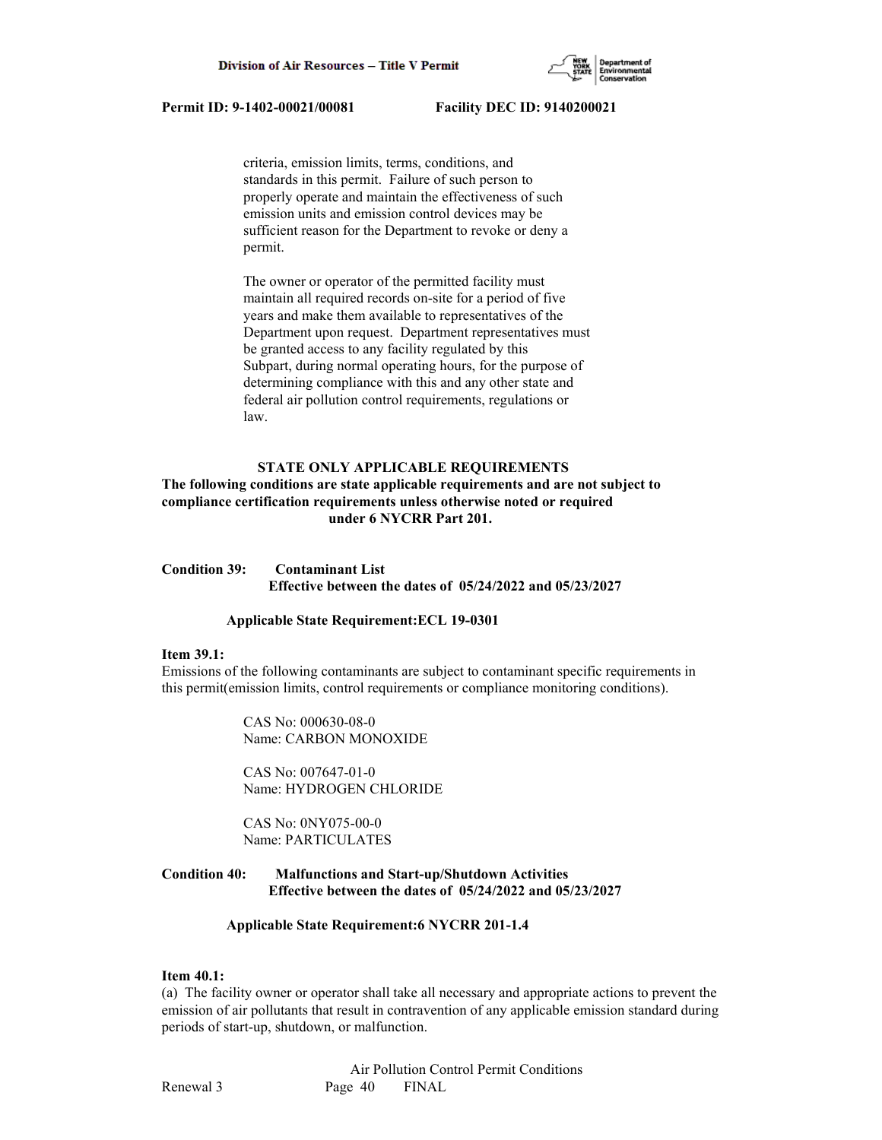

 criteria, emission limits, terms, conditions, and standards in this permit. Failure of such person to properly operate and maintain the effectiveness of such emission units and emission control devices may be sufficient reason for the Department to revoke or deny a permit.

 The owner or operator of the permitted facility must maintain all required records on-site for a period of five years and make them available to representatives of the Department upon request. Department representatives must be granted access to any facility regulated by this Subpart, during normal operating hours, for the purpose of determining compliance with this and any other state and federal air pollution control requirements, regulations or law.

## **STATE ONLY APPLICABLE REQUIREMENTS**

# **The following conditions are state applicable requirements and are not subject to compliance certification requirements unless otherwise noted or required under 6 NYCRR Part 201.**

# **Condition 39: Contaminant List Effective between the dates of 05/24/2022 and 05/23/2027**

#### **Applicable State Requirement:ECL 19-0301**

#### **Item 39.1:**

Emissions of the following contaminants are subject to contaminant specific requirements in this permit(emission limits, control requirements or compliance monitoring conditions).

> CAS No: 000630-08-0 Name: CARBON MONOXIDE

 CAS No: 007647-01-0 Name: HYDROGEN CHLORIDE

 CAS No: 0NY075-00-0 Name: PARTICULATES

## **Condition 40: Malfunctions and Start-up/Shutdown Activities Effective between the dates of 05/24/2022 and 05/23/2027**

## **Applicable State Requirement:6 NYCRR 201-1.4**

#### **Item 40.1:**

(a) The facility owner or operator shall take all necessary and appropriate actions to prevent the emission of air pollutants that result in contravention of any applicable emission standard during periods of start-up, shutdown, or malfunction.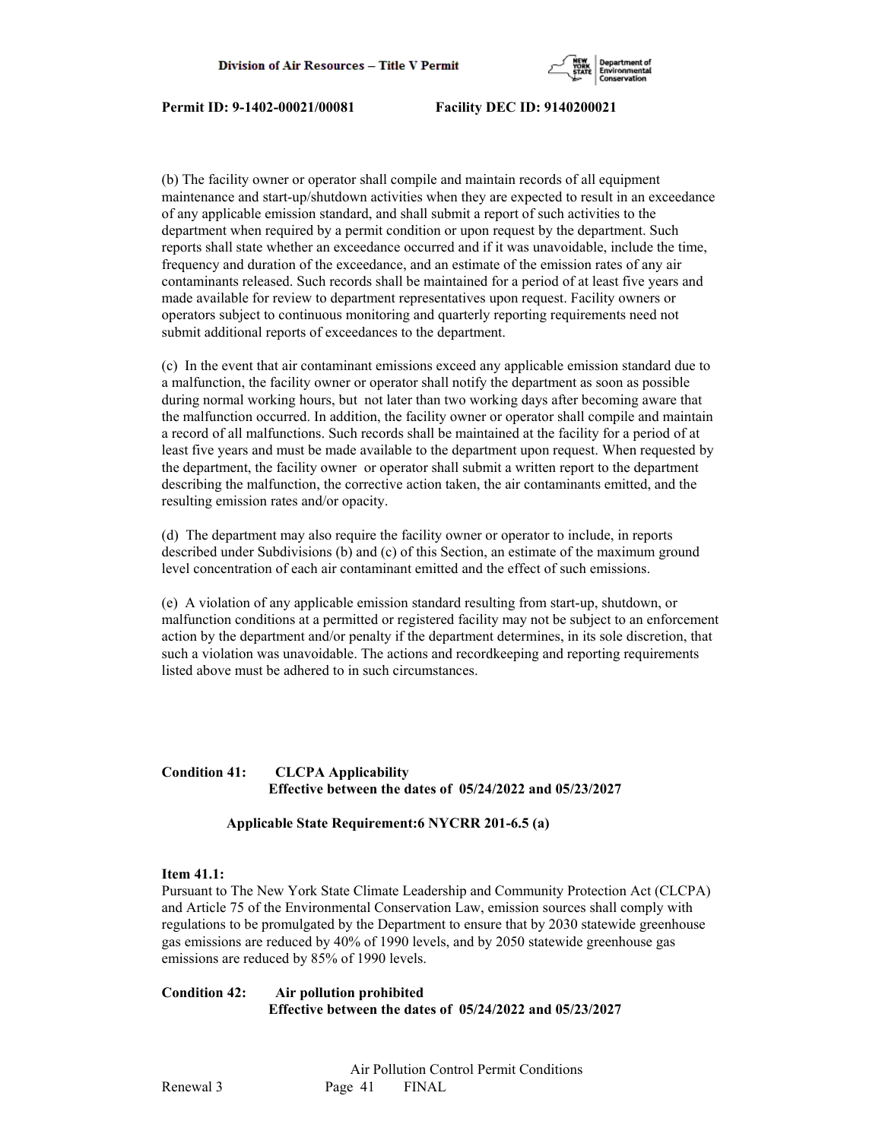

(b) The facility owner or operator shall compile and maintain records of all equipment maintenance and start-up/shutdown activities when they are expected to result in an exceedance of any applicable emission standard, and shall submit a report of such activities to the department when required by a permit condition or upon request by the department. Such reports shall state whether an exceedance occurred and if it was unavoidable, include the time, frequency and duration of the exceedance, and an estimate of the emission rates of any air contaminants released. Such records shall be maintained for a period of at least five years and made available for review to department representatives upon request. Facility owners or operators subject to continuous monitoring and quarterly reporting requirements need not submit additional reports of exceedances to the department.

(c) In the event that air contaminant emissions exceed any applicable emission standard due to a malfunction, the facility owner or operator shall notify the department as soon as possible during normal working hours, but not later than two working days after becoming aware that the malfunction occurred. In addition, the facility owner or operator shall compile and maintain a record of all malfunctions. Such records shall be maintained at the facility for a period of at least five years and must be made available to the department upon request. When requested by the department, the facility owner or operator shall submit a written report to the department describing the malfunction, the corrective action taken, the air contaminants emitted, and the resulting emission rates and/or opacity.

(d) The department may also require the facility owner or operator to include, in reports described under Subdivisions (b) and (c) of this Section, an estimate of the maximum ground level concentration of each air contaminant emitted and the effect of such emissions.

(e) A violation of any applicable emission standard resulting from start-up, shutdown, or malfunction conditions at a permitted or registered facility may not be subject to an enforcement action by the department and/or penalty if the department determines, in its sole discretion, that such a violation was unavoidable. The actions and recordkeeping and reporting requirements listed above must be adhered to in such circumstances.

## **Condition 41: CLCPA Applicability Effective between the dates of 05/24/2022 and 05/23/2027**

## **Applicable State Requirement:6 NYCRR 201-6.5 (a)**

#### **Item 41.1:**

Pursuant to The New York State Climate Leadership and Community Protection Act (CLCPA) and Article 75 of the Environmental Conservation Law, emission sources shall comply with regulations to be promulgated by the Department to ensure that by 2030 statewide greenhouse gas emissions are reduced by 40% of 1990 levels, and by 2050 statewide greenhouse gas emissions are reduced by 85% of 1990 levels.

**Condition 42: Air pollution prohibited Effective between the dates of 05/24/2022 and 05/23/2027**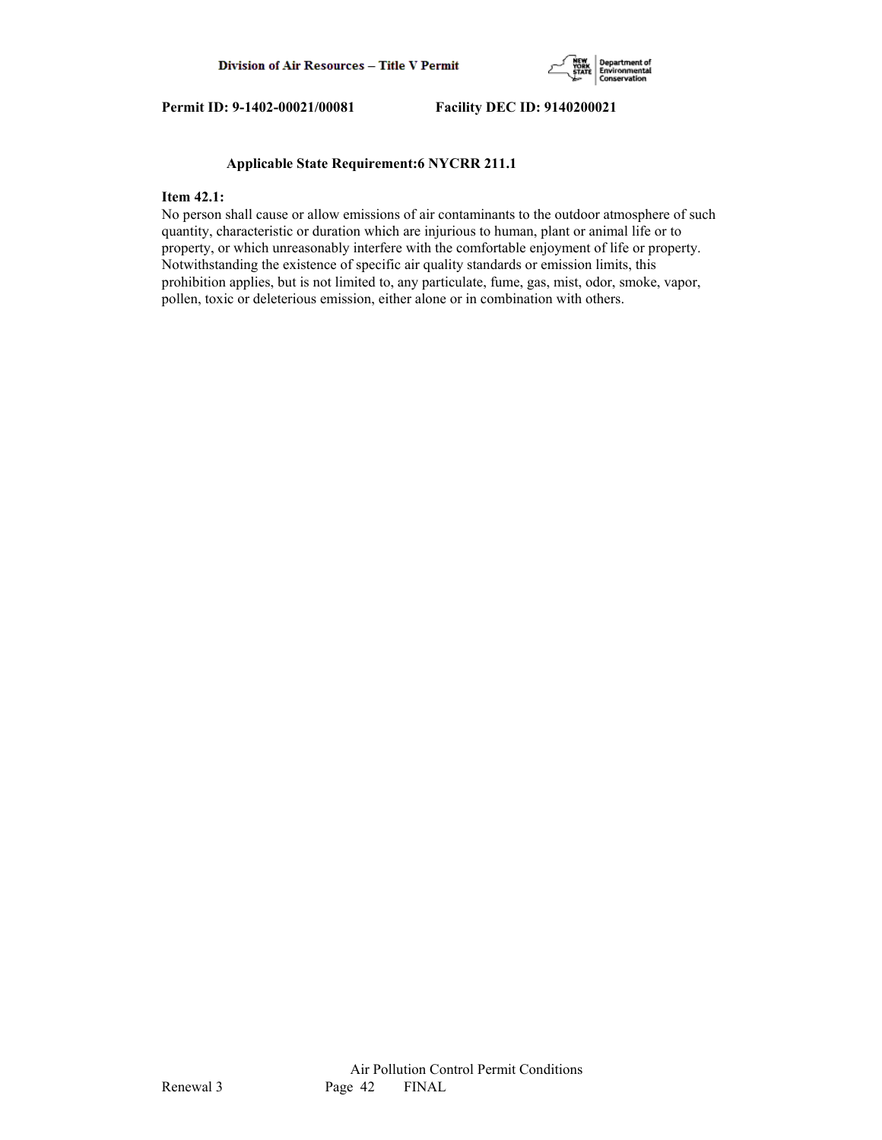

## **Applicable State Requirement:6 NYCRR 211.1**

## **Item 42.1:**

No person shall cause or allow emissions of air contaminants to the outdoor atmosphere of such quantity, characteristic or duration which are injurious to human, plant or animal life or to property, or which unreasonably interfere with the comfortable enjoyment of life or property. Notwithstanding the existence of specific air quality standards or emission limits, this prohibition applies, but is not limited to, any particulate, fume, gas, mist, odor, smoke, vapor, pollen, toxic or deleterious emission, either alone or in combination with others.